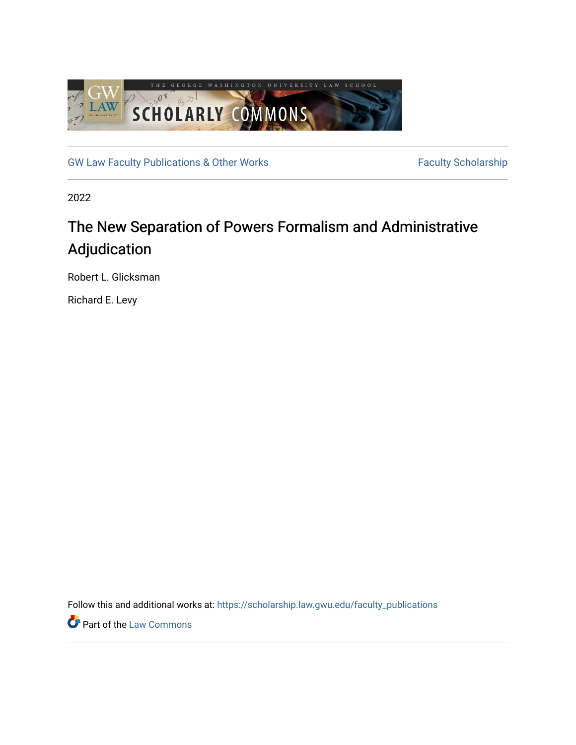

[GW Law Faculty Publications & Other Works](https://scholarship.law.gwu.edu/faculty_publications) Faculty Scholarship

2022

# The New Separation of Powers Formalism and Administrative Adjudication

Robert L. Glicksman

Richard E. Levy

Follow this and additional works at: [https://scholarship.law.gwu.edu/faculty\\_publications](https://scholarship.law.gwu.edu/faculty_publications?utm_source=scholarship.law.gwu.edu%2Ffaculty_publications%2F1600&utm_medium=PDF&utm_campaign=PDFCoverPages) 

**Part of the [Law Commons](https://network.bepress.com/hgg/discipline/578?utm_source=scholarship.law.gwu.edu%2Ffaculty_publications%2F1600&utm_medium=PDF&utm_campaign=PDFCoverPages)**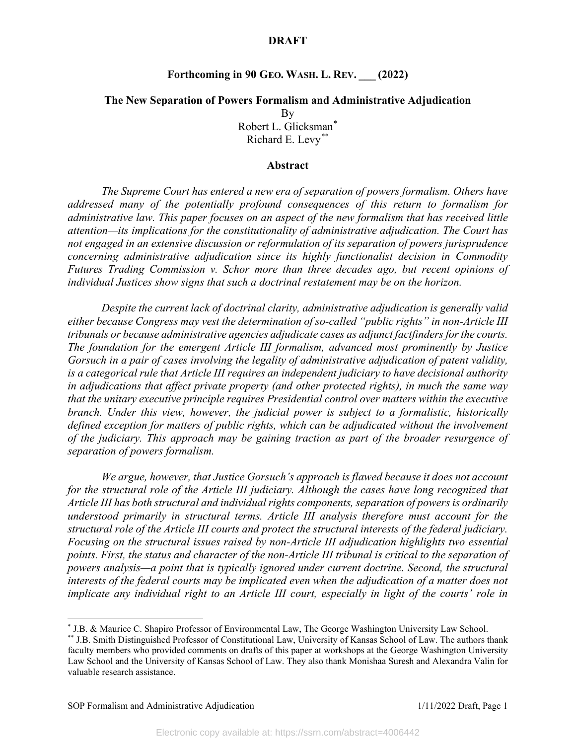# **Forthcoming in 90 GEO. WASH. L. REV. \_\_\_ (2022)**

# **The New Separation of Powers Formalism and Administrative Adjudication** By Robert L. Glicksman[\\*](#page-1-0) Richard E. Levy[\\*\\*](#page-1-1)

## **Abstract**

*The Supreme Court has entered a new era of separation of powers formalism. Others have addressed many of the potentially profound consequences of this return to formalism for administrative law. This paper focuses on an aspect of the new formalism that has received little attention—its implications for the constitutionality of administrative adjudication. The Court has not engaged in an extensive discussion or reformulation of its separation of powers jurisprudence concerning administrative adjudication since its highly functionalist decision in Commodity Futures Trading Commission v. Schor more than three decades ago, but recent opinions of individual Justices show signs that such a doctrinal restatement may be on the horizon.*

*Despite the current lack of doctrinal clarity, administrative adjudication is generally valid either because Congress may vest the determination of so-called "public rights" in non-Article III tribunals or because administrative agencies adjudicate cases as adjunct factfinders for the courts. The foundation for the emergent Article III formalism, advanced most prominently by Justice Gorsuch in a pair of cases involving the legality of administrative adjudication of patent validity, is a categorical rule that Article III requires an independent judiciary to have decisional authority in adjudications that affect private property (and other protected rights), in much the same way that the unitary executive principle requires Presidential control over matters within the executive branch. Under this view, however, the judicial power is subject to a formalistic, historically defined exception for matters of public rights, which can be adjudicated without the involvement of the judiciary. This approach may be gaining traction as part of the broader resurgence of separation of powers formalism.*

*We argue, however, that Justice Gorsuch's approach is flawed because it does not account for the structural role of the Article III judiciary. Although the cases have long recognized that Article III has both structural and individual rights components, separation of powers is ordinarily understood primarily in structural terms. Article III analysis therefore must account for the structural role of the Article III courts and protect the structural interests of the federal judiciary. Focusing on the structural issues raised by non-Article III adjudication highlights two essential points. First, the status and character of the non-Article III tribunal is critical to the separation of powers analysis—a point that is typically ignored under current doctrine. Second, the structural interests of the federal courts may be implicated even when the adjudication of a matter does not implicate any individual right to an Article III court, especially in light of the courts' role in* 

<span id="page-1-0"></span><sup>\*</sup> J.B. & Maurice C. Shapiro Professor of Environmental Law, The George Washington University Law School.

<span id="page-1-1"></span><sup>\*\*</sup> J.B. Smith Distinguished Professor of Constitutional Law, University of Kansas School of Law. The authors thank faculty members who provided comments on drafts of this paper at workshops at the George Washington University Law School and the University of Kansas School of Law. They also thank Monishaa Suresh and Alexandra Valin for valuable research assistance.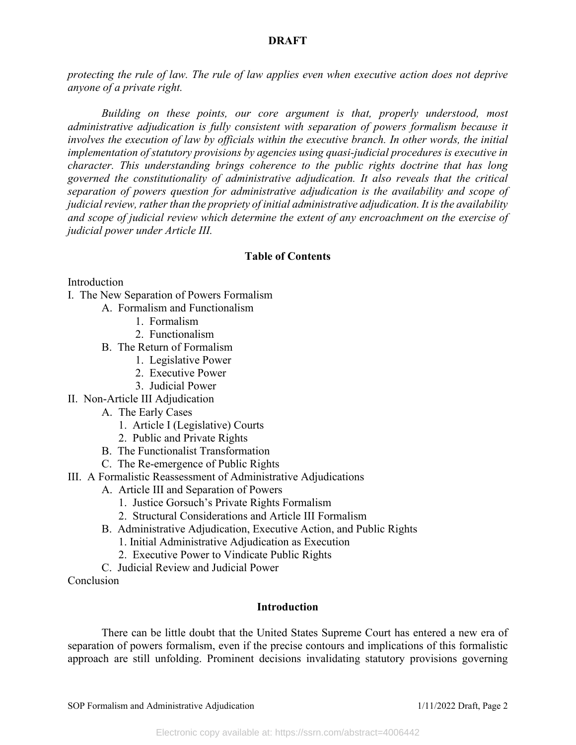*protecting the rule of law. The rule of law applies even when executive action does not deprive anyone of a private right.* 

*Building on these points, our core argument is that, properly understood, most administrative adjudication is fully consistent with separation of powers formalism because it involves the execution of law by officials within the executive branch. In other words, the initial implementation of statutory provisions by agencies using quasi-judicial procedures is executive in character. This understanding brings coherence to the public rights doctrine that has long governed the constitutionality of administrative adjudication. It also reveals that the critical separation of powers question for administrative adjudication is the availability and scope of judicial review, rather than the propriety of initial administrative adjudication. It is the availability and scope of judicial review which determine the extent of any encroachment on the exercise of judicial power under Article III.*

# **Table of Contents**

Introduction

- I. The New Separation of Powers Formalism
	- A. Formalism and Functionalism
		- 1. Formalism
		- 2. Functionalism
	- B. The Return of Formalism
		- 1. Legislative Power
		- 2. Executive Power
		- 3. Judicial Power
- II. Non-Article III Adjudication
	- A. The Early Cases
		- 1. Article I (Legislative) Courts
		- 2. Public and Private Rights
	- B. The Functionalist Transformation
	- C. The Re-emergence of Public Rights
- III. A Formalistic Reassessment of Administrative Adjudications
	- A. Article III and Separation of Powers
		- 1. Justice Gorsuch's Private Rights Formalism
		- 2. Structural Considerations and Article III Formalism
	- B. Administrative Adjudication, Executive Action, and Public Rights
		- 1. Initial Administrative Adjudication as Execution
		- 2. Executive Power to Vindicate Public Rights
	- C. Judicial Review and Judicial Power

Conclusion

## **Introduction**

There can be little doubt that the United States Supreme Court has entered a new era of separation of powers formalism, even if the precise contours and implications of this formalistic approach are still unfolding. Prominent decisions invalidating statutory provisions governing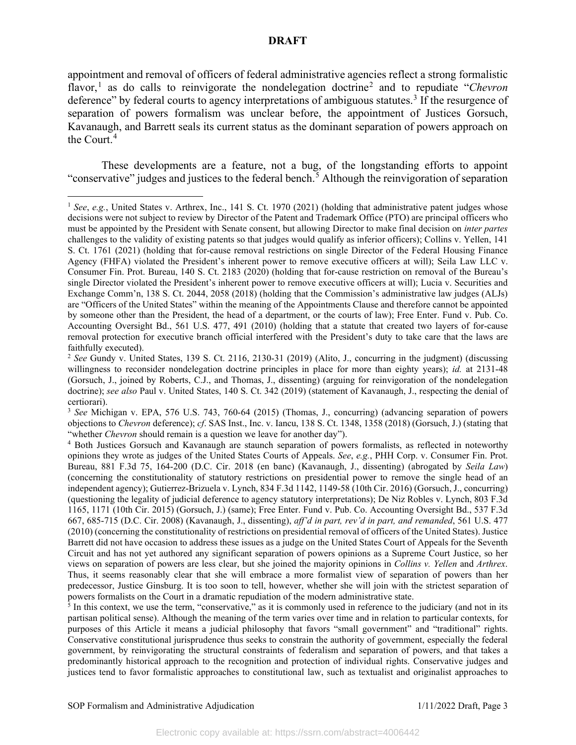appointment and removal of officers of federal administrative agencies reflect a strong formalistic flavor,<sup>[1](#page-3-0)</sup> as do calls to reinvigorate the nondelegation doctrine<sup>[2](#page-3-1)</sup> and to repudiate "*Chevron* deference" by federal courts to agency interpretations of ambiguous statutes.<sup>[3](#page-3-2)</sup> If the resurgence of separation of powers formalism was unclear before, the appointment of Justices Gorsuch, Kavanaugh, and Barrett seals its current status as the dominant separation of powers approach on the Court.[4](#page-3-3)

These developments are a feature, not a bug, of the longstanding efforts to appoint "conservative" judges and justices to the federal bench.<sup>[5](#page-3-4)</sup> Although the reinvigoration of separation

<span id="page-3-0"></span><sup>&</sup>lt;sup>1</sup> See, e.g., United States v. Arthrex, Inc., 141 S. Ct. 1970 (2021) (holding that administrative patent judges whose decisions were not subject to review by Director of the Patent and Trademark Office (PTO) are principal officers who must be appointed by the President with Senate consent, but allowing Director to make final decision on *inter partes* challenges to the validity of existing patents so that judges would qualify as inferior officers); Collins v. Yellen, 141 S. Ct. 1761 (2021) (holding that for-cause removal restrictions on single Director of the Federal Housing Finance Agency (FHFA) violated the President's inherent power to remove executive officers at will); Seila Law LLC v. Consumer Fin. Prot. Bureau, 140 S. Ct. 2183 (2020) (holding that for-cause restriction on removal of the Bureau's single Director violated the President's inherent power to remove executive officers at will); Lucia v. Securities and Exchange Comm'n, 138 S. Ct. 2044, 2058 (2018) (holding that the Commission's administrative law judges (ALJs) are "Officers of the United States" within the meaning of the Appointments Clause and therefore cannot be appointed by someone other than the President, the head of a department, or the courts of law); Free Enter. Fund v. Pub. Co. Accounting Oversight Bd., 561 U.S. 477, 491 (2010) (holding that a statute that created two layers of for-cause removal protection for executive branch official interfered with the President's duty to take care that the laws are faithfully executed).

<span id="page-3-1"></span><sup>2</sup> *See* Gundy v. United States, 139 S. Ct. 2116, 2130-31 (2019) (Alito, J., concurring in the judgment) (discussing willingness to reconsider nondelegation doctrine principles in place for more than eighty years); *id.* at 2131-48 (Gorsuch, J., joined by Roberts, C.J., and Thomas, J., dissenting) (arguing for reinvigoration of the nondelegation doctrine); *see also* Paul v. United States, 140 S. Ct. 342 (2019) (statement of Kavanaugh, J., respecting the denial of certiorari).

<span id="page-3-2"></span><sup>3</sup> *See* Michigan v. EPA, 576 U.S. 743, 760-64 (2015) (Thomas, J., concurring) (advancing separation of powers objections to *Chevron* deference); *cf*. SAS Inst., Inc. v. Iancu, 138 S. Ct. 1348, 1358 (2018) (Gorsuch, J.) (stating that "whether *Chevron* should remain is a question we leave for another day").

<span id="page-3-3"></span><sup>4</sup> Both Justices Gorsuch and Kavanaugh are staunch separation of powers formalists, as reflected in noteworthy opinions they wrote as judges of the United States Courts of Appeals. *See*, *e.g.*, PHH Corp. v. Consumer Fin. Prot. Bureau, 881 F.3d 75, 164-200 (D.C. Cir. 2018 (en banc) (Kavanaugh, J., dissenting) (abrogated by *Seila Law*) (concerning the constitutionality of statutory restrictions on presidential power to remove the single head of an independent agency); Gutierrez-Brizuela v. Lynch, 834 F.3d 1142, 1149-58 (10th Cir. 2016) (Gorsuch, J., concurring) (questioning the legality of judicial deference to agency statutory interpretations); De Niz Robles v. Lynch, 803 F.3d 1165, 1171 (10th Cir. 2015) (Gorsuch, J.) (same); Free Enter. Fund v. Pub. Co. Accounting Oversight Bd., 537 F.3d 667, 685-715 (D.C. Cir. 2008) (Kavanaugh, J., dissenting), *aff'd in part, rev'd in part, and remanded*, 561 U.S. 477 (2010) (concerning the constitutionality of restrictions on presidential removal of officers of the United States). Justice Barrett did not have occasion to address these issues as a judge on the United States Court of Appeals for the Seventh Circuit and has not yet authored any significant separation of powers opinions as a Supreme Court Justice, so her views on separation of powers are less clear, but she joined the majority opinions in *Collins v. Yellen* and *Arthrex*. Thus, it seems reasonably clear that she will embrace a more formalist view of separation of powers than her predecessor, Justice Ginsburg. It is too soon to tell, however, whether she will join with the strictest separation of powers formalists on the Court in a dramatic repudiation of the modern administrative state.

<span id="page-3-4"></span> $\frac{1}{5}$  In this context, we use the term, "conservative," as it is commonly used in reference to the judiciary (and not in its partisan political sense). Although the meaning of the term varies over time and in relation to particular contexts, for purposes of this Article it means a judicial philosophy that favors "small government" and "traditional" rights. Conservative constitutional jurisprudence thus seeks to constrain the authority of government, especially the federal government, by reinvigorating the structural constraints of federalism and separation of powers, and that takes a predominantly historical approach to the recognition and protection of individual rights. Conservative judges and justices tend to favor formalistic approaches to constitutional law, such as textualist and originalist approaches to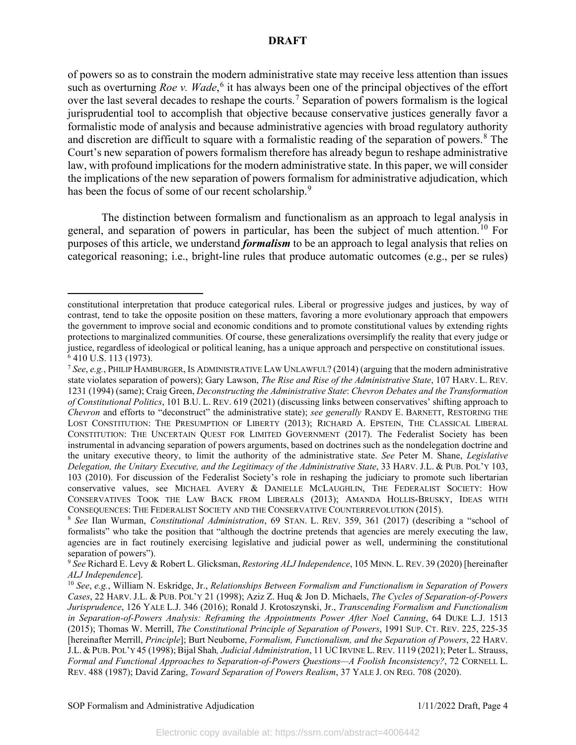of powers so as to constrain the modern administrative state may receive less attention than issues such as overturning *Roe v. Wade*,<sup>[6](#page-4-0)</sup> it has always been one of the principal objectives of the effort over the last several decades to reshape the courts.<sup>[7](#page-4-1)</sup> Separation of powers formalism is the logical jurisprudential tool to accomplish that objective because conservative justices generally favor a formalistic mode of analysis and because administrative agencies with broad regulatory authority and discretion are difficult to square with a formalistic reading of the separation of powers.<sup>[8](#page-4-2)</sup> The Court's new separation of powers formalism therefore has already begun to reshape administrative law, with profound implications for the modern administrative state. In this paper, we will consider the implications of the new separation of powers formalism for administrative adjudication, which has been the focus of some of our recent scholarship.<sup>[9](#page-4-3)</sup>

The distinction between formalism and functionalism as an approach to legal analysis in general, and separation of powers in particular, has been the subject of much attention.[10](#page-4-4) For purposes of this article, we understand *formalism* to be an approach to legal analysis that relies on categorical reasoning; i.e., bright-line rules that produce automatic outcomes (e.g., per se rules)

constitutional interpretation that produce categorical rules. Liberal or progressive judges and justices, by way of contrast, tend to take the opposite position on these matters, favoring a more evolutionary approach that empowers the government to improve social and economic conditions and to promote constitutional values by extending rights protections to marginalized communities. Of course, these generalizations oversimplify the reality that every judge or justice, regardless of ideological or political leaning, has a unique approach and perspective on constitutional issues. 6 410 U.S. 113 (1973).

<span id="page-4-1"></span><span id="page-4-0"></span><sup>7</sup> *See*, *e.g.*, PHILIP HAMBURGER, IS ADMINISTRATIVE LAW UNLAWFUL? (2014) (arguing that the modern administrative state violates separation of powers); Gary Lawson, *The Rise and Rise of the Administrative State*, 107 HARV. L. REV. 1231 (1994) (same); Craig Green, *Deconstructing the Administrative State*: *Chevron Debates and the Transformation of Constitutional Politics*, 101 B.U. L. REV. 619 (2021) (discussing links between conservatives' shifting approach to *Chevron* and efforts to "deconstruct" the administrative state); *see generally* RANDY E. BARNETT, RESTORING THE LOST CONSTITUTION: THE PRESUMPTION OF LIBERTY (2013); RICHARD A. EPSTEIN, THE CLASSICAL LIBERAL CONSTITUTION: THE UNCERTAIN QUEST FOR LIMITED GOVERNMENT (2017). The Federalist Society has been instrumental in advancing separation of powers arguments, based on doctrines such as the nondelegation doctrine and the unitary executive theory, to limit the authority of the administrative state. *See* Peter M. Shane, *Legislative Delegation, the Unitary Executive, and the Legitimacy of the Administrative State*, 33 HARV. J.L. & PUB. POL'Y 103, 103 (2010). For discussion of the Federalist Society's role in reshaping the judiciary to promote such libertarian conservative values, see MICHAEL AVERY & DANIELLE MCLAUGHLIN, THE FEDERALIST SOCIETY: HOW CONSERVATIVES TOOK THE LAW BACK FROM LIBERALS (2013); AMANDA HOLLIS-BRUSKY, IDEAS WITH CONSEQUENCES: THE FEDERALIST SOCIETY AND THE CONSERVATIVE COUNTERREVOLUTION (2015).

<span id="page-4-2"></span><sup>8</sup> *See* Ilan Wurman, *Constitutional Administration*, 69 STAN. L. REV. 359, 361 (2017) (describing a "school of formalists" who take the position that "although the doctrine pretends that agencies are merely executing the law, agencies are in fact routinely exercising legislative and judicial power as well, undermining the constitutional separation of powers").

<span id="page-4-3"></span><sup>9</sup> *See* Richard E. Levy & Robert L. Glicksman, *Restoring ALJ Independence*, 105 MINN. L. REV. 39 (2020) [hereinafter *ALJ Independence*].<br><sup>10</sup> *See*, *e.g.*, William N. Eskridge, Jr., *Relationships Between Formalism and Functionalism in Separation of Powers* 

<span id="page-4-4"></span>*Cases*, 22 HARV. J.L. & PUB. POL'Y 21 (1998); Aziz Z. Huq & Jon D. Michaels, *The Cycles of Separation-of-Powers Jurisprudence*, 126 YALE L.J. 346 (2016); Ronald J. Krotoszynski, Jr., *Transcending Formalism and Functionalism in Separation-of-Powers Analysis: Reframing the Appointments Power After Noel Canning*, 64 DUKE L.J. 1513 (2015); Thomas W. Merrill, *The Constitutional Principle of Separation of Powers*, 1991 SUP. CT. REV. 225, 225-35 [hereinafter Merrill, *Principle*]; Burt Neuborne, *Formalism, Functionalism, and the Separation of Powers*, 22 HARV. J.L. & PUB. POL'Y 45 (1998); Bijal Shah*, Judicial Administration*, 11 UCIRVINE L.REV. 1119 (2021); Peter L. Strauss, *Formal and Functional Approaches to Separation-of-Powers Questions—A Foolish Inconsistency?*, 72 CORNELL L. REV. 488 (1987); David Zaring, *Toward Separation of Powers Realism*, 37 YALE J. ON REG. 708 (2020).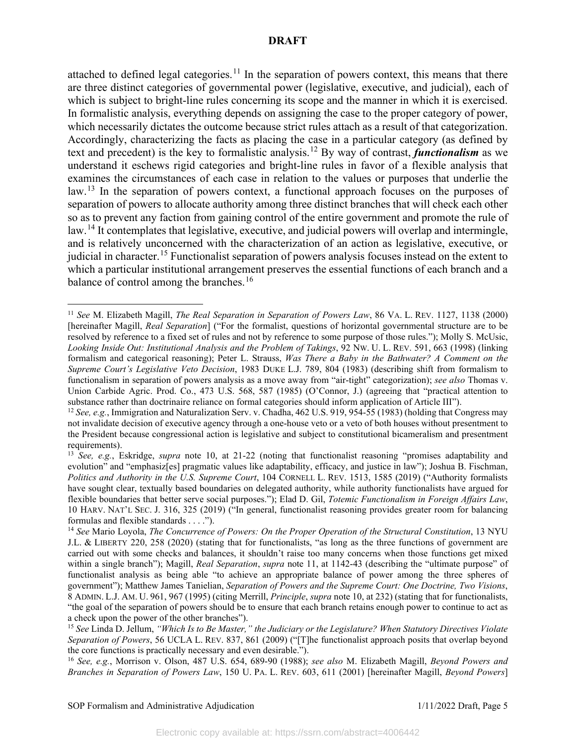attached to defined legal categories.<sup>[11](#page-5-0)</sup> In the separation of powers context, this means that there are three distinct categories of governmental power (legislative, executive, and judicial), each of which is subject to bright-line rules concerning its scope and the manner in which it is exercised. In formalistic analysis, everything depends on assigning the case to the proper category of power, which necessarily dictates the outcome because strict rules attach as a result of that categorization. Accordingly, characterizing the facts as placing the case in a particular category (as defined by text and precedent) is the key to formalistic analysis. [12](#page-5-1) By way of contrast, *functionalism* as we understand it eschews rigid categories and bright-line rules in favor of a flexible analysis that examines the circumstances of each case in relation to the values or purposes that underlie the law.<sup>[13](#page-5-2)</sup> In the separation of powers context, a functional approach focuses on the purposes of separation of powers to allocate authority among three distinct branches that will check each other so as to prevent any faction from gaining control of the entire government and promote the rule of law.<sup>[14](#page-5-3)</sup> It contemplates that legislative, executive, and judicial powers will overlap and intermingle, and is relatively unconcerned with the characterization of an action as legislative, executive, or judicial in character.<sup>[15](#page-5-4)</sup> Functionalist separation of powers analysis focuses instead on the extent to which a particular institutional arrangement preserves the essential functions of each branch and a balance of control among the branches.<sup>[16](#page-5-5)</sup>

<span id="page-5-5"></span><sup>16</sup> *See, e.g.*, Morrison v. Olson, 487 U.S. 654, 689-90 (1988); *see also* M. Elizabeth Magill, *Beyond Powers and Branches in Separation of Powers Law*, 150 U. PA. L. REV. 603, 611 (2001) [hereinafter Magill, *Beyond Powers*]

<span id="page-5-0"></span><sup>11</sup> *See* M. Elizabeth Magill, *The Real Separation in Separation of Powers Law*, 86 VA. L. REV. 1127, 1138 (2000) [hereinafter Magill, *Real Separation*] ("For the formalist, questions of horizontal governmental structure are to be resolved by reference to a fixed set of rules and not by reference to some purpose of those rules."); Molly S. McUsic, *Looking Inside Out: Institutional Analysis and the Problem of Takings*, 92 NW. U. L. REV. 591, 663 (1998) (linking formalism and categorical reasoning); Peter L. Strauss, *Was There a Baby in the Bathwater? A Comment on the Supreme Court's Legislative Veto Decision*, 1983 DUKE L.J. 789, 804 (1983) (describing shift from formalism to functionalism in separation of powers analysis as a move away from "air-tight" categorization); *see also* Thomas v. Union Carbide Agric. Prod. Co., 473 U.S. 568, 587 (1985) (O'Connor, J.) (agreeing that "practical attention to substance rather than doctrinaire reliance on formal categories should inform application of Article III").

<span id="page-5-1"></span><sup>&</sup>lt;sup>12</sup> *See, e.g.*, Immigration and Naturalization Serv. v. Chadha, 462 U.S. 919, 954-55 (1983) (holding that Congress may not invalidate decision of executive agency through a one-house veto or a veto of both houses without presentment to the President because congressional action is legislative and subject to constitutional bicameralism and presentment requirements).

<span id="page-5-2"></span><sup>13</sup> *See, e.g.*, Eskridge, *supra* note 10, at 21-22 (noting that functionalist reasoning "promises adaptability and evolution" and "emphasiz[es] pragmatic values like adaptability, efficacy, and justice in law"); Joshua B. Fischman, *Politics and Authority in the U.S. Supreme Court*, 104 CORNELL L. REV. 1513, 1585 (2019) ("Authority formalists have sought clear, textually based boundaries on delegated authority, while authority functionalists have argued for flexible boundaries that better serve social purposes."); Elad D. Gil, *Totemic Functionalism in Foreign Affairs Law*, 10 HARV. NAT'L SEC. J. 316, 325 (2019) ("In general, functionalist reasoning provides greater room for balancing formulas and flexible standards . . . .").

<span id="page-5-3"></span><sup>14</sup> *See* Mario Loyola, *The Concurrence of Powers: On the Proper Operation of the Structural Constitution*, 13 NYU J.L. & LIBERTY 220, 258 (2020) (stating that for functionalists, "as long as the three functions of government are carried out with some checks and balances, it shouldn't raise too many concerns when those functions get mixed within a single branch"); Magill, *Real Separation*, *supra* note 11, at 1142-43 (describing the "ultimate purpose" of functionalist analysis as being able "to achieve an appropriate balance of power among the three spheres of government"); Matthew James Tanielian, *Separation of Powers and the Supreme Court: One Doctrine, Two Visions*, 8 ADMIN. L.J. AM. U. 961, 967 (1995) (citing Merrill, *Principle*, *supra* note 10, at 232) (stating that for functionalists, "the goal of the separation of powers should be to ensure that each branch retains enough power to continue to act as a check upon the power of the other branches").

<span id="page-5-4"></span><sup>15</sup> *See* Linda D. Jellum, *"Which Is to Be Master," the Judiciary or the Legislature? When Statutory Directives Violate Separation of Powers*, 56 UCLA L. REV. 837, 861 (2009) ("[T]he functionalist approach posits that overlap beyond the core functions is practically necessary and even desirable.").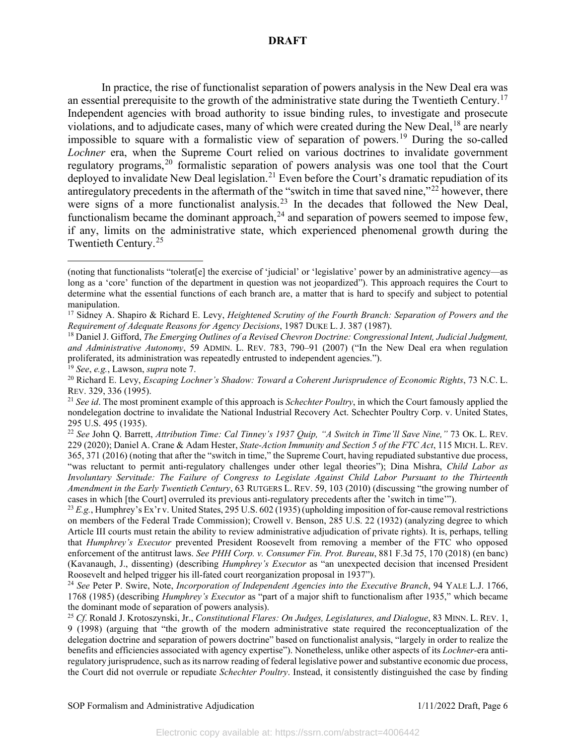In practice, the rise of functionalist separation of powers analysis in the New Deal era was an essential prerequisite to the growth of the administrative state during the Twentieth Century.<sup>[17](#page-6-0)</sup> Independent agencies with broad authority to issue binding rules, to investigate and prosecute violations, and to adjudicate cases, many of which were created during the New Deal,[18](#page-6-1) are nearly impossible to square with a formalistic view of separation of powers. [19](#page-6-2) During the so-called *Lochner* era, when the Supreme Court relied on various doctrines to invalidate government regulatory programs,<sup>[20](#page-6-3)</sup> formalistic separation of powers analysis was one tool that the Court deployed to invalidate New Deal legislation.<sup>[21](#page-6-4)</sup> Even before the Court's dramatic repudiation of its antiregulatory precedents in the aftermath of the "switch in time that saved nine,"[22](#page-6-5) however, there were signs of a more functionalist analysis.<sup>[23](#page-6-6)</sup> In the decades that followed the New Deal, functionalism became the dominant approach,  $^{24}$  $^{24}$  $^{24}$  and separation of powers seemed to impose few, if any, limits on the administrative state, which experienced phenomenal growth during the Twentieth Century.[25](#page-6-8)

<sup>(</sup>noting that functionalists "tolerat[e] the exercise of 'judicial' or 'legislative' power by an administrative agency—as long as a 'core' function of the department in question was not jeopardized"). This approach requires the Court to determine what the essential functions of each branch are, a matter that is hard to specify and subject to potential manipulation.

<span id="page-6-0"></span><sup>17</sup> Sidney A. Shapiro & Richard E. Levy, *Heightened Scrutiny of the Fourth Branch: Separation of Powers and the Requirement of Adequate Reasons for Agency Decisions*, 1987 DUKE L. J. 387 (1987).

<span id="page-6-1"></span><sup>18</sup> Daniel J. Gifford, *The Emerging Outlines of a Revised Chevron Doctrine: Congressional Intent, Judicial Judgment, and Administrative Autonomy*, 59 ADMIN. L. REV. 783, 790–91 (2007) ("In the New Deal era when regulation proliferated, its administration was repeatedly entrusted to independent agencies.").

<span id="page-6-2"></span><sup>19</sup> *See*, *e.g.*, Lawson, *supra* note 7.

<span id="page-6-3"></span><sup>20</sup> Richard E. Levy, *Escaping Lochner's Shadow: Toward a Coherent Jurisprudence of Economic Rights*, 73 N.C. L. REV. 329, 336 (1995).

<span id="page-6-4"></span><sup>21</sup> *See id*. The most prominent example of this approach is *Schechter Poultry*, in which the Court famously applied the nondelegation doctrine to invalidate the National Industrial Recovery Act. Schechter Poultry Corp. v. United States, 295 U.S. 495 (1935).

<span id="page-6-5"></span><sup>22</sup> *See* John Q. Barrett, *Attribution Time: Cal Tinney's 1937 Quip, "A Switch in Time'll Save Nine,"* 73 OK. L. REV. 229 (2020); Daniel A. Crane & Adam Hester, *State-Action Immunity and Section 5 of the FTC Act*, 115 MICH. L. REV. 365, 371 (2016) (noting that after the "switch in time," the Supreme Court, having repudiated substantive due process, "was reluctant to permit anti-regulatory challenges under other legal theories"); Dina Mishra, *Child Labor as Involuntary Servitude: The Failure of Congress to Legislate Against Child Labor Pursuant to the Thirteenth Amendment in the Early Twentieth Century*, 63 RUTGERS L. REV. 59, 103 (2010) (discussing "the growing number of cases in which [the Court] overruled its previous anti-regulatory precedents after the 'switch in time'").

<span id="page-6-6"></span><sup>23</sup> *E.g.*, Humphrey's Ex'r v. United States, 295 U.S. 602 (1935) (upholding imposition of for-cause removal restrictions on members of the Federal Trade Commission); Crowell v. Benson, 285 U.S. 22 (1932) (analyzing degree to which Article III courts must retain the ability to review administrative adjudication of private rights). It is, perhaps, telling that *Humphrey's Executor* prevented President Roosevelt from removing a member of the FTC who opposed enforcement of the antitrust laws. *See PHH Corp. v. Consumer Fin. Prot. Bureau*, 881 F.3d 75, 170 (2018) (en banc) (Kavanaugh, J., dissenting) (describing *Humphrey's Executor* as "an unexpected decision that incensed President Roosevelt and helped trigger his ill-fated court reorganization proposal in 1937").

<span id="page-6-7"></span><sup>24</sup> *See* Peter P. Swire, Note, *Incorporation of Independent Agencies into the Executive Branch*, 94 YALE L.J. 1766, 1768 (1985) (describing *Humphrey's Executor* as "part of a major shift to functionalism after 1935," which became the dominant mode of separation of powers analysis).

<span id="page-6-8"></span><sup>25</sup> *Cf*. Ronald J. Krotoszynski, Jr., *Constitutional Flares: On Judges, Legislatures, and Dialogue*, 83 MINN. L. REV. 1, 9 (1998) (arguing that "the growth of the modern administrative state required the reconceptualization of the delegation doctrine and separation of powers doctrine" based on functionalist analysis, "largely in order to realize the benefits and efficiencies associated with agency expertise"). Nonetheless, unlike other aspects of its *Lochner-*era antiregulatory jurisprudence, such as its narrow reading of federal legislative power and substantive economic due process, the Court did not overrule or repudiate *Schechter Poultry*. Instead, it consistently distinguished the case by finding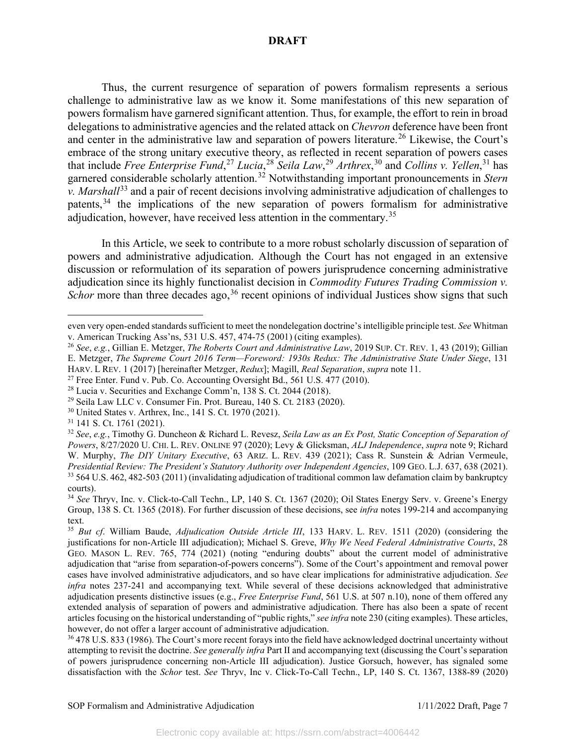Thus, the current resurgence of separation of powers formalism represents a serious challenge to administrative law as we know it. Some manifestations of this new separation of powers formalism have garnered significant attention. Thus, for example, the effort to rein in broad delegations to administrative agencies and the related attack on *Chevron* deference have been front and center in the administrative law and separation of powers literature.<sup>[26](#page-7-0)</sup> Likewise, the Court's embrace of the strong unitary executive theory, as reflected in recent separation of powers cases that include *Free Enterprise Fund*, [27](#page-7-1) *Lucia*, [28](#page-7-2) *Seila Law*, [29](#page-7-3) *Arthrex*, [30](#page-7-4) and *Collins v. Yellen*, [31](#page-7-5) has garnered considerable scholarly attention.<sup>[32](#page-7-6)</sup> Notwithstanding important pronouncements in *Stern v. Marshall*<sup>[33](#page-7-7)</sup> and a pair of recent decisions involving administrative adjudication of challenges to patents,  $34$  the implications of the new separation of powers formalism for administrative adjudication, however, have received less attention in the commentary.<sup>[35](#page-7-9)</sup>

In this Article, we seek to contribute to a more robust scholarly discussion of separation of powers and administrative adjudication. Although the Court has not engaged in an extensive discussion or reformulation of its separation of powers jurisprudence concerning administrative adjudication since its highly functionalist decision in *Commodity Futures Trading Commission v.*  Schor more than three decades ago,<sup>[36](#page-7-10)</sup> recent opinions of individual Justices show signs that such

- <span id="page-7-4"></span><sup>30</sup> United States v. Arthrex, Inc., 141 S. Ct. 1970 (2021).
- <span id="page-7-5"></span><sup>31</sup> 141 S. Ct. 1761 (2021).

even very open-ended standards sufficient to meet the nondelegation doctrine's intelligible principle test. *See* Whitman v. American Trucking Ass'ns, 531 U.S. 457, 474-75 (2001) (citing examples).

<span id="page-7-0"></span><sup>26</sup> *See*, *e.g.*, Gillian E. Metzger, *The Roberts Court and Administrative Law*, 2019 SUP. CT. REV. 1, 43 (2019); Gillian E. Metzger, *The Supreme Court 2016 Term—Foreword: 1930s Redux: The Administrative State Under Siege*, 131 HARV. L REV. 1 (2017) [hereinafter Metzger, *Redux*]; Magill, *Real Separation*, *supra* note 11.

<span id="page-7-1"></span> $27$  Free Enter. Fund v. Pub. Co. Accounting Oversight Bd., 561 U.S. 477 (2010).

<span id="page-7-2"></span><sup>28</sup> Lucia v. Securities and Exchange Comm'n, 138 S. Ct. 2044 (2018).

<span id="page-7-3"></span><sup>29</sup> Seila Law LLC v. Consumer Fin. Prot. Bureau, 140 S. Ct. 2183 (2020).

<span id="page-7-6"></span><sup>32</sup> *See*, *e.g.*, Timothy G. Duncheon & Richard L. Revesz, *Seila Law as an Ex Post, Static Conception of Separation of Powers*, 8/27/2020 U. CHI. L. REV. ONLINE 97 (2020); Levy & Glicksman, *ALJ Independence*, *supra* note 9; Richard W. Murphy, *The DIY Unitary Executive*, 63 ARIZ. L. REV. 439 (2021); Cass R. Sunstein & Adrian Vermeule, *Presidential Review: The President's Statutory Authority over Independent Agencies*, 109 GEO. L.J. 637, 638 (2021). <sup>33</sup> 564 U.S. 462, 482-503 (2011) (invalidating adjudication of traditional common law defamation claim by bankruptcy courts).

<span id="page-7-8"></span><span id="page-7-7"></span><sup>34</sup> *See* Thryv, Inc. v. Click-to-Call Techn., LP, 140 S. Ct. 1367 (2020); Oil States Energy Serv. v. Greene's Energy Group, 138 S. Ct. 1365 (2018). For further discussion of these decisions, see *infra* notes 199-214 and accompanying text.

<span id="page-7-9"></span><sup>35</sup> *But cf*. William Baude, *Adjudication Outside Article III*, 133 HARV. L. REV. 1511 (2020) (considering the justifications for non-Article III adjudication); Michael S. Greve, *Why We Need Federal Administrative Courts*, 28 GEO. MASON L. REV. 765, 774 (2021) (noting "enduring doubts" about the current model of administrative adjudication that "arise from separation-of-powers concerns"). Some of the Court's appointment and removal power cases have involved administrative adjudicators, and so have clear implications for administrative adjudication. *See infra* notes 237-241 and accompanying text. While several of these decisions acknowledged that administrative adjudication presents distinctive issues (e.g., *Free Enterprise Fund*, 561 U.S. at 507 n.10), none of them offered any extended analysis of separation of powers and administrative adjudication. There has also been a spate of recent articles focusing on the historical understanding of "public rights," *see infra* note 230 (citing examples). These articles, however, do not offer a larger account of administrative adjudication.<br><sup>36</sup> 478 U.S. 833 (1986). The Court's more recent forays into the field have acknowledged doctrinal uncertainty without

<span id="page-7-10"></span>attempting to revisit the doctrine. *See generally infra* Part II and accompanying text (discussing the Court's separation of powers jurisprudence concerning non-Article III adjudication). Justice Gorsuch, however, has signaled some dissatisfaction with the *Schor* test. *See* Thryv, Inc v. Click-To-Call Techn., LP, 140 S. Ct. 1367, 1388-89 (2020)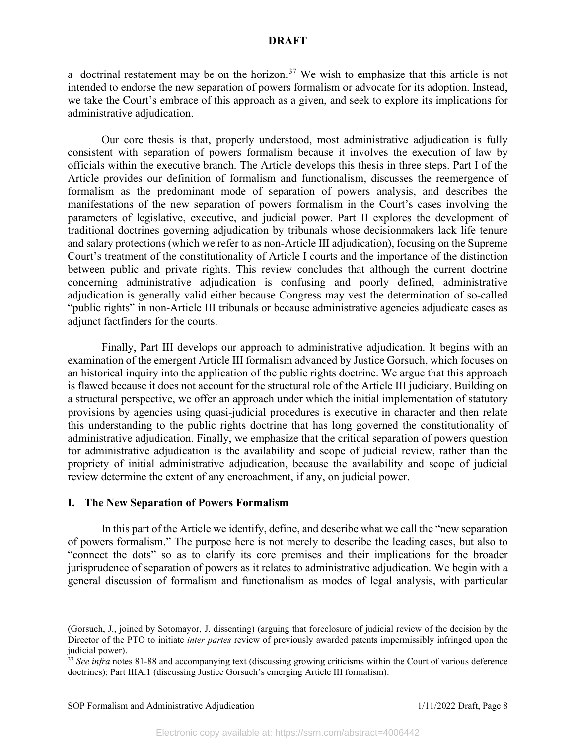a doctrinal restatement may be on the horizon.<sup>[37](#page-8-0)</sup> We wish to emphasize that this article is not intended to endorse the new separation of powers formalism or advocate for its adoption. Instead, we take the Court's embrace of this approach as a given, and seek to explore its implications for administrative adjudication.

Our core thesis is that, properly understood, most administrative adjudication is fully consistent with separation of powers formalism because it involves the execution of law by officials within the executive branch. The Article develops this thesis in three steps. Part I of the Article provides our definition of formalism and functionalism, discusses the reemergence of formalism as the predominant mode of separation of powers analysis, and describes the manifestations of the new separation of powers formalism in the Court's cases involving the parameters of legislative, executive, and judicial power. Part II explores the development of traditional doctrines governing adjudication by tribunals whose decisionmakers lack life tenure and salary protections (which we refer to as non-Article III adjudication), focusing on the Supreme Court's treatment of the constitutionality of Article I courts and the importance of the distinction between public and private rights. This review concludes that although the current doctrine concerning administrative adjudication is confusing and poorly defined, administrative adjudication is generally valid either because Congress may vest the determination of so-called "public rights" in non-Article III tribunals or because administrative agencies adjudicate cases as adjunct factfinders for the courts.

Finally, Part III develops our approach to administrative adjudication. It begins with an examination of the emergent Article III formalism advanced by Justice Gorsuch, which focuses on an historical inquiry into the application of the public rights doctrine. We argue that this approach is flawed because it does not account for the structural role of the Article III judiciary. Building on a structural perspective, we offer an approach under which the initial implementation of statutory provisions by agencies using quasi-judicial procedures is executive in character and then relate this understanding to the public rights doctrine that has long governed the constitutionality of administrative adjudication. Finally, we emphasize that the critical separation of powers question for administrative adjudication is the availability and scope of judicial review, rather than the propriety of initial administrative adjudication, because the availability and scope of judicial review determine the extent of any encroachment, if any, on judicial power.

#### **I. The New Separation of Powers Formalism**

In this part of the Article we identify, define, and describe what we call the "new separation of powers formalism." The purpose here is not merely to describe the leading cases, but also to "connect the dots" so as to clarify its core premises and their implications for the broader jurisprudence of separation of powers as it relates to administrative adjudication. We begin with a general discussion of formalism and functionalism as modes of legal analysis, with particular

<sup>(</sup>Gorsuch, J., joined by Sotomayor, J. dissenting) (arguing that foreclosure of judicial review of the decision by the Director of the PTO to initiate *inter partes* review of previously awarded patents impermissibly infringed upon the judicial power).

<span id="page-8-0"></span><sup>&</sup>lt;sup>37</sup> See infra notes 81-88 and accompanying text (discussing growing criticisms within the Court of various deference doctrines); Part IIIA.1 (discussing Justice Gorsuch's emerging Article III formalism).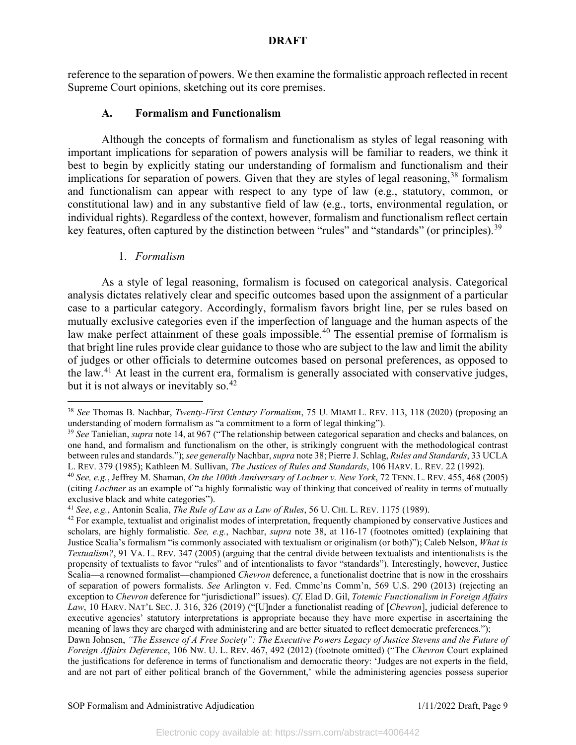reference to the separation of powers. We then examine the formalistic approach reflected in recent Supreme Court opinions, sketching out its core premises.

## **A. Formalism and Functionalism**

Although the concepts of formalism and functionalism as styles of legal reasoning with important implications for separation of powers analysis will be familiar to readers, we think it best to begin by explicitly stating our understanding of formalism and functionalism and their implications for separation of powers. Given that they are styles of legal reasoning,  $38$  formalism and functionalism can appear with respect to any type of law (e.g., statutory, common, or constitutional law) and in any substantive field of law (e.g., torts, environmental regulation, or individual rights). Regardless of the context, however, formalism and functionalism reflect certain key features, often captured by the distinction between "rules" and "standards" (or principles).<sup>[39](#page-9-1)</sup>

# 1. *Formalism*

As a style of legal reasoning, formalism is focused on categorical analysis. Categorical analysis dictates relatively clear and specific outcomes based upon the assignment of a particular case to a particular category. Accordingly, formalism favors bright line, per se rules based on mutually exclusive categories even if the imperfection of language and the human aspects of the law make perfect attainment of these goals impossible.<sup>[40](#page-9-2)</sup> The essential premise of formalism is that bright line rules provide clear guidance to those who are subject to the law and limit the ability of judges or other officials to determine outcomes based on personal preferences, as opposed to the law.[41](#page-9-3) At least in the current era, formalism is generally associated with conservative judges, but it is not always or inevitably so.<sup>[42](#page-9-4)</sup>

<span id="page-9-0"></span><sup>38</sup> *See* Thomas B. Nachbar, *Twenty-First Century Formalism*, 75 U. MIAMI L. REV. 113, 118 (2020) (proposing an understanding of modern formalism as "a commitment to a form of legal thinking").

<span id="page-9-1"></span><sup>39</sup> *See* Tanielian, *supra* note 14, at 967 ("The relationship between categorical separation and checks and balances, on one hand, and formalism and functionalism on the other, is strikingly congruent with the methodological contrast between rules and standards."); *see generally* Nachbar, *supra* note 38; Pierre J. Schlag, *Rules and Standards*, 33 UCLA L. REV. 379 (1985); Kathleen M. Sullivan, *The Justices of Rules and Standards*, 106 HARV. L. REV. 22 (1992).

<span id="page-9-2"></span><sup>40</sup> *See, e.g.*, Jeffrey M. Shaman, *On the 100th Anniversary of Lochner v. New York*, 72 TENN. L. REV. 455, 468 (2005) (citing *Lochner* as an example of "a highly formalistic way of thinking that conceived of reality in terms of mutually exclusive black and white categories").

<span id="page-9-3"></span><sup>41</sup> *See*, *e.g.*, Antonin Scalia, *The Rule of Law as a Law of Rules*, 56 U. CHI. L. REV. 1175 (1989).

<span id="page-9-4"></span> $42$  For example, textualist and originalist modes of interpretation, frequently championed by conservative Justices and scholars, are highly formalistic. *See, e.g.*, Nachbar, *supra* note 38, at 116-17 (footnotes omitted) (explaining that Justice Scalia's formalism "is commonly associated with textualism or originalism (or both)"); Caleb Nelson, *What is Textualism?*, 91 VA. L. REV. 347 (2005) (arguing that the central divide between textualists and intentionalists is the propensity of textualists to favor "rules" and of intentionalists to favor "standards"). Interestingly, however, Justice Scalia—a renowned formalist—championed *Chevron* deference, a functionalist doctrine that is now in the crosshairs of separation of powers formalists. *See* Arlington v. Fed. Cmmc'ns Comm'n, 569 U.S. 290 (2013) (rejecting an exception to *Chevron* deference for "jurisdictional" issues). *Cf*. Elad D. Gil, *Totemic Functionalism in Foreign Affairs Law*, 10 HARV. NAT'L SEC. J. 316, 326 (2019) ("[U]nder a functionalist reading of [*Chevron*], judicial deference to executive agencies' statutory interpretations is appropriate because they have more expertise in ascertaining the meaning of laws they are charged with administering and are better situated to reflect democratic preferences.");

Dawn Johnsen, *"The Essence of A Free Society": The Executive Powers Legacy of Justice Stevens and the Future of Foreign Affairs Deference*, 106 NW. U. L. REV. 467, 492 (2012) (footnote omitted) ("The *Chevron* Court explained the justifications for deference in terms of functionalism and democratic theory: 'Judges are not experts in the field, and are not part of either political branch of the Government,' while the administering agencies possess superior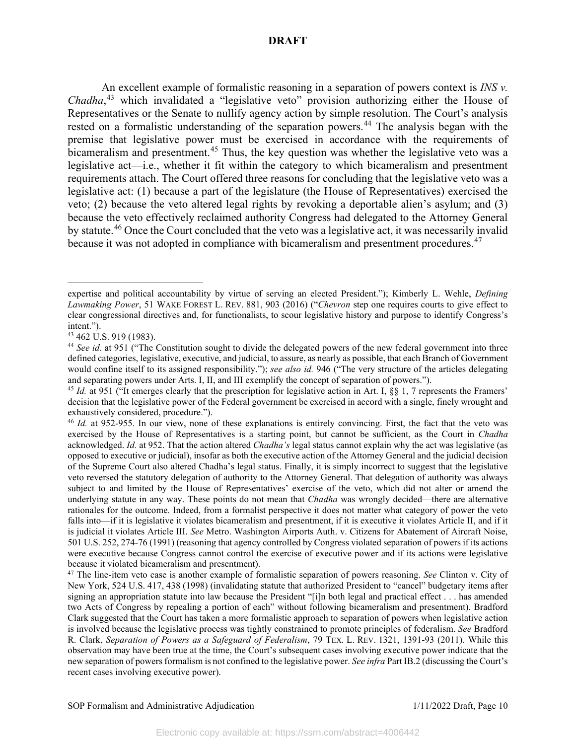An excellent example of formalistic reasoning in a separation of powers context is *INS v. Chadha*, [43](#page-10-0) which invalidated a "legislative veto" provision authorizing either the House of Representatives or the Senate to nullify agency action by simple resolution. The Court's analysis rested on a formalistic understanding of the separation powers.<sup>[44](#page-10-1)</sup> The analysis began with the premise that legislative power must be exercised in accordance with the requirements of bicameralism and presentment.<sup>[45](#page-10-2)</sup> Thus, the key question was whether the legislative veto was a legislative act—i.e., whether it fit within the category to which bicameralism and presentment requirements attach. The Court offered three reasons for concluding that the legislative veto was a legislative act: (1) because a part of the legislature (the House of Representatives) exercised the veto; (2) because the veto altered legal rights by revoking a deportable alien's asylum; and (3) because the veto effectively reclaimed authority Congress had delegated to the Attorney General by statute.<sup>[46](#page-10-3)</sup> Once the Court concluded that the veto was a legislative act, it was necessarily invalid because it was not adopted in compliance with bicameralism and presentment procedures.<sup>[47](#page-10-4)</sup>

expertise and political accountability by virtue of serving an elected President."); Kimberly L. Wehle, *Defining Lawmaking Power*, 51 WAKE FOREST L. REV. 881, 903 (2016) ("*Chevron* step one requires courts to give effect to clear congressional directives and, for functionalists, to scour legislative history and purpose to identify Congress's intent.").

<span id="page-10-0"></span><sup>43</sup> 462 U.S. 919 (1983).

<span id="page-10-1"></span><sup>&</sup>lt;sup>44</sup> See id. at 951 ("The Constitution sought to divide the delegated powers of the new federal government into three defined categories, legislative, executive, and judicial, to assure, as nearly as possible, that each Branch of Government would confine itself to its assigned responsibility."); *see also id.* 946 ("The very structure of the articles delegating and separating powers under Arts. I, II, and III exemplify the concept of separation of powers.").

<span id="page-10-2"></span><sup>&</sup>lt;sup>45</sup> *Id.* at 951 ("It emerges clearly that the prescription for legislative action in Art. I, §§ 1, 7 represents the Framers' decision that the legislative power of the Federal government be exercised in accord with a single, finely wrought and exhaustively considered, procedure.").

<span id="page-10-3"></span><sup>46</sup> *Id.* at 952-955. In our view, none of these explanations is entirely convincing. First, the fact that the veto was exercised by the House of Representatives is a starting point, but cannot be sufficient, as the Court in *Chadha*  acknowledged. *Id.* at 952. That the action altered *Chadha's* legal status cannot explain why the act was legislative (as opposed to executive or judicial), insofar as both the executive action of the Attorney General and the judicial decision of the Supreme Court also altered Chadha's legal status. Finally, it is simply incorrect to suggest that the legislative veto reversed the statutory delegation of authority to the Attorney General. That delegation of authority was always subject to and limited by the House of Representatives' exercise of the veto, which did not alter or amend the underlying statute in any way. These points do not mean that *Chadha* was wrongly decided—there are alternative rationales for the outcome. Indeed, from a formalist perspective it does not matter what category of power the veto falls into—if it is legislative it violates bicameralism and presentment, if it is executive it violates Article II, and if it is judicial it violates Article III. *See* Metro. Washington Airports Auth. v. Citizens for Abatement of Aircraft Noise, 501 U.S. 252, 274-76 (1991) (reasoning that agency controlled by Congress violated separation of powers if its actions were executive because Congress cannot control the exercise of executive power and if its actions were legislative because it violated bicameralism and presentment).

<span id="page-10-4"></span><sup>47</sup> The line-item veto case is another example of formalistic separation of powers reasoning. *See* Clinton v. City of New York, 524 U.S. 417, 438 (1998) (invalidating statute that authorized President to "cancel" budgetary items after signing an appropriation statute into law because the President "[i]n both legal and practical effect . . . has amended two Acts of Congress by repealing a portion of each" without following bicameralism and presentment). Bradford Clark suggested that the Court has taken a more formalistic approach to separation of powers when legislative action is involved because the legislative process was tightly constrained to promote principles of federalism. *See* Bradford R. Clark, *Separation of Powers as a Safeguard of Federalism*, 79 TEX. L. REV. 1321, 1391-93 (2011). While this observation may have been true at the time, the Court's subsequent cases involving executive power indicate that the new separation of powers formalism is not confined to the legislative power. *See infra* Part IB.2 (discussing the Court's recent cases involving executive power).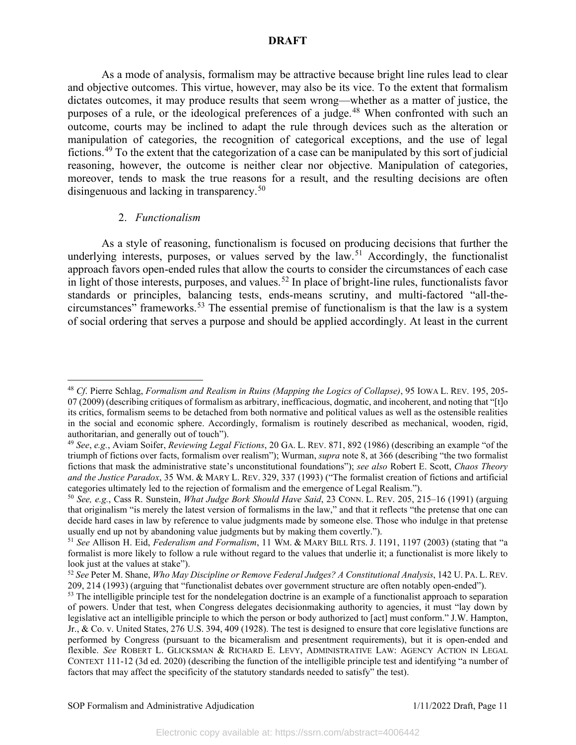As a mode of analysis, formalism may be attractive because bright line rules lead to clear and objective outcomes. This virtue, however, may also be its vice. To the extent that formalism dictates outcomes, it may produce results that seem wrong—whether as a matter of justice, the purposes of a rule, or the ideological preferences of a judge.<sup>[48](#page-11-0)</sup> When confronted with such an outcome, courts may be inclined to adapt the rule through devices such as the alteration or manipulation of categories, the recognition of categorical exceptions, and the use of legal fictions.[49](#page-11-1) To the extent that the categorization of a case can be manipulated by this sort of judicial reasoning, however, the outcome is neither clear nor objective. Manipulation of categories, moreover, tends to mask the true reasons for a result, and the resulting decisions are often disingenuous and lacking in transparency.<sup>[50](#page-11-2)</sup>

# 2. *Functionalism*

As a style of reasoning, functionalism is focused on producing decisions that further the underlying interests, purposes, or values served by the law.<sup>[51](#page-11-3)</sup> Accordingly, the functionalist approach favors open-ended rules that allow the courts to consider the circumstances of each case in light of those interests, purposes, and values.<sup>[52](#page-11-4)</sup> In place of bright-line rules, functionalists favor standards or principles, balancing tests, ends-means scrutiny, and multi-factored "all-thecircumstances" frameworks. [53](#page-11-5) The essential premise of functionalism is that the law is a system of social ordering that serves a purpose and should be applied accordingly. At least in the current

<span id="page-11-0"></span><sup>48</sup> *Cf*. Pierre Schlag, *Formalism and Realism in Ruins (Mapping the Logics of Collapse)*, 95 IOWA L. REV. 195, 205- 07 (2009) (describing critiques of formalism as arbitrary, inefficacious, dogmatic, and incoherent, and noting that "[t]o its critics, formalism seems to be detached from both normative and political values as well as the ostensible realities in the social and economic sphere. Accordingly, formalism is routinely described as mechanical, wooden, rigid, authoritarian, and generally out of touch").

<span id="page-11-1"></span><sup>49</sup> *See*, *e.g.*, Aviam Soifer, *Reviewing Legal Fictions*, 20 GA. L. REV. 871, 892 (1986) (describing an example "of the triumph of fictions over facts, formalism over realism"); Wurman, *supra* note 8, at 366 (describing "the two formalist fictions that mask the administrative state's unconstitutional foundations"); *see also* Robert E. Scott, *Chaos Theory and the Justice Paradox*, 35 WM. & MARY L. REV. 329, 337 (1993) ("The formalist creation of fictions and artificial categories ultimately led to the rejection of formalism and the emergence of Legal Realism.").

<span id="page-11-2"></span><sup>50</sup> *See, e.g.*, Cass R. Sunstein, *What Judge Bork Should Have Said*, 23 CONN. L. REV. 205, 215–16 (1991) (arguing that originalism "is merely the latest version of formalisms in the law," and that it reflects "the pretense that one can decide hard cases in law by reference to value judgments made by someone else. Those who indulge in that pretense usually end up not by abandoning value judgments but by making them covertly.").

<span id="page-11-3"></span><sup>51</sup> *See* Allison H. Eid, *Federalism and Formalism*, 11 WM. & MARY BILL RTS. J. 1191, 1197 (2003) (stating that "a formalist is more likely to follow a rule without regard to the values that underlie it; a functionalist is more likely to look just at the values at stake").

<span id="page-11-4"></span><sup>52</sup> *See* Peter M. Shane, *Who May Discipline or Remove Federal Judges? A Constitutional Analysis*, 142 U. PA. L. REV. 209, 214 (1993) (arguing that "functionalist debates over government structure are often notably open-ended").

<span id="page-11-5"></span> $<sup>53</sup>$  The intelligible principle test for the nondelegation doctrine is an example of a functionalist approach to separation</sup> of powers. Under that test, when Congress delegates decisionmaking authority to agencies, it must "lay down by legislative act an intelligible principle to which the person or body authorized to [act] must conform." J.W. Hampton, Jr., & Co. v. United States, 276 U.S. 394, 409 (1928). The test is designed to ensure that core legislative functions are performed by Congress (pursuant to the bicameralism and presentment requirements), but it is open-ended and flexible. *See* ROBERT L. GLICKSMAN & RICHARD E. LEVY, ADMINISTRATIVE LAW: AGENCY ACTION IN LEGAL CONTEXT 111-12 (3d ed. 2020) (describing the function of the intelligible principle test and identifying "a number of factors that may affect the specificity of the statutory standards needed to satisfy" the test).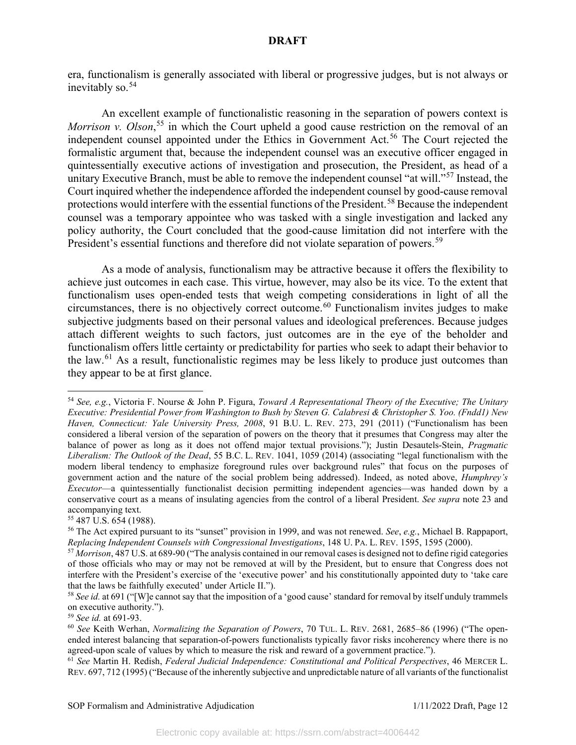era, functionalism is generally associated with liberal or progressive judges, but is not always or inevitably so. $54$ 

An excellent example of functionalistic reasoning in the separation of powers context is Morrison v. Olson,<sup>[55](#page-12-1)</sup> in which the Court upheld a good cause restriction on the removal of an independent counsel appointed under the Ethics in Government Act.<sup>[56](#page-12-2)</sup> The Court rejected the formalistic argument that, because the independent counsel was an executive officer engaged in quintessentially executive actions of investigation and prosecution, the President, as head of a unitary Executive Branch, must be able to remove the independent counsel "at will."<sup>[57](#page-12-3)</sup> Instead, the Court inquired whether the independence afforded the independent counsel by good-cause removal protections would interfere with the essential functions of the President.<sup>[58](#page-12-4)</sup> Because the independent counsel was a temporary appointee who was tasked with a single investigation and lacked any policy authority, the Court concluded that the good-cause limitation did not interfere with the President's essential functions and therefore did not violate separation of powers.<sup>[59](#page-12-5)</sup>

As a mode of analysis, functionalism may be attractive because it offers the flexibility to achieve just outcomes in each case. This virtue, however, may also be its vice. To the extent that functionalism uses open-ended tests that weigh competing considerations in light of all the circumstances, there is no objectively correct outcome. [60](#page-12-6) Functionalism invites judges to make subjective judgments based on their personal values and ideological preferences. Because judges attach different weights to such factors, just outcomes are in the eye of the beholder and functionalism offers little certainty or predictability for parties who seek to adapt their behavior to the law.<sup>[61](#page-12-7)</sup> As a result, functionalistic regimes may be less likely to produce just outcomes than they appear to be at first glance.

<span id="page-12-0"></span><sup>54</sup> *See, e.g.*, Victoria F. Nourse & John P. Figura, *Toward A Representational Theory of the Executive; The Unitary Executive: Presidential Power from Washington to Bush by Steven G. Calabresi & Christopher S. Yoo. (Fndd1) New Haven, Connecticut: Yale University Press, 2008*, 91 B.U. L. REV. 273, 291 (2011) ("Functionalism has been considered a liberal version of the separation of powers on the theory that it presumes that Congress may alter the balance of power as long as it does not offend major textual provisions."); Justin Desautels-Stein, *Pragmatic Liberalism: The Outlook of the Dead*, 55 B.C. L. REV. 1041, 1059 (2014) (associating "legal functionalism with the modern liberal tendency to emphasize foreground rules over background rules" that focus on the purposes of government action and the nature of the social problem being addressed). Indeed, as noted above, *Humphrey's Executor*—a quintessentially functionalist decision permitting independent agencies—was handed down by a conservative court as a means of insulating agencies from the control of a liberal President. *See supra* note 23 and accompanying text.<br> $55\,487$  U.S. 654 (1988).

<span id="page-12-2"></span><span id="page-12-1"></span><sup>&</sup>lt;sup>56</sup> The Act expired pursuant to its "sunset" provision in 1999, and was not renewed. *See*, *e.g.*, Michael B. Rappaport, *Replacing Independent Counsels with Congressional Investigations*, 148 U. PA. L. REV. 1595, 1595 (2000).

<span id="page-12-3"></span><sup>57</sup> *Morrison*, 487 U.S. at 689-90 ("The analysis contained in our removal cases is designed not to define rigid categories of those officials who may or may not be removed at will by the President, but to ensure that Congress does not interfere with the President's exercise of the 'executive power' and his constitutionally appointed duty to 'take care that the laws be faithfully executed' under Article II.").

<span id="page-12-4"></span><sup>&</sup>lt;sup>58</sup> See id. at 691 ("[W]e cannot say that the imposition of a 'good cause' standard for removal by itself unduly trammels on executive authority.").

<span id="page-12-5"></span><sup>59</sup> *See id.* at 691-93.

<span id="page-12-6"></span><sup>60</sup> *See* Keith Werhan, *Normalizing the Separation of Powers*, 70 TUL. L. REV. 2681, 2685–86 (1996) ("The openended interest balancing that separation-of-powers functionalists typically favor risks incoherency where there is no agreed-upon scale of values by which to measure the risk and reward of a government practice.").

<span id="page-12-7"></span><sup>61</sup> *See* Martin H. Redish, *Federal Judicial Independence: Constitutional and Political Perspectives*, 46 MERCER L. REV. 697, 712 (1995) ("Because of the inherently subjective and unpredictable nature of all variants of the functionalist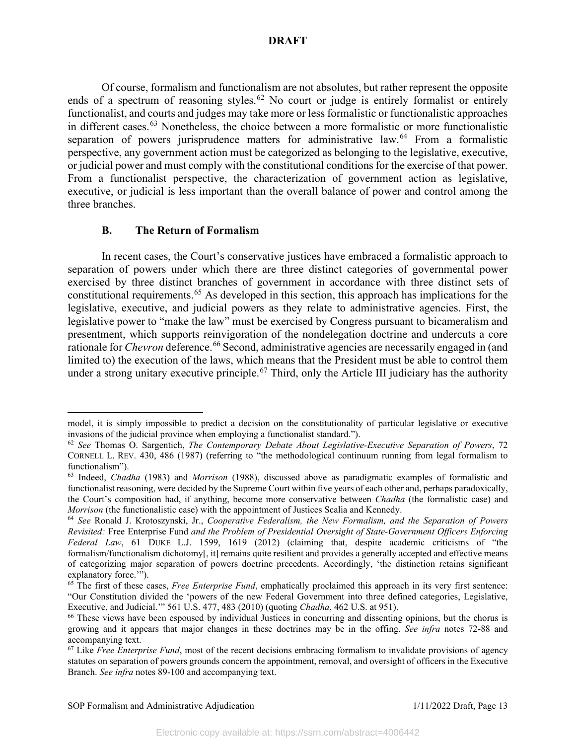Of course, formalism and functionalism are not absolutes, but rather represent the opposite ends of a spectrum of reasoning styles.<sup>[62](#page-13-0)</sup> No court or judge is entirely formalist or entirely functionalist, and courts and judges may take more or less formalistic or functionalistic approaches in different cases. [63](#page-13-1) Nonetheless, the choice between a more formalistic or more functionalistic separation of powers jurisprudence matters for administrative law.<sup>[64](#page-13-2)</sup> From a formalistic perspective, any government action must be categorized as belonging to the legislative, executive, or judicial power and must comply with the constitutional conditions for the exercise of that power. From a functionalist perspective, the characterization of government action as legislative, executive, or judicial is less important than the overall balance of power and control among the three branches.

## **B. The Return of Formalism**

In recent cases, the Court's conservative justices have embraced a formalistic approach to separation of powers under which there are three distinct categories of governmental power exercised by three distinct branches of government in accordance with three distinct sets of constitutional requirements. [65](#page-13-3) As developed in this section, this approach has implications for the legislative, executive, and judicial powers as they relate to administrative agencies. First, the legislative power to "make the law" must be exercised by Congress pursuant to bicameralism and presentment, which supports reinvigoration of the nondelegation doctrine and undercuts a core rationale for *Chevron* deference.<sup>[66](#page-13-4)</sup> Second, administrative agencies are necessarily engaged in (and limited to) the execution of the laws, which means that the President must be able to control them under a strong unitary executive principle.<sup>[67](#page-13-5)</sup> Third, only the Article III judiciary has the authority

model, it is simply impossible to predict a decision on the constitutionality of particular legislative or executive invasions of the judicial province when employing a functionalist standard.").

<span id="page-13-0"></span><sup>62</sup> *See* Thomas O. Sargentich, *The Contemporary Debate About Legislative-Executive Separation of Powers*, 72 CORNELL L. REV. 430, 486 (1987) (referring to "the methodological continuum running from legal formalism to functionalism").

<span id="page-13-1"></span><sup>63</sup> Indeed, *Chadha* (1983) and *Morrison* (1988), discussed above as paradigmatic examples of formalistic and functionalist reasoning, were decided by the Supreme Court within five years of each other and, perhaps paradoxically, the Court's composition had, if anything, become more conservative between *Chadha* (the formalistic case) and *Morrison* (the functionalistic case) with the appointment of Justices Scalia and Kennedy.<br><sup>64</sup> *See* Ronald J. Krotoszynski, Jr., *Cooperative Federalism, the New Formalism, and the Separation of Powers* 

<span id="page-13-2"></span>*Revisited:* Free Enterprise Fund *and the Problem of Presidential Oversight of State-Government Officers Enforcing Federal Law*, 61 DUKE L.J. 1599, 1619 (2012) (claiming that, despite academic criticisms of "the formalism/functionalism dichotomy[, it] remains quite resilient and provides a generally accepted and effective means of categorizing major separation of powers doctrine precedents. Accordingly, 'the distinction retains significant explanatory force."").

<span id="page-13-3"></span><sup>&</sup>lt;sup>65</sup> The first of these cases, *Free Enterprise Fund*, emphatically proclaimed this approach in its very first sentence: "Our Constitution divided the 'powers of the new Federal Government into three defined categories, Legislative, Executive, and Judicial.'" 561 U.S. 477, 483 (2010) (quoting *Chadha*, 462 U.S. at 951). <sup>66</sup> These views have been espoused by individual Justices in concurring and dissenting opinions, but the chorus is

<span id="page-13-4"></span>growing and it appears that major changes in these doctrines may be in the offing. *See infra* notes 72-88 and accompanying text.

<span id="page-13-5"></span><sup>67</sup> Like *Free Enterprise Fund*, most of the recent decisions embracing formalism to invalidate provisions of agency statutes on separation of powers grounds concern the appointment, removal, and oversight of officers in the Executive Branch. *See infra* notes 89-100 and accompanying text.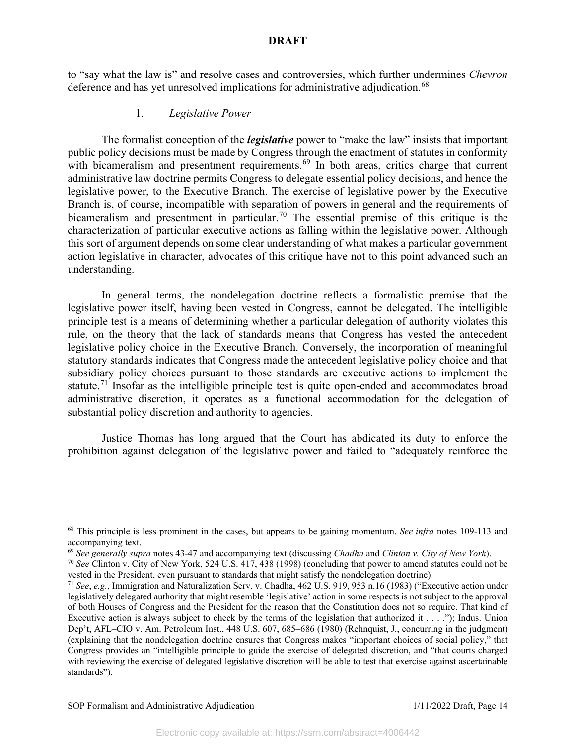to "say what the law is" and resolve cases and controversies, which further undermines *Chevron*  deference and has yet unresolved implications for administrative adjudication.<sup>[68](#page-14-0)</sup>

### 1. *Legislative Power*

The formalist conception of the *legislative* power to "make the law" insists that important public policy decisions must be made by Congress through the enactment of statutes in conformity with bicameralism and presentment requirements.<sup>[69](#page-14-1)</sup> In both areas, critics charge that current administrative law doctrine permits Congress to delegate essential policy decisions, and hence the legislative power, to the Executive Branch. The exercise of legislative power by the Executive Branch is, of course, incompatible with separation of powers in general and the requirements of bicameralism and presentment in particular.<sup>[70](#page-14-2)</sup> The essential premise of this critique is the characterization of particular executive actions as falling within the legislative power. Although this sort of argument depends on some clear understanding of what makes a particular government action legislative in character, advocates of this critique have not to this point advanced such an understanding.

In general terms, the nondelegation doctrine reflects a formalistic premise that the legislative power itself, having been vested in Congress, cannot be delegated. The intelligible principle test is a means of determining whether a particular delegation of authority violates this rule, on the theory that the lack of standards means that Congress has vested the antecedent legislative policy choice in the Executive Branch. Conversely, the incorporation of meaningful statutory standards indicates that Congress made the antecedent legislative policy choice and that subsidiary policy choices pursuant to those standards are executive actions to implement the statute.<sup>[71](#page-14-3)</sup> Insofar as the intelligible principle test is quite open-ended and accommodates broad administrative discretion, it operates as a functional accommodation for the delegation of substantial policy discretion and authority to agencies.

Justice Thomas has long argued that the Court has abdicated its duty to enforce the prohibition against delegation of the legislative power and failed to "adequately reinforce the

<span id="page-14-0"></span><sup>68</sup> This principle is less prominent in the cases, but appears to be gaining momentum. *See infra* notes 109-113 and accompanying text.

<span id="page-14-1"></span><sup>69</sup> *See generally supra* notes 43-47 and accompanying text (discussing *Chadha* and *Clinton v. City of New York*).

<span id="page-14-2"></span><sup>70</sup> *See* Clinton v. City of New York, 524 U.S. 417, 438 (1998) (concluding that power to amend statutes could not be vested in the President, even pursuant to standards that might satisfy the nondelegation doctrine).

<span id="page-14-3"></span><sup>71</sup> *See*, *e.g.*, Immigration and Naturalization Serv. v. Chadha, 462 U.S. 919, 953 n.16 (1983) ("Executive action under legislatively delegated authority that might resemble 'legislative' action in some respects is not subject to the approval of both Houses of Congress and the President for the reason that the Constitution does not so require. That kind of Executive action is always subject to check by the terms of the legislation that authorized it  $\dots$ ."); Indus. Union Dep't, AFL–CIO v. Am. Petroleum Inst., 448 U.S. 607, 685–686 (1980) (Rehnquist, J., concurring in the judgment) (explaining that the nondelegation doctrine ensures that Congress makes "important choices of social policy," that Congress provides an "intelligible principle to guide the exercise of delegated discretion, and "that courts charged with reviewing the exercise of delegated legislative discretion will be able to test that exercise against ascertainable standards").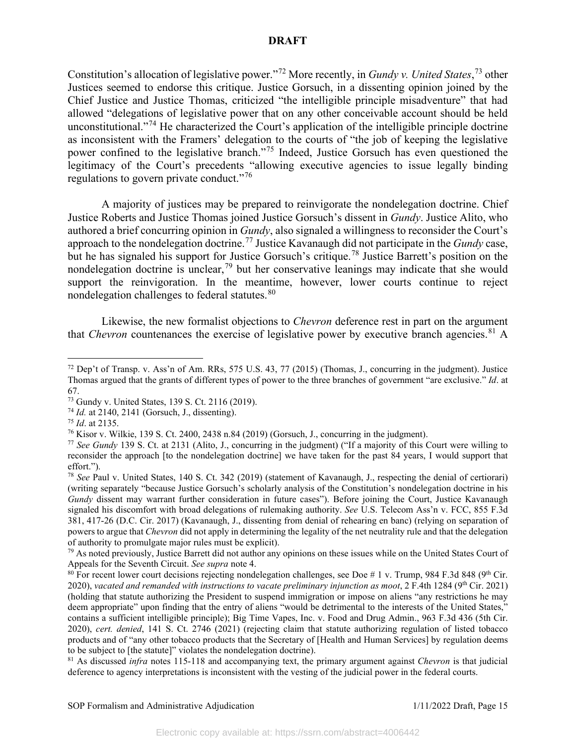Constitution's allocation of legislative power."[72](#page-15-0) More recently, in *Gundy v. United States*, [73](#page-15-1) other Justices seemed to endorse this critique. Justice Gorsuch, in a dissenting opinion joined by the Chief Justice and Justice Thomas, criticized "the intelligible principle misadventure" that had allowed "delegations of legislative power that on any other conceivable account should be held unconstitutional."[74](#page-15-2) He characterized the Court's application of the intelligible principle doctrine as inconsistent with the Framers' delegation to the courts of "the job of keeping the legislative power confined to the legislative branch."[75](#page-15-3) Indeed, Justice Gorsuch has even questioned the legitimacy of the Court's precedents "allowing executive agencies to issue legally binding regulations to govern private conduct."<sup>[76](#page-15-4)</sup>

A majority of justices may be prepared to reinvigorate the nondelegation doctrine. Chief Justice Roberts and Justice Thomas joined Justice Gorsuch's dissent in *Gundy*. Justice Alito, who authored a brief concurring opinion in *Gundy*, also signaled a willingness to reconsider the Court's approach to the nondelegation doctrine.[77](#page-15-5) Justice Kavanaugh did not participate in the *Gundy* case, but he has signaled his support for Justice Gorsuch's critique.<sup>[78](#page-15-6)</sup> Justice Barrett's position on the nondelegation doctrine is unclear,[79](#page-15-7) but her conservative leanings may indicate that she would support the reinvigoration. In the meantime, however, lower courts continue to reject nondelegation challenges to federal statutes.<sup>[80](#page-15-8)</sup>

Likewise, the new formalist objections to *Chevron* deference rest in part on the argument that *Chevron* countenances the exercise of legislative power by executive branch agencies.<sup>[81](#page-15-9)</sup> A

<span id="page-15-0"></span> $72$  Dep't of Transp. v. Ass'n of Am. RRs, 575 U.S. 43, 77 (2015) (Thomas, J., concurring in the judgment). Justice Thomas argued that the grants of different types of power to the three branches of government "are exclusive." *Id*. at 67.

<span id="page-15-1"></span><sup>73</sup> Gundy v. United States, 139 S. Ct. 2116 (2019).

<span id="page-15-3"></span><span id="page-15-2"></span><sup>&</sup>lt;sup>74</sup> *Id.* at 2140, 2141 (Gorsuch, J., dissenting).<br><sup>75</sup> *Id.* at 2135.

<span id="page-15-4"></span><sup>&</sup>lt;sup>76</sup> Kisor v. Wilkie, 139 S. Ct. 2400, 2438 n.84 (2019) (Gorsuch, J., concurring in the judgment).

<span id="page-15-5"></span><sup>77</sup> *See Gundy* 139 S. Ct. at 2131 (Alito, J., concurring in the judgment) ("If a majority of this Court were willing to reconsider the approach [to the nondelegation doctrine] we have taken for the past 84 years, I would support that effort.").

<span id="page-15-6"></span><sup>78</sup> *See* Paul v. United States, 140 S. Ct. 342 (2019) (statement of Kavanaugh, J., respecting the denial of certiorari) (writing separately "because Justice Gorsuch's scholarly analysis of the Constitution's nondelegation doctrine in his *Gundy* dissent may warrant further consideration in future cases"). Before joining the Court, Justice Kavanaugh signaled his discomfort with broad delegations of rulemaking authority. *See* U.S. Telecom Ass'n v. FCC, 855 F.3d 381, 417-26 (D.C. Cir. 2017) (Kavanaugh, J., dissenting from denial of rehearing en banc) (relying on separation of powers to argue that *Chevron* did not apply in determining the legality of the net neutrality rule and that the delegation of authority to promulgate major rules must be explicit).

<span id="page-15-7"></span> $79$  As noted previously, Justice Barrett did not author any opinions on these issues while on the United States Court of Appeals for the Seventh Circuit. *See supra* note 4.

<span id="page-15-8"></span> $80$  For recent lower court decisions rejecting nondelegation challenges, see Doe # 1 v. Trump, 984 F.3d 848 (9<sup>th</sup> Cir. 2020), *vacated and remanded with instructions to vacate preliminary injunction as moot*, 2 F.4th 1284 (9<sup>th</sup> Cir. 2021) (holding that statute authorizing the President to suspend immigration or impose on aliens "any restrictions he may deem appropriate" upon finding that the entry of aliens "would be detrimental to the interests of the United States," contains a sufficient intelligible principle); Big Time Vapes, Inc. v. Food and Drug Admin., 963 F.3d 436 (5th Cir. 2020), *cert. denied*, 141 S. Ct. 2746 (2021) (rejecting claim that statute authorizing regulation of listed tobacco products and of "any other tobacco products that the Secretary of [Health and Human Services] by regulation deems to be subject to [the statute]" violates the nondelegation doctrine).

<span id="page-15-9"></span><sup>81</sup> As discussed *infra* notes 115-118 and accompanying text, the primary argument against *Chevron* is that judicial deference to agency interpretations is inconsistent with the vesting of the judicial power in the federal courts.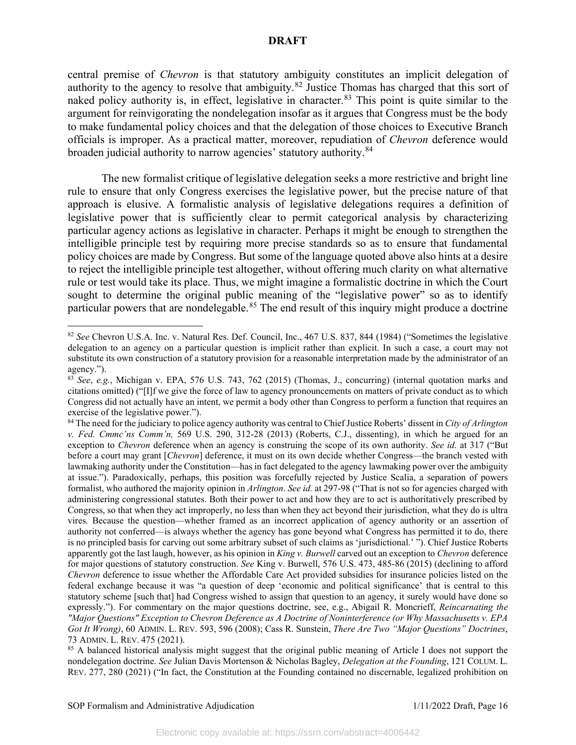central premise of *Chevron* is that statutory ambiguity constitutes an implicit delegation of authority to the agency to resolve that ambiguity.<sup>[82](#page-16-0)</sup> Justice Thomas has charged that this sort of naked policy authority is, in effect, legislative in character.<sup>[83](#page-16-1)</sup> This point is quite similar to the argument for reinvigorating the nondelegation insofar as it argues that Congress must be the body to make fundamental policy choices and that the delegation of those choices to Executive Branch officials is improper. As a practical matter, moreover, repudiation of *Chevron* deference would broaden judicial authority to narrow agencies' statutory authority.<sup>[84](#page-16-2)</sup>

The new formalist critique of legislative delegation seeks a more restrictive and bright line rule to ensure that only Congress exercises the legislative power, but the precise nature of that approach is elusive. A formalistic analysis of legislative delegations requires a definition of legislative power that is sufficiently clear to permit categorical analysis by characterizing particular agency actions as legislative in character. Perhaps it might be enough to strengthen the intelligible principle test by requiring more precise standards so as to ensure that fundamental policy choices are made by Congress. But some of the language quoted above also hints at a desire to reject the intelligible principle test altogether, without offering much clarity on what alternative rule or test would take its place. Thus, we might imagine a formalistic doctrine in which the Court sought to determine the original public meaning of the "legislative power" so as to identify particular powers that are nondelegable.<sup>[85](#page-16-3)</sup> The end result of this inquiry might produce a doctrine

<span id="page-16-0"></span><sup>82</sup> *See* Chevron U.S.A. Inc. v. Natural Res. Def. Council, Inc., 467 U.S. 837, 844 (1984) ("Sometimes the legislative delegation to an agency on a particular question is implicit rather than explicit. In such a case, a court may not substitute its own construction of a statutory provision for a reasonable interpretation made by the administrator of an agency.").

<span id="page-16-1"></span><sup>83</sup> *See*, *e.g.*, Michigan v. EPA, 576 U.S. 743, 762 (2015) (Thomas, J., concurring) (internal quotation marks and citations omitted) ("[I]f we give the force of law to agency pronouncements on matters of private conduct as to which Congress did not actually have an intent, we permit a body other than Congress to perform a function that requires an exercise of the legislative power.").

<span id="page-16-2"></span><sup>84</sup> The need for the judiciary to police agency authority was central to Chief Justice Roberts' dissent in *City of Arlington v. Fed. Cmmc'ns Comm'n,* 569 U.S. 290, 312-28 (2013) (Roberts, C.J., dissenting), in which he argued for an exception to *Chevron* deference when an agency is construing the scope of its own authority. *See id.* at 317 ("But before a court may grant [*Chevron*] deference, it must on its own decide whether Congress—the branch vested with lawmaking authority under the Constitution—has in fact delegated to the agency lawmaking power over the ambiguity at issue."). Paradoxically, perhaps, this position was forcefully rejected by Justice Scalia, a separation of powers formalist, who authored the majority opinion in *Arlington*. *See id.* at 297-98 ("That is not so for agencies charged with administering congressional statutes. Both their power to act and how they are to act is authoritatively prescribed by Congress, so that when they act improperly, no less than when they act beyond their jurisdiction, what they do is ultra vires*.* Because the question—whether framed as an incorrect application of agency authority or an assertion of authority not conferred—is always whether the agency has gone beyond what Congress has permitted it to do, there is no principled basis for carving out some arbitrary subset of such claims as 'jurisdictional.' "). Chief Justice Roberts apparently got the last laugh, however, as his opinion in *King v. Burwell* carved out an exception to *Chevron* deference for major questions of statutory construction. *See* King v. Burwell, 576 U.S. 473, 485-86 (2015) (declining to afford *Chevron* deference to issue whether the Affordable Care Act provided subsidies for insurance policies listed on the federal exchange because it was "a question of deep 'economic and political significance' that is central to this statutory scheme [such that] had Congress wished to assign that question to an agency, it surely would have done so expressly."). For commentary on the major questions doctrine, see, e.g., Abigail R. Moncrieff, *Reincarnating the "Major Questions" Exception to Chevron Deference as A Doctrine of Noninterference (or Why Massachusetts v. EPA Got It Wrong)*, 60 ADMIN. L. REV. 593, 596 (2008); Cass R. Sunstein, *There Are Two "Major Questions" Doctrines*, 73 ADMIN. L. REV. 475 (2021).

<span id="page-16-3"></span><sup>&</sup>lt;sup>85</sup> A balanced historical analysis might suggest that the original public meaning of Article I does not support the nondelegation doctrine. *See* Julian Davis Mortenson & Nicholas Bagley, *Delegation at the Founding*, 121 COLUM. L. REV. 277, 280 (2021) ("In fact, the Constitution at the Founding contained no discernable, legalized prohibition on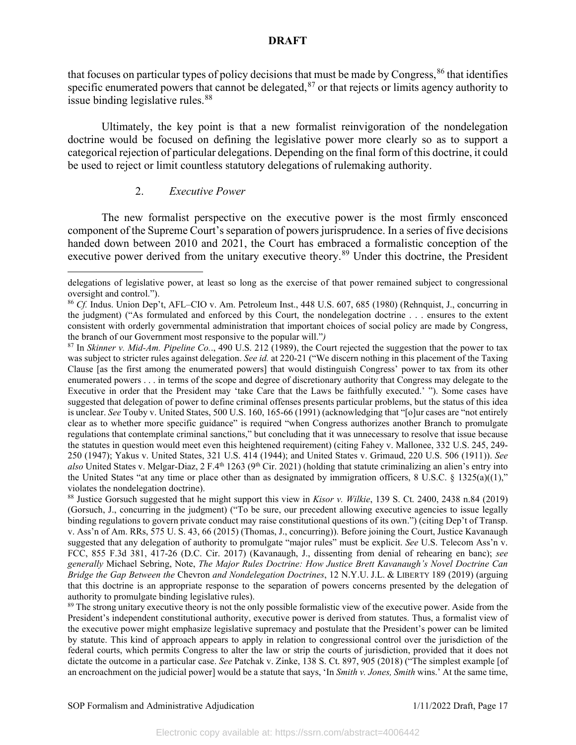that focuses on particular types of policy decisions that must be made by Congress,  $^{86}$  $^{86}$  $^{86}$  that identifies specific enumerated powers that cannot be delegated, $87$  or that rejects or limits agency authority to issue binding legislative rules.<sup>[88](#page-17-2)</sup>

Ultimately, the key point is that a new formalist reinvigoration of the nondelegation doctrine would be focused on defining the legislative power more clearly so as to support a categorical rejection of particular delegations. Depending on the final form of this doctrine, it could be used to reject or limit countless statutory delegations of rulemaking authority.

## 2. *Executive Power*

The new formalist perspective on the executive power is the most firmly ensconced component of the Supreme Court's separation of powers jurisprudence. In a series of five decisions handed down between 2010 and 2021, the Court has embraced a formalistic conception of the executive power derived from the unitary executive theory.<sup>[89](#page-17-3)</sup> Under this doctrine, the President

delegations of legislative power, at least so long as the exercise of that power remained subject to congressional oversight and control.").

<span id="page-17-0"></span><sup>86</sup> *Cf.* Indus. Union Dep't, AFL–CIO v. Am. Petroleum Inst., 448 U.S. 607, 685 (1980) (Rehnquist, J., concurring in the judgment) ("As formulated and enforced by this Court, the nondelegation doctrine . . . ensures to the extent consistent with orderly governmental administration that important choices of social policy are made by Congress, the branch of our Government most responsive to the popular will."*)*

<span id="page-17-1"></span><sup>87</sup> In *Skinner v. Mid-Am. Pipeline Co.*., 490 U.S. 212 (1989), the Court rejected the suggestion that the power to tax was subject to stricter rules against delegation. *See id.* at 220-21 ("We discern nothing in this placement of the Taxing Clause [as the first among the enumerated powers] that would distinguish Congress' power to tax from its other enumerated powers . . . in terms of the scope and degree of discretionary authority that Congress may delegate to the Executive in order that the President may 'take Care that the Laws be faithfully executed.' "). Some cases have suggested that delegation of power to define criminal offenses presents particular problems, but the status of this idea is unclear. *See* Touby v. United States, 500 U.S. 160, 165-66 (1991) (acknowledging that "[o]ur cases are "not entirely clear as to whether more specific guidance" is required "when Congress authorizes another Branch to promulgate regulations that contemplate criminal sanctions," but concluding that it was unnecessary to resolve that issue because the statutes in question would meet even this heightened requirement) (citing Fahey v. Mallonee, 332 U.S. 245, 249- 250 (1947); Yakus v. United States, 321 U.S. 414 (1944); and United States v. Grimaud, 220 U.S. 506 (1911)). *See also* United States v. Melgar-Diaz, 2 F.4<sup>th</sup> 1263 (9<sup>th</sup> Cir. 2021) (holding that statute criminalizing an alien's entry into the United States "at any time or place other than as designated by immigration officers, 8 U.S.C.  $\S$  1325(a)((1)," violates the nondelegation doctrine).

<span id="page-17-2"></span><sup>88</sup> Justice Gorsuch suggested that he might support this view in *Kisor v. Wilkie*, 139 S. Ct. 2400, 2438 n.84 (2019) (Gorsuch, J., concurring in the judgment) ("To be sure, our precedent allowing executive agencies to issue legally binding regulations to govern private conduct may raise constitutional questions of its own.") (citing Dep't of Transp. v. Ass'n of Am. RRs, 575 U. S. 43, 66 (2015) (Thomas, J., concurring)). Before joining the Court, Justice Kavanaugh suggested that any delegation of authority to promulgate "major rules" must be explicit. *See* U.S. Telecom Ass'n v. FCC, 855 F.3d 381, 417-26 (D.C. Cir. 2017) (Kavanaugh, J., dissenting from denial of rehearing en banc); *see generally* Michael Sebring, Note, *The Major Rules Doctrine: How Justice Brett Kavanaugh's Novel Doctrine Can Bridge the Gap Between the* Chevron *and Nondelegation Doctrines*, 12 N.Y.U. J.L. & LIBERTY 189 (2019) (arguing that this doctrine is an appropriate response to the separation of powers concerns presented by the delegation of authority to promulgate binding legislative rules).

<span id="page-17-3"></span><sup>&</sup>lt;sup>89</sup> The strong unitary executive theory is not the only possible formalistic view of the executive power. Aside from the President's independent constitutional authority, executive power is derived from statutes. Thus, a formalist view of the executive power might emphasize legislative supremacy and postulate that the President's power can be limited by statute. This kind of approach appears to apply in relation to congressional control over the jurisdiction of the federal courts, which permits Congress to alter the law or strip the courts of jurisdiction, provided that it does not dictate the outcome in a particular case. *See* Patchak v. Zinke, 138 S. Ct. 897, 905 (2018) ("The simplest example [of an encroachment on the judicial power] would be a statute that says, 'In *Smith v. Jones, Smith* wins.' At the same time,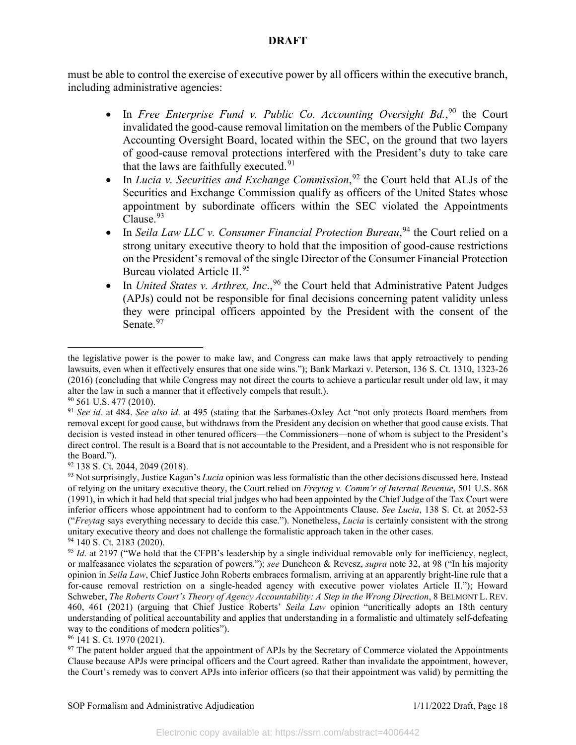must be able to control the exercise of executive power by all officers within the executive branch, including administrative agencies:

- In *Free Enterprise Fund v. Public Co. Accounting Oversight Bd.*,<sup>[90](#page-18-0)</sup> the Court invalidated the good-cause removal limitation on the members of the Public Company Accounting Oversight Board, located within the SEC, on the ground that two layers of good-cause removal protections interfered with the President's duty to take care that the laws are faithfully executed.  $91$
- In *Lucia v. Securities and Exchange Commission*,<sup>[92](#page-18-2)</sup> the Court held that ALJs of the Securities and Exchange Commission qualify as officers of the United States whose appointment by subordinate officers within the SEC violated the Appointments Clause.<sup>[93](#page-18-3)</sup>
- In *Seila Law LLC v. Consumer Financial Protection Bureau*,<sup>[94](#page-18-4)</sup> the Court relied on a strong unitary executive theory to hold that the imposition of good-cause restrictions on the President's removal of the single Director of the Consumer Financial Protection Bureau violated Article II.<sup>[95](#page-18-5)</sup>
- In *United States v. Arthrex, Inc.*,<sup>[96](#page-18-6)</sup> the Court held that Administrative Patent Judges (APJs) could not be responsible for final decisions concerning patent validity unless they were principal officers appointed by the President with the consent of the Senate.<sup>[97](#page-18-7)</sup>

<span id="page-18-6"></span><sup>96</sup> 141 S. Ct. 1970 (2021).

the legislative power is the power to make law, and Congress can make laws that apply retroactively to pending lawsuits, even when it effectively ensures that one side wins."); Bank Markazi v. Peterson, 136 S. Ct. 1310, 1323-26 (2016) (concluding that while Congress may not direct the courts to achieve a particular result under old law, it may alter the law in such a manner that it effectively compels that result.).

<span id="page-18-0"></span><sup>90</sup> 561 U.S. 477 (2010).

<span id="page-18-1"></span><sup>91</sup> *See id.* at 484. *See also id*. at 495 (stating that the Sarbanes-Oxley Act "not only protects Board members from removal except for good cause, but withdraws from the President any decision on whether that good cause exists. That decision is vested instead in other tenured officers—the Commissioners—none of whom is subject to the President's direct control. The result is a Board that is not accountable to the President, and a President who is not responsible for the Board.").<br><sup>92</sup> 138 S. Ct. 2044, 2049 (2018).

<span id="page-18-3"></span><span id="page-18-2"></span><sup>&</sup>lt;sup>93</sup> Not surprisingly, Justice Kagan's *Lucia* opinion was less formalistic than the other decisions discussed here. Instead of relying on the unitary executive theory, the Court relied on *Freytag v. Comm'r of Internal Revenue*, 501 U.S. 868 (1991), in which it had held that special trial judges who had been appointed by the Chief Judge of the Tax Court were inferior officers whose appointment had to conform to the Appointments Clause. *See Lucia*, 138 S. Ct. at 2052-53 ("*Freytag* says everything necessary to decide this case."). Nonetheless, *Lucia* is certainly consistent with the strong unitary executive theory and does not challenge the formalistic approach taken in the other cases. <sup>94</sup> 140 S. Ct. 2183 (2020).

<span id="page-18-5"></span><span id="page-18-4"></span><sup>&</sup>lt;sup>95</sup> *Id.* at 2197 ("We hold that the CFPB's leadership by a single individual removable only for inefficiency, neglect, or malfeasance violates the separation of powers."); *see* Duncheon & Revesz, *supra* note 32, at 98 ("In his majority opinion in *Seila Law*, Chief Justice John Roberts embraces formalism, arriving at an apparently bright-line rule that a for-cause removal restriction on a single-headed agency with executive power violates Article II."); Howard Schweber, *The Roberts Court's Theory of Agency Accountability: A Step in the Wrong Direction*, 8 BELMONT L. REV. 460, 461 (2021) (arguing that Chief Justice Roberts' *Seila Law* opinion "uncritically adopts an 18th century understanding of political accountability and applies that understanding in a formalistic and ultimately self-defeating way to the conditions of modern politics").

<span id="page-18-7"></span><sup>&</sup>lt;sup>97</sup> The patent holder argued that the appointment of APJs by the Secretary of Commerce violated the Appointments Clause because APJs were principal officers and the Court agreed. Rather than invalidate the appointment, however, the Court's remedy was to convert APJs into inferior officers (so that their appointment was valid) by permitting the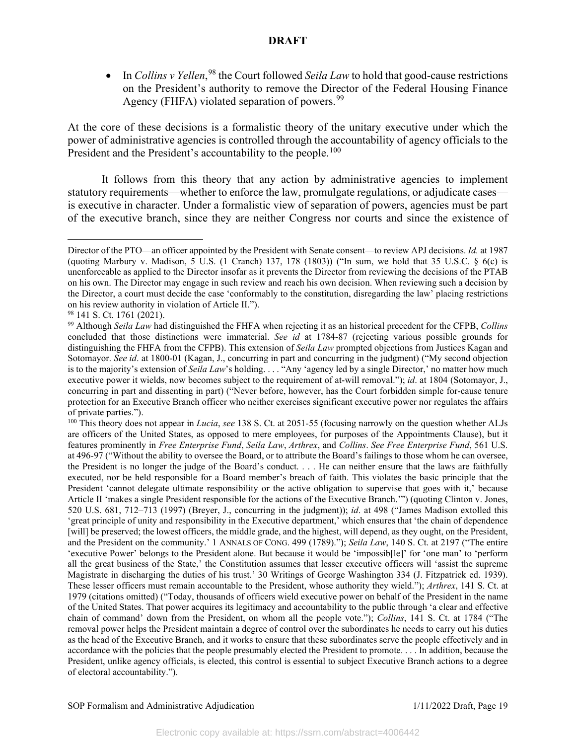• In *Collins v Yellen*,<sup>[98](#page-19-0)</sup> the Court followed *Seila Law* to hold that good-cause restrictions on the President's authority to remove the Director of the Federal Housing Finance Agency (FHFA) violated separation of powers. $99$ 

At the core of these decisions is a formalistic theory of the unitary executive under which the power of administrative agencies is controlled through the accountability of agency officials to the President and the President's accountability to the people.<sup>[100](#page-19-2)</sup>

It follows from this theory that any action by administrative agencies to implement statutory requirements—whether to enforce the law, promulgate regulations, or adjudicate cases is executive in character. Under a formalistic view of separation of powers, agencies must be part of the executive branch, since they are neither Congress nor courts and since the existence of

Director of the PTO—an officer appointed by the President with Senate consent—to review APJ decisions. *Id.* at 1987 (quoting Marbury v. Madison, 5 U.S. (1 Cranch) 137, 178 (1803)) ("In sum, we hold that 35 U.S.C. § 6(c) is unenforceable as applied to the Director insofar as it prevents the Director from reviewing the decisions of the PTAB on his own. The Director may engage in such review and reach his own decision. When reviewing such a decision by the Director, a court must decide the case 'conformably to the constitution, disregarding the law' placing restrictions on his review authority in violation of Article II.").

<span id="page-19-0"></span><sup>98 141</sup> S. Ct. 1761 (2021).

<span id="page-19-1"></span><sup>99</sup> Although *Seila Law* had distinguished the FHFA when rejecting it as an historical precedent for the CFPB, *Collins*  concluded that those distinctions were immaterial. *See id* at 1784-87 (rejecting various possible grounds for distinguishing the FHFA from the CFPB). This extension of *Seila Law* prompted objections from Justices Kagan and Sotomayor. *See id*. at 1800-01 (Kagan, J., concurring in part and concurring in the judgment) ("My second objection is to the majority's extension of *Seila Law*'s holding. . . . "Any 'agency led by a single Director,' no matter how much executive power it wields, now becomes subject to the requirement of at-will removal."); *id*. at 1804 (Sotomayor, J., concurring in part and dissenting in part) ("Never before, however, has the Court forbidden simple for-cause tenure protection for an Executive Branch officer who neither exercises significant executive power nor regulates the affairs of private parties.").

<span id="page-19-2"></span><sup>100</sup> This theory does not appear in *Lucia*, *see* 138 S. Ct. at 2051-55 (focusing narrowly on the question whether ALJs are officers of the United States, as opposed to mere employees, for purposes of the Appointments Clause), but it features prominently in *Free Enterprise Fund*, *Seila Law*, *Arthrex*, and *Collins*. *See Free Enterprise Fund*, 561 U.S. at 496-97 ("Without the ability to oversee the Board, or to attribute the Board's failings to those whom he can oversee, the President is no longer the judge of the Board's conduct. . . . He can neither ensure that the laws are faithfully executed, nor be held responsible for a Board member's breach of faith. This violates the basic principle that the President 'cannot delegate ultimate responsibility or the active obligation to supervise that goes with it,' because Article II 'makes a single President responsible for the actions of the Executive Branch.'") (quoting Clinton v. Jones, 520 U.S. 681, 712–713 (1997) (Breyer, J., concurring in the judgment)); *id*. at 498 ("James Madison extolled this 'great principle of unity and responsibility in the Executive department,' which ensures that 'the chain of dependence [will] be preserved; the lowest officers, the middle grade, and the highest, will depend, as they ought, on the President, and the President on the community.' 1 ANNALS OF CONG. 499 (1789)."); *Seila Law*, 140 S. Ct. at 2197 ("The entire 'executive Power' belongs to the President alone. But because it would be 'impossib[le]' for 'one man' to 'perform all the great business of the State,' the Constitution assumes that lesser executive officers will 'assist the supreme Magistrate in discharging the duties of his trust.' 30 Writings of George Washington 334 (J. Fitzpatrick ed. 1939). These lesser officers must remain accountable to the President, whose authority they wield."); *Arthrex*, 141 S. Ct. at 1979 (citations omitted) ("Today, thousands of officers wield executive power on behalf of the President in the name of the United States. That power acquires its legitimacy and accountability to the public through 'a clear and effective chain of command' down from the President, on whom all the people vote."); *Collins*, 141 S. Ct. at 1784 ("The removal power helps the President maintain a degree of control over the subordinates he needs to carry out his duties as the head of the Executive Branch, and it works to ensure that these subordinates serve the people effectively and in accordance with the policies that the people presumably elected the President to promote. . . . In addition, because the President, unlike agency officials, is elected, this control is essential to subject Executive Branch actions to a degree of electoral accountability.").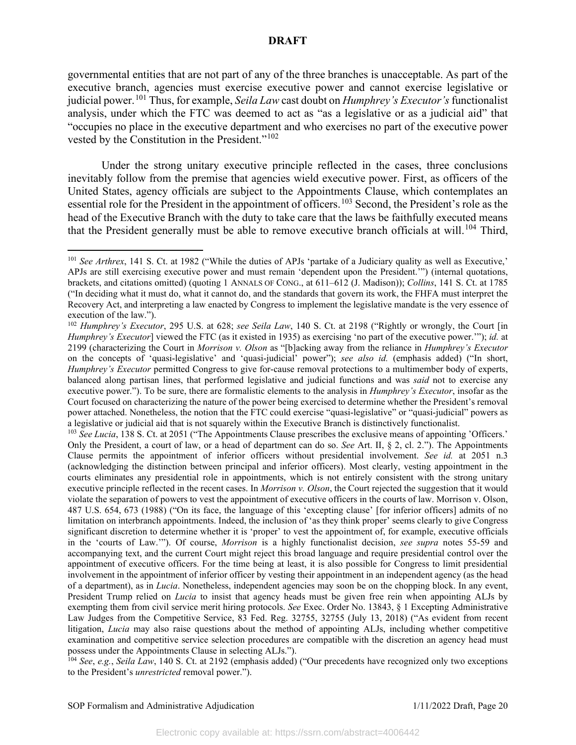governmental entities that are not part of any of the three branches is unacceptable. As part of the executive branch, agencies must exercise executive power and cannot exercise legislative or judicial power.[101](#page-20-0) Thus, for example, *Seila Law* cast doubt on *Humphrey's Executor's* functionalist analysis, under which the FTC was deemed to act as "as a legislative or as a judicial aid" that "occupies no place in the executive department and who exercises no part of the executive power vested by the Constitution in the President."<sup>[102](#page-20-1)</sup>

Under the strong unitary executive principle reflected in the cases, three conclusions inevitably follow from the premise that agencies wield executive power. First, as officers of the United States, agency officials are subject to the Appointments Clause, which contemplates an essential role for the President in the appointment of officers.[103](#page-20-2) Second, the President's role as the head of the Executive Branch with the duty to take care that the laws be faithfully executed means that the President generally must be able to remove executive branch officials at will.<sup>[104](#page-20-3)</sup> Third,

<span id="page-20-2"></span><sup>103</sup> See Lucia, 138 S. Ct. at 2051 ("The Appointments Clause prescribes the exclusive means of appointing 'Officers.' Only the President, a court of law, or a head of department can do so. *See* Art. II, § 2, cl. 2."). The Appointments Clause permits the appointment of inferior officers without presidential involvement. *See id.* at 2051 n.3 (acknowledging the distinction between principal and inferior officers). Most clearly, vesting appointment in the courts eliminates any presidential role in appointments, which is not entirely consistent with the strong unitary executive principle reflected in the recent cases. In *Morrison v. Olson*, the Court rejected the suggestion that it would violate the separation of powers to vest the appointment of executive officers in the courts of law. Morrison v. Olson, 487 U.S. 654, 673 (1988) ("On its face, the language of this 'excepting clause' [for inferior officers] admits of no limitation on interbranch appointments. Indeed, the inclusion of 'as they think proper' seems clearly to give Congress significant discretion to determine whether it is 'proper' to vest the appointment of, for example, executive officials in the 'courts of Law.'"). Of course, *Morrison* is a highly functionalist decision, *see supra* notes 55-59 and accompanying text, and the current Court might reject this broad language and require presidential control over the appointment of executive officers. For the time being at least, it is also possible for Congress to limit presidential involvement in the appointment of inferior officer by vesting their appointment in an independent agency (as the head of a department), as in *Lucia*. Nonetheless, independent agencies may soon be on the chopping block. In any event, President Trump relied on *Lucia* to insist that agency heads must be given free rein when appointing ALJs by exempting them from civil service merit hiring protocols. *See* Exec. Order No. 13843, § 1 Excepting Administrative Law Judges from the Competitive Service, 83 Fed. Reg. 32755, 32755 (July 13, 2018) ("As evident from recent litigation, *Lucia* may also raise questions about the method of appointing ALJs, including whether competitive examination and competitive service selection procedures are compatible with the discretion an agency head must possess under the Appointments Clause in selecting ALJs.").

<span id="page-20-3"></span><sup>104</sup> *See*, *e.g.*, *Seila Law*, 140 S. Ct. at 2192 (emphasis added) ("Our precedents have recognized only two exceptions to the President's *unrestricted* removal power.").

<span id="page-20-0"></span><sup>&</sup>lt;sup>101</sup> *See Arthrex*, 141 S. Ct. at 1982 ("While the duties of APJs 'partake of a Judiciary quality as well as Executive," APJs are still exercising executive power and must remain 'dependent upon the President.'") (internal quotations, brackets, and citations omitted) (quoting 1 ANNALS OF CONG., at 611–612 (J. Madison)); *Collins*, 141 S. Ct. at 1785 ("In deciding what it must do, what it cannot do, and the standards that govern its work, the FHFA must interpret the Recovery Act, and interpreting a law enacted by Congress to implement the legislative mandate is the very essence of execution of the law.").

<span id="page-20-1"></span><sup>102</sup> *Humphrey's Executor*, 295 U.S. at 628; *see Seila Law*, 140 S. Ct. at 2198 ("Rightly or wrongly, the Court [in *Humphrey's Executor*] viewed the FTC (as it existed in 1935) as exercising 'no part of the executive power.'"); *id.* at 2199 (characterizing the Court in *Morrison v. Olson* as "[b]acking away from the reliance in *Humphrey's Executor* on the concepts of 'quasi-legislative' and 'quasi-judicial' power"); *see also id.* (emphasis added) ("In short, *Humphrey's Executor* permitted Congress to give for-cause removal protections to a multimember body of experts, balanced along partisan lines, that performed legislative and judicial functions and was *said* not to exercise any executive power."). To be sure, there are formalistic elements to the analysis in *Humphrey's Executor*, insofar as the Court focused on characterizing the nature of the power being exercised to determine whether the President's removal power attached. Nonetheless, the notion that the FTC could exercise "quasi-legislative" or "quasi-judicial" powers as a legislative or judicial aid that is not squarely within the Executive Branch is distinctively functionalist.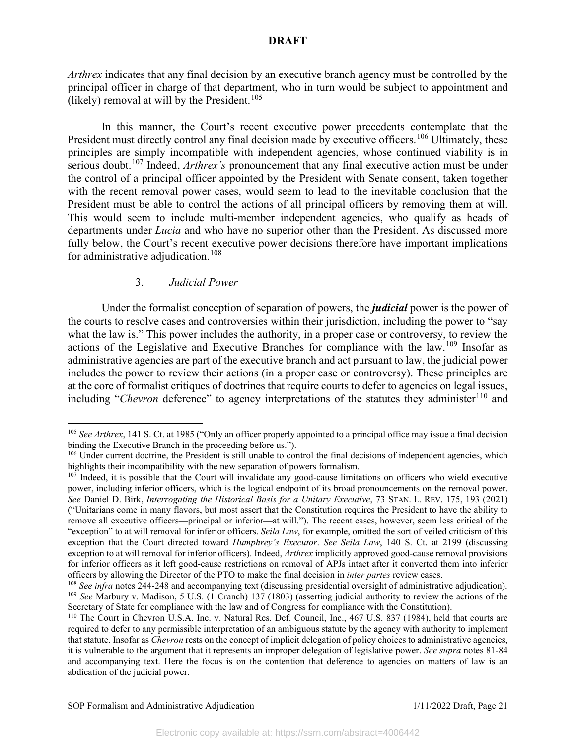*Arthrex* indicates that any final decision by an executive branch agency must be controlled by the principal officer in charge of that department, who in turn would be subject to appointment and (likely) removal at will by the President.<sup>[105](#page-21-0)</sup>

In this manner, the Court's recent executive power precedents contemplate that the President must directly control any final decision made by executive officers.<sup>[106](#page-21-1)</sup> Ultimately, these principles are simply incompatible with independent agencies, whose continued viability is in serious doubt.[107](#page-21-2) Indeed, *Arthrex's* pronouncement that any final executive action must be under the control of a principal officer appointed by the President with Senate consent, taken together with the recent removal power cases, would seem to lead to the inevitable conclusion that the President must be able to control the actions of all principal officers by removing them at will. This would seem to include multi-member independent agencies, who qualify as heads of departments under *Lucia* and who have no superior other than the President. As discussed more fully below, the Court's recent executive power decisions therefore have important implications for administrative adjudication.<sup>[108](#page-21-3)</sup>

## 3. *Judicial Power*

Under the formalist conception of separation of powers, the *judicial* power is the power of the courts to resolve cases and controversies within their jurisdiction, including the power to "say what the law is." This power includes the authority, in a proper case or controversy, to review the actions of the Legislative and Executive Branches for compliance with the law.[109](#page-21-4) Insofar as administrative agencies are part of the executive branch and act pursuant to law, the judicial power includes the power to review their actions (in a proper case or controversy). These principles are at the core of formalist critiques of doctrines that require courts to defer to agencies on legal issues, including "*Chevron* deference" to agency interpretations of the statutes they administer<sup>[110](#page-21-5)</sup> and

<span id="page-21-0"></span><sup>&</sup>lt;sup>105</sup> See Arthrex, 141 S. Ct. at 1985 ("Only an officer properly appointed to a principal office may issue a final decision binding the Executive Branch in the proceeding before us.").

<span id="page-21-1"></span><sup>&</sup>lt;sup>106</sup> Under current doctrine, the President is still unable to control the final decisions of independent agencies, which highlights their incompatibility with the new separation of powers formalism.

<span id="page-21-2"></span><sup>&</sup>lt;sup>107</sup> Indeed, it is possible that the Court will invalidate any good-cause limitations on officers who wield executive power, including inferior officers, which is the logical endpoint of its broad pronouncements on the removal power. *See* Daniel D. Birk, *Interrogating the Historical Basis for a Unitary Executive*, 73 STAN. L. REV. 175, 193 (2021) ("Unitarians come in many flavors, but most assert that the Constitution requires the President to have the ability to remove all executive officers—principal or inferior—at will."). The recent cases, however, seem less critical of the "exception" to at will removal for inferior officers. *Seila Law*, for example, omitted the sort of veiled criticism of this exception that the Court directed toward *Humphrey's Executor*. *See Seila Law*, 140 S. Ct. at 2199 (discussing exception to at will removal for inferior officers). Indeed, *Arthrex* implicitly approved good-cause removal provisions for inferior officers as it left good-cause restrictions on removal of APJs intact after it converted them into inferior officers by allowing the Director of the PTO to make the final decision in *inter partes* review cases.<br><sup>108</sup> See infra notes 244-248 and accompanying text (discussing presidential oversight of administrative adjudication)

<span id="page-21-4"></span><span id="page-21-3"></span><sup>109</sup> *See* Marbury v. Madison, 5 U.S. (1 Cranch) 137 (1803) (asserting judicial authority to review the actions of the Secretary of State for compliance with the law and of Congress for compliance with the Constitution).

<span id="page-21-5"></span><sup>110</sup> The Court in Chevron U.S.A. Inc. v. Natural Res. Def. Council, Inc., 467 U.S. 837 (1984), held that courts are required to defer to any permissible interpretation of an ambiguous statute by the agency with authority to implement that statute. Insofar as *Chevron* rests on the concept of implicit delegation of policy choices to administrative agencies, it is vulnerable to the argument that it represents an improper delegation of legislative power. *See supra* notes 81-84 and accompanying text. Here the focus is on the contention that deference to agencies on matters of law is an abdication of the judicial power.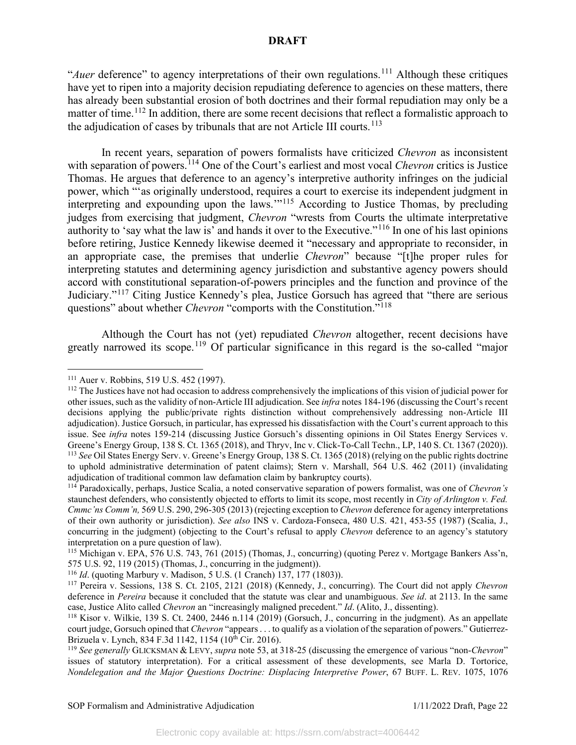"*Auer* deference" to agency interpretations of their own regulations.<sup>[111](#page-22-0)</sup> Although these critiques have yet to ripen into a majority decision repudiating deference to agencies on these matters, there has already been substantial erosion of both doctrines and their formal repudiation may only be a matter of time.<sup>[112](#page-22-1)</sup> In addition, there are some recent decisions that reflect a formalistic approach to the adjudication of cases by tribunals that are not Article III courts.<sup>[113](#page-22-2)</sup>

In recent years, separation of powers formalists have criticized *Chevron* as inconsistent with separation of powers.<sup>[114](#page-22-3)</sup> One of the Court's earliest and most vocal *Chevron* critics is Justice Thomas. He argues that deference to an agency's interpretive authority infringes on the judicial power, which "'as originally understood, requires a court to exercise its independent judgment in interpreting and expounding upon the laws.'"[115](#page-22-4) According to Justice Thomas, by precluding judges from exercising that judgment, *Chevron* "wrests from Courts the ultimate interpretative authority to 'say what the law is' and hands it over to the Executive."[116](#page-22-5) In one of his last opinions before retiring, Justice Kennedy likewise deemed it "necessary and appropriate to reconsider, in an appropriate case, the premises that underlie *Chevron*" because "[t]he proper rules for interpreting statutes and determining agency jurisdiction and substantive agency powers should accord with constitutional separation-of-powers principles and the function and province of the Judiciary."[117](#page-22-6) Citing Justice Kennedy's plea, Justice Gorsuch has agreed that "there are serious questions" about whether *Chevron* "comports with the Constitution."<sup>[118](#page-22-7)</sup>

Although the Court has not (yet) repudiated *Chevron* altogether, recent decisions have greatly narrowed its scope.<sup>[119](#page-22-8)</sup> Of particular significance in this regard is the so-called "major

<span id="page-22-1"></span><span id="page-22-0"></span><sup>&</sup>lt;sup>111</sup> Auer v. Robbins, 519 U.S. 452 (1997).<br><sup>112</sup> The Justices have not had occasion to address comprehensively the implications of this vision of judicial power for other issues, such as the validity of non-Article III adjudication. See *infra* notes 184-196 (discussing the Court's recent decisions applying the public/private rights distinction without comprehensively addressing non-Article III adjudication). Justice Gorsuch, in particular, has expressed his dissatisfaction with the Court's current approach to this issue. See *infra* notes 159-214 (discussing Justice Gorsuch's dissenting opinions in Oil States Energy Services v. Greene's Energy Group, 138 S. Ct. 1365 (2018), and Thryv, Inc v. Click-To-Call Techn., LP, 140 S. Ct. 1367 (2020)). <sup>113</sup> *See* Oil States Energy Serv. v. Greene's Energy Group, 138 S. Ct. 1365 (2018) (relying on the public rights doctrine to uphold administrative determination of patent claims); Stern v. Marshall, 564 U.S. 462 (2011) (invalidating adjudication of traditional common law defamation claim by bankruptcy courts).

<span id="page-22-3"></span><span id="page-22-2"></span><sup>114</sup> Paradoxically, perhaps, Justice Scalia, a noted conservative separation of powers formalist, was one of *Chevron's*  staunchest defenders, who consistently objected to efforts to limit its scope, most recently in *City of Arlington v. Fed. Cmmc'ns Comm'n,* 569 U.S. 290, 296-305 (2013) (rejecting exception to *Chevron* deference for agency interpretations of their own authority or jurisdiction). *See also* INS v. Cardoza-Fonseca, 480 U.S. 421, 453-55 (1987) (Scalia, J., concurring in the judgment) (objecting to the Court's refusal to apply *Chevron* deference to an agency's statutory interpretation on a pure question of law).

<span id="page-22-4"></span><sup>115</sup> Michigan v. EPA, 576 U.S. 743, 761 (2015) (Thomas, J., concurring) (quoting Perez v. Mortgage Bankers Ass'n, 575 U.S. 92, 119 (2015) (Thomas, J., concurring in the judgment)).

<sup>116</sup> *Id*. (quoting Marbury v. Madison, 5 U.S. (1 Cranch) 137, 177 (1803)).

<span id="page-22-6"></span><span id="page-22-5"></span><sup>117</sup> Pereira v. Sessions, 138 S. Ct. 2105, 2121 (2018) (Kennedy, J., concurring). The Court did not apply *Chevron* deference in *Pereira* because it concluded that the statute was clear and unambiguous. *See id*. at 2113. In the same case, Justice Alito called *Chevron* an "increasingly maligned precedent." *Id.* (Alito, J., dissenting).<br><sup>118</sup> Kisor v. Wilkie, 139 S. Ct. 2400, 2446 n.114 (2019) (Gorsuch, J., concurring in the judgment). As an appellate

<span id="page-22-7"></span>court judge, Gorsuch opined that *Chevron* "appears . . . to qualify as a violation of the separation of powers." Gutierrez-Brizuela v. Lynch, 834 F.3d 1142, 1154 (10<sup>th</sup> Cir. 2016).

<span id="page-22-8"></span><sup>119</sup> *See generally* GLICKSMAN & LEVY, *supra* note 53, at 318-25 (discussing the emergence of various "non-*Chevron*" issues of statutory interpretation). For a critical assessment of these developments, see Marla D. Tortorice, *Nondelegation and the Major Questions Doctrine: Displacing Interpretive Power*, 67 BUFF. L. REV. 1075, 1076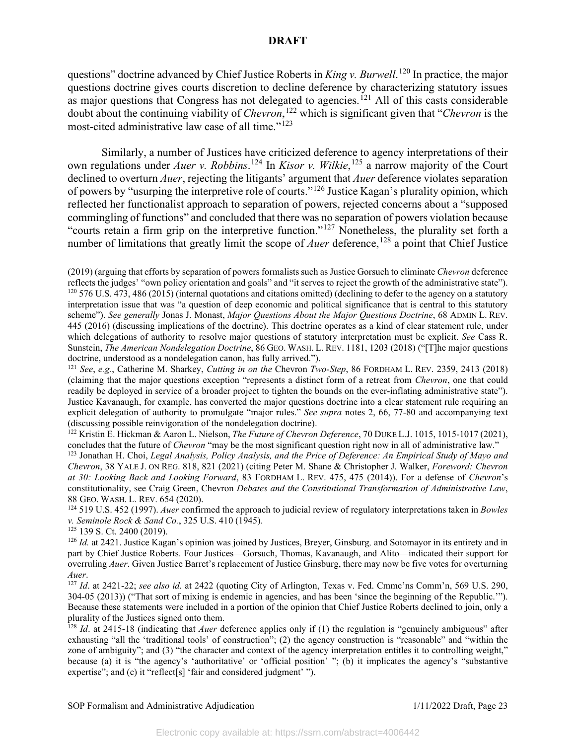questions" doctrine advanced by Chief Justice Roberts in *King v. Burwell*.<sup>[120](#page-23-0)</sup> In practice, the major questions doctrine gives courts discretion to decline deference by characterizing statutory issues as major questions that Congress has not delegated to agencies.<sup>[121](#page-23-1)</sup> All of this casts considerable doubt about the continuing viability of *Chevron*, [122](#page-23-2) which is significant given that "*Chevron* is the most-cited administrative law case of all time."[123](#page-23-3)

Similarly, a number of Justices have criticized deference to agency interpretations of their own regulations under *Auer v. Robbins*. [124](#page-23-4) In *Kisor v. Wilkie*, [125](#page-23-5) a narrow majority of the Court declined to overturn *Auer*, rejecting the litigants' argument that *Auer* deference violates separation of powers by "usurping the interpretive role of courts."[126](#page-23-6) Justice Kagan's plurality opinion, which reflected her functionalist approach to separation of powers, rejected concerns about a "supposed commingling of functions" and concluded that there was no separation of powers violation because "courts retain a firm grip on the interpretive function."[127](#page-23-7) Nonetheless, the plurality set forth a number of limitations that greatly limit the scope of *Auer* deference,<sup>[128](#page-23-8)</sup> a point that Chief Justice

<span id="page-23-2"></span><sup>122</sup> Kristin E. Hickman & Aaron L. Nielson, *The Future of Chevron Deference*, 70 DUKE L.J. 1015, 1015-1017 (2021), concludes that the future of *Chevron* "may be the most significant question right now in all of administrative law."

<span id="page-23-4"></span><sup>124</sup> 519 U.S. 452 (1997). *Auer* confirmed the approach to judicial review of regulatory interpretations taken in *Bowles* 

<span id="page-23-0"></span><sup>(2019)</sup> (arguing that efforts by separation of powers formalists such as Justice Gorsuch to eliminate *Chevron* deference reflects the judges' "own policy orientation and goals" and "it serves to reject the growth of the administrative state").  $120\,576\,$  U.S. 473, 486 (2015) (internal quotations and citations omitted) (declining to defer to the agency on a statutory interpretation issue that was "a question of deep economic and political significance that is central to this statutory scheme"). *See generally* Jonas J. Monast, *Major Questions About the Major Questions Doctrine*, 68 ADMIN L. REV. 445 (2016) (discussing implications of the doctrine). This doctrine operates as a kind of clear statement rule, under which delegations of authority to resolve major questions of statutory interpretation must be explicit. *See* Cass R. Sunstein, *The American Nondelegation Doctrine*, 86 GEO. WASH. L. REV. 1181, 1203 (2018) ("[T]he major questions doctrine, understood as a nondelegation canon, has fully arrived.").

<span id="page-23-1"></span><sup>121</sup> *See*, *e.g.*, Catherine M. Sharkey, *Cutting in on the* Chevron *Two-Step*, 86 FORDHAM L. REV. 2359, 2413 (2018) (claiming that the major questions exception "represents a distinct form of a retreat from *Chevron*, one that could readily be deployed in service of a broader project to tighten the bounds on the ever-inflating administrative state"). Justice Kavanaugh, for example, has converted the major questions doctrine into a clear statement rule requiring an explicit delegation of authority to promulgate "major rules." *See supra* notes 2, 66, 77-80 and accompanying text (discussing possible reinvigoration of the nondelegation doctrine).

<span id="page-23-3"></span><sup>123</sup> Jonathan H. Choi, *Legal Analysis, Policy Analysis, and the Price of Deference: An Empirical Study of Mayo and Chevron*, 38 YALE J. ON REG. 818, 821 (2021) (citing Peter M. Shane & Christopher J. Walker, *Foreword: Chevron at 30: Looking Back and Looking Forward*, 83 FORDHAM L. REV. 475, 475 (2014)). For a defense of *Chevron*'s constitutionality, see Craig Green, Chevron *Debates and the Constitutional Transformation of Administrative Law*, 88 GEO. WASH. L. REV. 654 (2020).

<span id="page-23-6"></span><span id="page-23-5"></span><sup>&</sup>lt;sup>125</sup> 139 S. Ct. 2400 (2019).<br><sup>126</sup> *Id.* at 2421. Justice Kagan's opinion was joined by Justices, Breyer, Ginsburg, and Sotomayor in its entirety and in part by Chief Justice Roberts. Four Justices—Gorsuch, Thomas, Kavanaugh, and Alito—indicated their support for overruling *Auer*. Given Justice Barret's replacement of Justice Ginsburg, there may now be five votes for overturning *Auer*. 127 *Id*. at 2421-22; *see also id.* at 2422 (quoting City of Arlington, Texas v. Fed. Cmmc'ns Comm'n, 569 U.S. 290,

<span id="page-23-7"></span><sup>304-05 (2013))</sup> ("That sort of mixing is endemic in agencies, and has been 'since the beginning of the Republic.'"). Because these statements were included in a portion of the opinion that Chief Justice Roberts declined to join, only a plurality of the Justices signed onto them.

<span id="page-23-8"></span><sup>128</sup> *Id*. at 2415-18 (indicating that *Auer* deference applies only if (1) the regulation is "genuinely ambiguous" after exhausting "all the 'traditional tools' of construction"; (2) the agency construction is "reasonable" and "within the zone of ambiguity"; and (3) "the character and context of the agency interpretation entitles it to controlling weight," because (a) it is "the agency's 'authoritative' or 'official position' "; (b) it implicates the agency's "substantive expertise"; and (c) it "reflect[s] 'fair and considered judgment' ").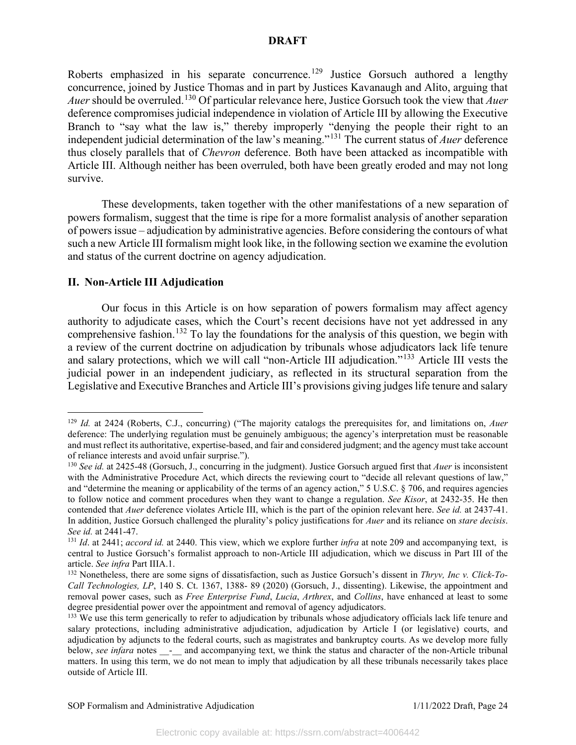Roberts emphasized in his separate concurrence.<sup>[129](#page-24-0)</sup> Justice Gorsuch authored a lengthy concurrence, joined by Justice Thomas and in part by Justices Kavanaugh and Alito, arguing that *Auer* should be overruled. [130](#page-24-1) Of particular relevance here, Justice Gorsuch took the view that *Auer*  deference compromises judicial independence in violation of Article III by allowing the Executive Branch to "say what the law is," thereby improperly "denying the people their right to an independent judicial determination of the law's meaning."[131](#page-24-2) The current status of *Auer* deference thus closely parallels that of *Chevron* deference. Both have been attacked as incompatible with Article III. Although neither has been overruled, both have been greatly eroded and may not long survive.

These developments, taken together with the other manifestations of a new separation of powers formalism, suggest that the time is ripe for a more formalist analysis of another separation of powers issue – adjudication by administrative agencies. Before considering the contours of what such a new Article III formalism might look like, in the following section we examine the evolution and status of the current doctrine on agency adjudication.

### **II. Non-Article III Adjudication**

Our focus in this Article is on how separation of powers formalism may affect agency authority to adjudicate cases, which the Court's recent decisions have not yet addressed in any comprehensive fashion.<sup>[132](#page-24-3)</sup> To lay the foundations for the analysis of this question, we begin with a review of the current doctrine on adjudication by tribunals whose adjudicators lack life tenure and salary protections, which we will call "non-Article III adjudication."<sup>[133](#page-24-4)</sup> Article III vests the judicial power in an independent judiciary, as reflected in its structural separation from the Legislative and Executive Branches and Article III's provisions giving judges life tenure and salary

<span id="page-24-0"></span><sup>129</sup> *Id.* at 2424 (Roberts, C.J., concurring) ("The majority catalogs the prerequisites for, and limitations on, *Auer* deference: The underlying regulation must be genuinely ambiguous; the agency's interpretation must be reasonable and must reflect its authoritative, expertise-based, and fair and considered judgment; and the agency must take account of reliance interests and avoid unfair surprise.").

<span id="page-24-1"></span><sup>130</sup> *See id.* at 2425-48 (Gorsuch, J., concurring in the judgment). Justice Gorsuch argued first that *Auer* is inconsistent with the Administrative Procedure Act, which directs the reviewing court to "decide all relevant questions of law," and "determine the meaning or applicability of the terms of an agency action," 5 U.S.C. § 706, and requires agencies to follow notice and comment procedures when they want to change a regulation. *See Kisor*, at 2432-35. He then contended that *Auer* deference violates Article III, which is the part of the opinion relevant here. *See id.* at 2437-41. In addition, Justice Gorsuch challenged the plurality's policy justifications for *Auer* and its reliance on *stare decisis*. *See id.* at 2441-47.

<span id="page-24-2"></span><sup>131</sup> *Id*. at 2441; *accord id.* at 2440. This view, which we explore further *infra* at note 209 and accompanying text, is central to Justice Gorsuch's formalist approach to non-Article III adjudication, which we discuss in Part III of the article. *See infra* Part IIIA.1.

<span id="page-24-3"></span><sup>132</sup> Nonetheless, there are some signs of dissatisfaction, such as Justice Gorsuch's dissent in *Thryv, Inc v. Click-To-Call Technologies, LP*, 140 S. Ct. 1367, 1388- 89 (2020) (Gorsuch, J., dissenting). Likewise, the appointment and removal power cases, such as *Free Enterprise Fund*, *Lucia*, *Arthrex*, and *Collins*, have enhanced at least to some degree presidential power over the appointment and removal of agency adjudicators.

<span id="page-24-4"></span><sup>&</sup>lt;sup>133</sup> We use this term generically to refer to adjudication by tribunals whose adjudicatory officials lack life tenure and salary protections, including administrative adjudication, adjudication by Article I (or legislative) courts, and adjudication by adjuncts to the federal courts, such as magistrates and bankruptcy courts. As we develop more fully below, *see infara* notes \_\_-\_\_ and accompanying text, we think the status and character of the non-Article tribunal matters. In using this term, we do not mean to imply that adjudication by all these tribunals necessarily takes place outside of Article III.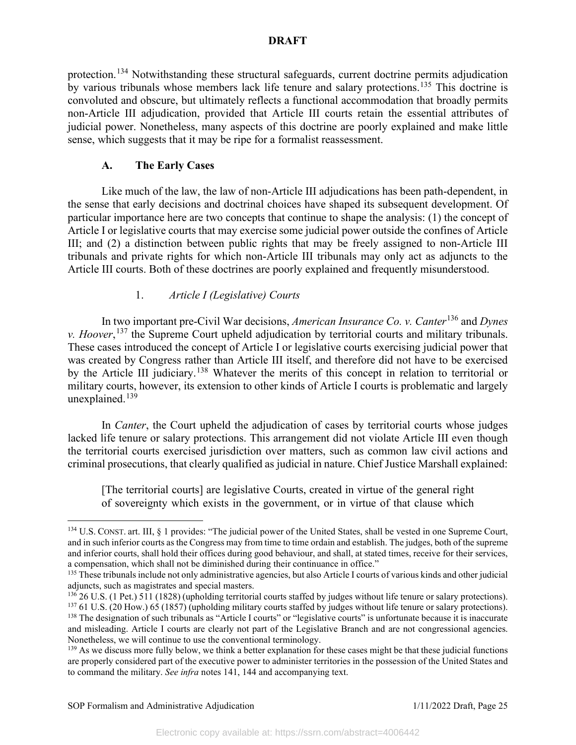protection.[134](#page-25-0) Notwithstanding these structural safeguards, current doctrine permits adjudication by various tribunals whose members lack life tenure and salary protections.[135](#page-25-1) This doctrine is convoluted and obscure, but ultimately reflects a functional accommodation that broadly permits non-Article III adjudication, provided that Article III courts retain the essential attributes of judicial power. Nonetheless, many aspects of this doctrine are poorly explained and make little sense, which suggests that it may be ripe for a formalist reassessment.

# **A. The Early Cases**

Like much of the law, the law of non-Article III adjudications has been path-dependent, in the sense that early decisions and doctrinal choices have shaped its subsequent development. Of particular importance here are two concepts that continue to shape the analysis: (1) the concept of Article I or legislative courts that may exercise some judicial power outside the confines of Article III; and (2) a distinction between public rights that may be freely assigned to non-Article III tribunals and private rights for which non-Article III tribunals may only act as adjuncts to the Article III courts. Both of these doctrines are poorly explained and frequently misunderstood.

## 1. *Article I (Legislative) Courts*

In two important pre-Civil War decisions, *American Insurance Co. v. Canter*[136](#page-25-2) and *Dynes v. Hoover*, [137](#page-25-3) the Supreme Court upheld adjudication by territorial courts and military tribunals. These cases introduced the concept of Article I or legislative courts exercising judicial power that was created by Congress rather than Article III itself, and therefore did not have to be exercised by the Article III judiciary.<sup>[138](#page-25-4)</sup> Whatever the merits of this concept in relation to territorial or military courts, however, its extension to other kinds of Article I courts is problematic and largely unexplained. $139$ 

In *Canter*, the Court upheld the adjudication of cases by territorial courts whose judges lacked life tenure or salary protections. This arrangement did not violate Article III even though the territorial courts exercised jurisdiction over matters, such as common law civil actions and criminal prosecutions, that clearly qualified as judicial in nature. Chief Justice Marshall explained:

[The territorial courts] are legislative Courts, created in virtue of the general right of sovereignty which exists in the government, or in virtue of that clause which

<span id="page-25-0"></span><sup>&</sup>lt;sup>134</sup> U.S. CONST. art. III, § 1 provides: "The judicial power of the United States, shall be vested in one Supreme Court, and in such inferior courts as the Congress may from time to time ordain and establish. The judges, both of the supreme and inferior courts, shall hold their offices during good behaviour, and shall, at stated times, receive for their services, a compensation, which shall not be diminished during their continuance in office."

<span id="page-25-1"></span><sup>&</sup>lt;sup>135</sup> These tribunals include not only administrative agencies, but also Article I courts of various kinds and other judicial adjuncts, such as magistrates and special masters.

<span id="page-25-2"></span> $^{136}$  26 U.S. (1 Pet.) 511 (1828) (upholding territorial courts staffed by judges without life tenure or salary protections). <sup>137</sup> 61 U.S. (20 How.) 65 (1857) (upholding military courts staffed by judges without life tenure or salary protections).

<span id="page-25-4"></span><span id="page-25-3"></span><sup>&</sup>lt;sup>138</sup> The designation of such tribunals as "Article I courts" or "legislative courts" is unfortunate because it is inaccurate and misleading. Article I courts are clearly not part of the Legislative Branch and are not congressional agencies. Nonetheless, we will continue to use the conventional terminology.<br><sup>139</sup> As we discuss more fully below, we think a better explanation for these cases might be that these judicial functions

<span id="page-25-5"></span>are properly considered part of the executive power to administer territories in the possession of the United States and to command the military. *See infra* notes 141, 144 and accompanying text.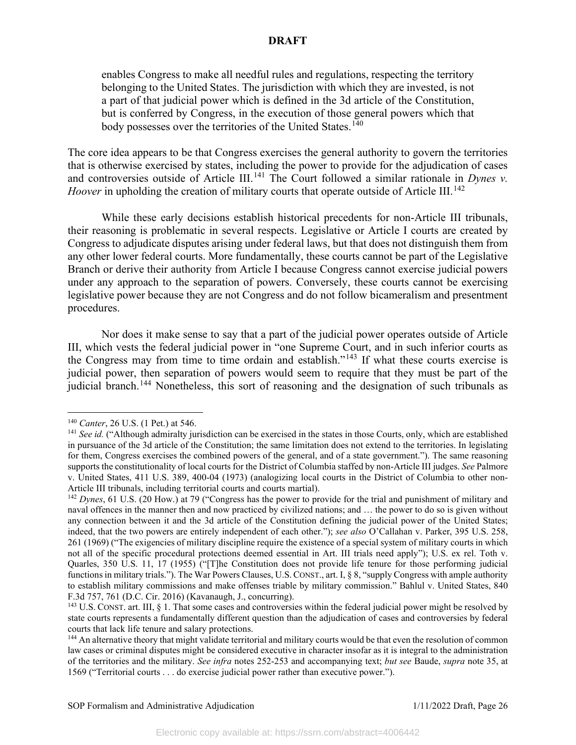enables Congress to make all needful rules and regulations, respecting the territory belonging to the United States. The jurisdiction with which they are invested, is not a part of that judicial power which is defined in the 3d article of the Constitution, but is conferred by Congress, in the execution of those general powers which that body possesses over the territories of the United States.<sup>[140](#page-26-0)</sup>

The core idea appears to be that Congress exercises the general authority to govern the territories that is otherwise exercised by states, including the power to provide for the adjudication of cases and controversies outside of Article III.<sup>[141](#page-26-1)</sup> The Court followed a similar rationale in *Dynes v*. *Hoover* in upholding the creation of military courts that operate outside of Article III.<sup>[142](#page-26-2)</sup>

While these early decisions establish historical precedents for non-Article III tribunals, their reasoning is problematic in several respects. Legislative or Article I courts are created by Congress to adjudicate disputes arising under federal laws, but that does not distinguish them from any other lower federal courts. More fundamentally, these courts cannot be part of the Legislative Branch or derive their authority from Article I because Congress cannot exercise judicial powers under any approach to the separation of powers. Conversely, these courts cannot be exercising legislative power because they are not Congress and do not follow bicameralism and presentment procedures.

Nor does it make sense to say that a part of the judicial power operates outside of Article III, which vests the federal judicial power in "one Supreme Court, and in such inferior courts as the Congress may from time to time ordain and establish."[143](#page-26-3) If what these courts exercise is judicial power, then separation of powers would seem to require that they must be part of the judicial branch.<sup>[144](#page-26-4)</sup> Nonetheless, this sort of reasoning and the designation of such tribunals as

<span id="page-26-1"></span><span id="page-26-0"></span><sup>&</sup>lt;sup>140</sup> *Canter*, 26 U.S. (1 Pet.) at 546.<br><sup>141</sup> *See id.* ("Although admiralty jurisdiction can be exercised in the states in those Courts, only, which are established in pursuance of the 3d article of the Constitution; the same limitation does not extend to the territories. In legislating for them, Congress exercises the combined powers of the general, and of a state government."). The same reasoning supports the constitutionality of local courts for the District of Columbia staffed by non-Article III judges. *See* Palmore v. United States, 411 U.S. 389, 400-04 (1973) (analogizing local courts in the District of Columbia to other non-Article III tribunals, including territorial courts and courts martial).

<span id="page-26-2"></span><sup>&</sup>lt;sup>142</sup> *Dynes*, 61 U.S. (20 How.) at 79 ("Congress has the power to provide for the trial and punishment of military and naval offences in the manner then and now practiced by civilized nations; and … the power to do so is given without any connection between it and the 3d article of the Constitution defining the judicial power of the United States; indeed, that the two powers are entirely independent of each other."); *see also* O'Callahan v. Parker, 395 U.S. 258, 261 (1969) ("The exigencies of military discipline require the existence of a special system of military courts in which not all of the specific procedural protections deemed essential in Art. III trials need apply"); U.S. ex rel. Toth v. Quarles, 350 U.S. 11, 17 (1955) ("[T]he Constitution does not provide life tenure for those performing judicial functions in military trials."). The War Powers Clauses, U.S. CONST., art. I, § 8, "supply Congress with ample authority to establish military commissions and make offenses triable by military commission." Bahlul v. United States, 840 F.3d 757, 761 (D.C. Cir. 2016) (Kavanaugh, J., concurring).

<span id="page-26-3"></span> $143$  U.S. CONST. art. III,  $\S$  1. That some cases and controversies within the federal judicial power might be resolved by state courts represents a fundamentally different question than the adjudication of cases and controversies by federal courts that lack life tenure and salary protections.

<span id="page-26-4"></span><sup>&</sup>lt;sup>144</sup> An alternative theory that might validate territorial and military courts would be that even the resolution of common law cases or criminal disputes might be considered executive in character insofar as it is integral to the administration of the territories and the military. *See infra* notes 252-253 and accompanying text; *but see* Baude, *supra* note 35, at 1569 ("Territorial courts . . . do exercise judicial power rather than executive power.").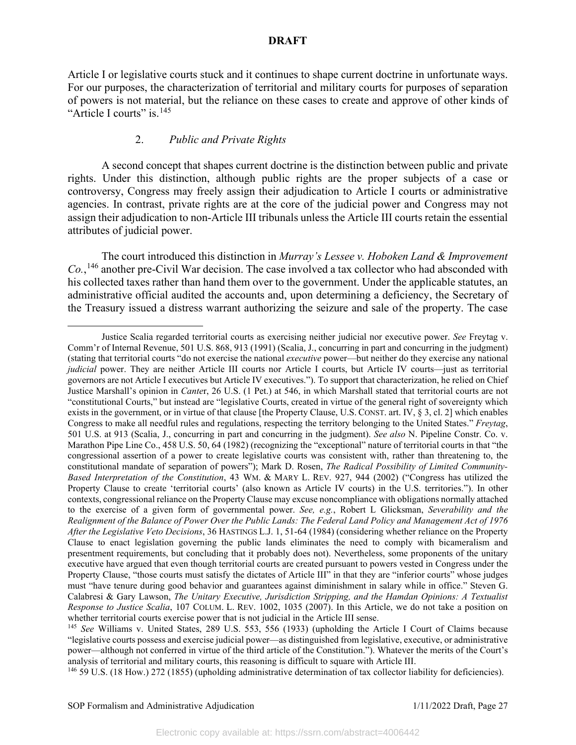Article I or legislative courts stuck and it continues to shape current doctrine in unfortunate ways. For our purposes, the characterization of territorial and military courts for purposes of separation of powers is not material, but the reliance on these cases to create and approve of other kinds of "Article I courts" is.<sup>[145](#page-27-0)</sup>

# 2. *Public and Private Rights*

A second concept that shapes current doctrine is the distinction between public and private rights. Under this distinction, although public rights are the proper subjects of a case or controversy, Congress may freely assign their adjudication to Article I courts or administrative agencies. In contrast, private rights are at the core of the judicial power and Congress may not assign their adjudication to non-Article III tribunals unless the Article III courts retain the essential attributes of judicial power.

The court introduced this distinction in *Murray's Lessee v. Hoboken Land & Improvement Co.*, [146](#page-27-1) another pre-Civil War decision. The case involved a tax collector who had absconded with his collected taxes rather than hand them over to the government. Under the applicable statutes, an administrative official audited the accounts and, upon determining a deficiency, the Secretary of the Treasury issued a distress warrant authorizing the seizure and sale of the property. The case

<span id="page-27-1"></span><sup>146</sup> 59 U.S. (18 How.) 272 (1855) (upholding administrative determination of tax collector liability for deficiencies).

Justice Scalia regarded territorial courts as exercising neither judicial nor executive power. *See* Freytag v. Comm'r of Internal Revenue, 501 U.S. 868, 913 (1991) (Scalia, J., concurring in part and concurring in the judgment) (stating that territorial courts "do not exercise the national *executive* power—but neither do they exercise any national *judicial* power. They are neither Article III courts nor Article I courts, but Article IV courts—just as territorial governors are not Article I executives but Article IV executives."). To support that characterization, he relied on Chief Justice Marshall's opinion in *Cante*r, 26 U.S. (1 Pet.) at 546, in which Marshall stated that territorial courts are not "constitutional Courts," but instead are "legislative Courts, created in virtue of the general right of sovereignty which exists in the government, or in virtue of that clause [the Property Clause, U.S. CONST. art. IV, § 3, cl. 2] which enables Congress to make all needful rules and regulations, respecting the territory belonging to the United States." *Freytag*, 501 U.S. at 913 (Scalia, J., concurring in part and concurring in the judgment). *See also* N. Pipeline Constr. Co. v. Marathon Pipe Line Co., 458 U.S. 50, 64 (1982) (recognizing the "exceptional" nature of territorial courts in that "the congressional assertion of a power to create legislative courts was consistent with, rather than threatening to, the constitutional mandate of separation of powers"); Mark D. Rosen, *The Radical Possibility of Limited Community-Based Interpretation of the Constitution*, 43 WM. & MARY L. REV. 927, 944 (2002) ("Congress has utilized the Property Clause to create 'territorial courts' (also known as Article IV courts) in the U.S. territories."). In other contexts, congressional reliance on the Property Clause may excuse noncompliance with obligations normally attached to the exercise of a given form of governmental power. *See, e.g.*, Robert L Glicksman, *Severability and the Realignment of the Balance of Power Over the Public Lands: The Federal Land Policy and Management Act of 1976 After the Legislative Veto Decisions*, 36 HASTINGS L.J. 1, 51-64 (1984) (considering whether reliance on the Property Clause to enact legislation governing the public lands eliminates the need to comply with bicameralism and presentment requirements, but concluding that it probably does not). Nevertheless, some proponents of the unitary executive have argued that even though territorial courts are created pursuant to powers vested in Congress under the Property Clause, "those courts must satisfy the dictates of Article III" in that they are "inferior courts" whose judges must "have tenure during good behavior and guarantees against diminishment in salary while in office." Steven G. Calabresi & Gary Lawson, *The Unitary Executive, Jurisdiction Stripping, and the Hamdan Opinions: A Textualist Response to Justice Scalia*, 107 COLUM. L. REV. 1002, 1035 (2007). In this Article, we do not take a position on whether territorial courts exercise power that is not judicial in the Article III sense.

<span id="page-27-0"></span><sup>145</sup> *See* Williams v. United States, 289 U.S. 553, 556 (1933) (upholding the Article I Court of Claims because "legislative courts possess and exercise judicial power—as distinguished from legislative, executive, or administrative power—although not conferred in virtue of the third article of the Constitution."). Whatever the merits of the Court's analysis of territorial and military courts, this reasoning is difficult to square with Article III.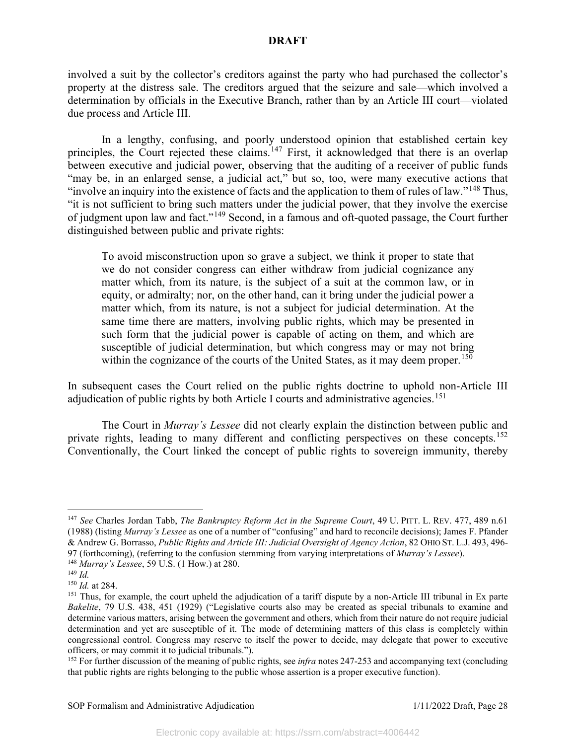involved a suit by the collector's creditors against the party who had purchased the collector's property at the distress sale. The creditors argued that the seizure and sale—which involved a determination by officials in the Executive Branch, rather than by an Article III court—violated due process and Article III.

In a lengthy, confusing, and poorly understood opinion that established certain key principles, the Court rejected these claims.<sup>[147](#page-28-0)</sup> First, it acknowledged that there is an overlap between executive and judicial power, observing that the auditing of a receiver of public funds "may be, in an enlarged sense, a judicial act," but so, too, were many executive actions that "involve an inquiry into the existence of facts and the application to them of rules of law."[148](#page-28-1) Thus, "it is not sufficient to bring such matters under the judicial power, that they involve the exercise of judgment upon law and fact."[149](#page-28-2) Second, in a famous and oft-quoted passage, the Court further distinguished between public and private rights:

To avoid misconstruction upon so grave a subject, we think it proper to state that we do not consider congress can either withdraw from judicial cognizance any matter which, from its nature, is the subject of a suit at the common law, or in equity, or admiralty; nor, on the other hand, can it bring under the judicial power a matter which, from its nature, is not a subject for judicial determination. At the same time there are matters, involving public rights, which may be presented in such form that the judicial power is capable of acting on them, and which are susceptible of judicial determination, but which congress may or may not bring within the cognizance of the courts of the United States, as it may deem proper.<sup>[150](#page-28-3)</sup>

In subsequent cases the Court relied on the public rights doctrine to uphold non-Article III adjudication of public rights by both Article I courts and administrative agencies.<sup>[151](#page-28-4)</sup>

The Court in *Murray's Lessee* did not clearly explain the distinction between public and private rights, leading to many different and conflicting perspectives on these concepts.<sup>[152](#page-28-5)</sup> Conventionally, the Court linked the concept of public rights to sovereign immunity, thereby

<span id="page-28-0"></span><sup>147</sup> *See* Charles Jordan Tabb, *The Bankruptcy Reform Act in the Supreme Court*, 49 U. PITT. L. REV. 477, 489 n.61 (1988) (listing *Murray's Lessee* as one of a number of "confusing" and hard to reconcile decisions); James F. Pfander & Andrew G. Borrasso, *Public Rights and Article III: Judicial Oversight of Agency Action*, 82 OHIO ST. L.J. 493, 496- 97 (forthcoming), (referring to the confusion stemming from varying interpretations of *Murray's Lessee*).

<span id="page-28-1"></span><sup>148</sup> *Murray's Lessee*, 59 U.S. (1 How.) at 280.

<span id="page-28-2"></span><sup>149</sup> *Id.*

<span id="page-28-3"></span><sup>150</sup> *Id.* at 284.

<span id="page-28-4"></span> $151$  Thus, for example, the court upheld the adjudication of a tariff dispute by a non-Article III tribunal in Ex parte *Bakelite*, 79 U.S. 438, 451 (1929) ("Legislative courts also may be created as special tribunals to examine and determine various matters, arising between the government and others, which from their nature do not require judicial determination and yet are susceptible of it. The mode of determining matters of this class is completely within congressional control. Congress may reserve to itself the power to decide, may delegate that power to executive officers, or may commit it to judicial tribunals.").

<span id="page-28-5"></span><sup>152</sup> For further discussion of the meaning of public rights, see *infra* notes 247-253 and accompanying text (concluding that public rights are rights belonging to the public whose assertion is a proper executive function).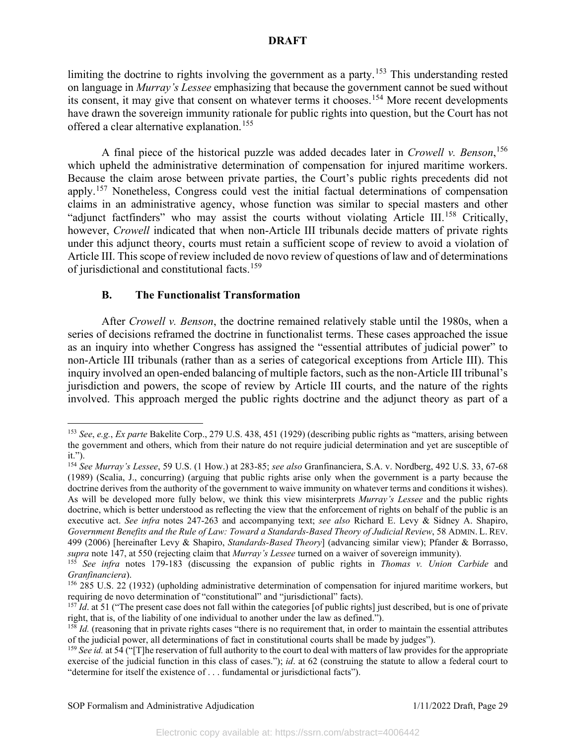limiting the doctrine to rights involving the government as a party.<sup>[153](#page-29-0)</sup> This understanding rested on language in *Murray's Lessee* emphasizing that because the government cannot be sued without its consent, it may give that consent on whatever terms it chooses.<sup>[154](#page-29-1)</sup> More recent developments have drawn the sovereign immunity rationale for public rights into question, but the Court has not offered a clear alternative explanation.<sup>[155](#page-29-2)</sup>

A final piece of the historical puzzle was added decades later in *Crowell v. Benson*, [156](#page-29-3) which upheld the administrative determination of compensation for injured maritime workers. Because the claim arose between private parties, the Court's public rights precedents did not apply.<sup>[157](#page-29-4)</sup> Nonetheless, Congress could vest the initial factual determinations of compensation claims in an administrative agency, whose function was similar to special masters and other "adjunct factfinders" who may assist the courts without violating Article III.<sup>[158](#page-29-5)</sup> Critically, however, *Crowell* indicated that when non-Article III tribunals decide matters of private rights under this adjunct theory, courts must retain a sufficient scope of review to avoid a violation of Article III. This scope of review included de novo review of questions of law and of determinations of jurisdictional and constitutional facts.[159](#page-29-6)

## **B. The Functionalist Transformation**

After *Crowell v. Benson*, the doctrine remained relatively stable until the 1980s, when a series of decisions reframed the doctrine in functionalist terms. These cases approached the issue as an inquiry into whether Congress has assigned the "essential attributes of judicial power" to non-Article III tribunals (rather than as a series of categorical exceptions from Article III). This inquiry involved an open-ended balancing of multiple factors, such as the non-Article III tribunal's jurisdiction and powers, the scope of review by Article III courts, and the nature of the rights involved. This approach merged the public rights doctrine and the adjunct theory as part of a

<span id="page-29-0"></span><sup>153</sup> *See*, *e.g.*, *Ex parte* Bakelite Corp., 279 U.S. 438, 451 (1929) (describing public rights as "matters, arising between the government and others, which from their nature do not require judicial determination and yet are susceptible of it.").

<span id="page-29-1"></span><sup>154</sup> *See Murray's Lessee*, 59 U.S. (1 How.) at 283-85; *see also* Granfinanciera, S.A. v. Nordberg, 492 U.S. 33, 67-68 (1989) (Scalia, J., concurring) (arguing that public rights arise only when the government is a party because the doctrine derives from the authority of the government to waive immunity on whatever terms and conditions it wishes). As will be developed more fully below, we think this view misinterprets *Murray's Lessee* and the public rights doctrine, which is better understood as reflecting the view that the enforcement of rights on behalf of the public is an executive act. *See infra* notes 247-263 and accompanying text; *see also* Richard E. Levy & Sidney A. Shapiro, *Government Benefits and the Rule of Law: Toward a Standards-Based Theory of Judicial Review*, 58 ADMIN. L. REV. 499 (2006) [hereinafter Levy & Shapiro, *Standards-Based Theory*] (advancing similar view); Pfander & Borrasso, *supra* note 147, at 550 (rejecting claim that *Murray's Lessee* turned on a waiver of sovereign immunity).

<span id="page-29-2"></span><sup>155</sup> *See infra* notes 179-183 (discussing the expansion of public rights in *Thomas v. Union Carbide* and *Granfinanciera*).

<span id="page-29-3"></span> $156$  285 U.S. 22 (1932) (upholding administrative determination of compensation for injured maritime workers, but requiring de novo determination of "constitutional" and "jurisdictional" facts).

<span id="page-29-4"></span><sup>&</sup>lt;sup>157</sup>*Id*. at 51 ("The present case does not fall within the categories [of public rights] just described, but is one of private right, that is, of the liability of one individual to another under the law as defined.").

<span id="page-29-5"></span><sup>&</sup>lt;sup>158</sup> *Id.* (reasoning that in private rights cases "there is no requirement that, in order to maintain the essential attributes of the judicial power, all determinations of fact in constitutional courts shall be made by judges").

<span id="page-29-6"></span><sup>&</sup>lt;sup>159</sup> *See id.* at 54 ("The reservation of full authority to the court to deal with matters of law provides for the appropriate exercise of the judicial function in this class of cases."); *id*. at 62 (construing the statute to allow a federal court to "determine for itself the existence of . . . fundamental or jurisdictional facts").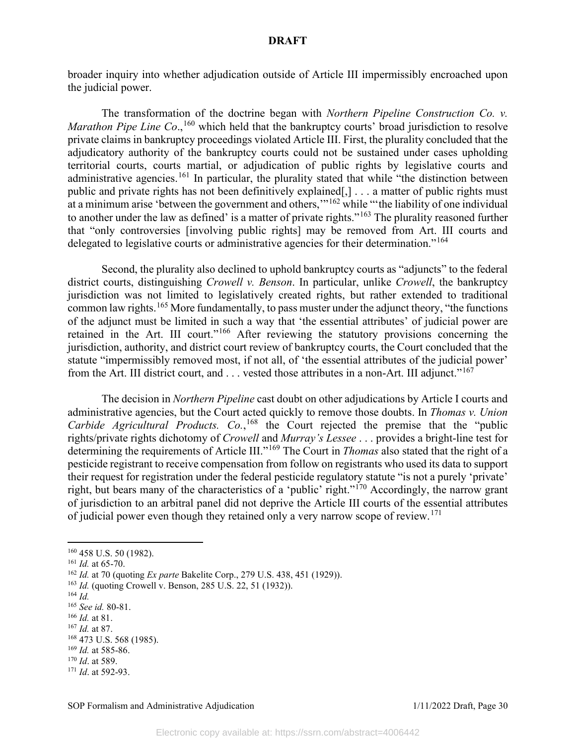broader inquiry into whether adjudication outside of Article III impermissibly encroached upon the judicial power.

The transformation of the doctrine began with *Northern Pipeline Construction Co. v.*  Marathon Pipe Line Co.,<sup>[160](#page-30-0)</sup> which held that the bankruptcy courts' broad jurisdiction to resolve private claims in bankruptcy proceedings violated Article III. First, the plurality concluded that the adjudicatory authority of the bankruptcy courts could not be sustained under cases upholding territorial courts, courts martial, or adjudication of public rights by legislative courts and administrative agencies.<sup>[161](#page-30-1)</sup> In particular, the plurality stated that while "the distinction between public and private rights has not been definitively explained[,] . . . a matter of public rights must at a minimum arise 'between the government and others,"<sup>[162](#page-30-2)</sup> while "the liability of one individual to another under the law as defined' is a matter of private rights."<sup>[163](#page-30-3)</sup> The plurality reasoned further that "only controversies [involving public rights] may be removed from Art. III courts and delegated to legislative courts or administrative agencies for their determination."<sup>[164](#page-30-4)</sup>

Second, the plurality also declined to uphold bankruptcy courts as "adjuncts" to the federal district courts, distinguishing *Crowell v. Benson*. In particular, unlike *Crowell*, the bankruptcy jurisdiction was not limited to legislatively created rights, but rather extended to traditional common law rights.<sup>[165](#page-30-5)</sup> More fundamentally, to pass muster under the adjunct theory, "the functions" of the adjunct must be limited in such a way that 'the essential attributes' of judicial power are retained in the Art. III court."<sup>[166](#page-30-6)</sup> After reviewing the statutory provisions concerning the jurisdiction, authority, and district court review of bankruptcy courts, the Court concluded that the statute "impermissibly removed most, if not all, of 'the essential attributes of the judicial power' from the Art. III district court, and . . . vested those attributes in a non-Art. III adjunct."<sup>[167](#page-30-7)</sup>

The decision in *Northern Pipeline* cast doubt on other adjudications by Article I courts and administrative agencies, but the Court acted quickly to remove those doubts. In *Thomas v. Union Carbide Agricultural Products. Co.*, [168](#page-30-8) the Court rejected the premise that the "public rights/private rights dichotomy of *Crowell* and *Murray's Lessee* . . . provides a bright-line test for determining the requirements of Article III."[169](#page-30-9) The Court in *Thomas* also stated that the right of a pesticide registrant to receive compensation from follow on registrants who used its data to support their request for registration under the federal pesticide regulatory statute "is not a purely 'private' right, but bears many of the characteristics of a 'public' right."[170](#page-30-10) Accordingly, the narrow grant of jurisdiction to an arbitral panel did not deprive the Article III courts of the essential attributes of judicial power even though they retained only a very narrow scope of review.<sup>[171](#page-30-11)</sup>

<span id="page-30-4"></span><sup>164</sup> *Id.*

<span id="page-30-6"></span><sup>166</sup> *Id.* at 81.

<span id="page-30-1"></span><span id="page-30-0"></span><sup>160</sup> 458 U.S. 50 (1982). 161 *Id.* at 65-70.

<span id="page-30-2"></span><sup>162</sup> *Id.* at 70 (quoting *Ex parte* Bakelite Corp., 279 U.S. 438, 451 (1929)).

<span id="page-30-3"></span><sup>163</sup> *Id.* (quoting Crowell v. Benson, 285 U.S. 22, 51 (1932)).

<span id="page-30-5"></span><sup>165</sup> *See id.* 80-81.

<span id="page-30-7"></span><sup>167</sup> *Id.* at 87.

<span id="page-30-8"></span><sup>168</sup> 473 U.S. 568 (1985). <sup>169</sup> *Id.* at 585-86.

<span id="page-30-10"></span><span id="page-30-9"></span><sup>170</sup> *Id*. at 589.

<span id="page-30-11"></span><sup>171</sup> *Id*. at 592-93.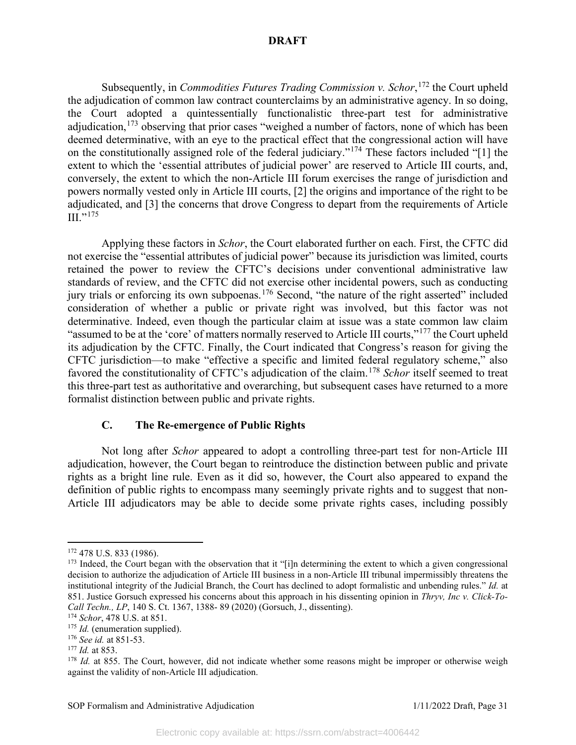Subsequently, in *Commodities Futures Trading Commission v. Schor*, [172](#page-31-0) the Court upheld the adjudication of common law contract counterclaims by an administrative agency. In so doing, the Court adopted a quintessentially functionalistic three-part test for administrative adjudication, <sup>[173](#page-31-1)</sup> observing that prior cases "weighed a number of factors, none of which has been deemed determinative, with an eye to the practical effect that the congressional action will have on the constitutionally assigned role of the federal judiciary."[174](#page-31-2) These factors included "[1] the extent to which the 'essential attributes of judicial power' are reserved to Article III courts, and, conversely, the extent to which the non-Article III forum exercises the range of jurisdiction and powers normally vested only in Article III courts, [2] the origins and importance of the right to be adjudicated, and [3] the concerns that drove Congress to depart from the requirements of Article  $III.$ <sup>[175](#page-31-3)</sup>

Applying these factors in *Schor*, the Court elaborated further on each. First, the CFTC did not exercise the "essential attributes of judicial power" because its jurisdiction was limited, courts retained the power to review the CFTC's decisions under conventional administrative law standards of review, and the CFTC did not exercise other incidental powers, such as conducting jury trials or enforcing its own subpoenas.<sup>[176](#page-31-4)</sup> Second, "the nature of the right asserted" included consideration of whether a public or private right was involved, but this factor was not determinative. Indeed, even though the particular claim at issue was a state common law claim "assumed to be at the 'core' of matters normally reserved to Article III courts,"<sup>[177](#page-31-5)</sup> the Court upheld its adjudication by the CFTC. Finally, the Court indicated that Congress's reason for giving the CFTC jurisdiction—to make "effective a specific and limited federal regulatory scheme," also favored the constitutionality of CFTC's adjudication of the claim.<sup>[178](#page-31-6)</sup> *Schor* itself seemed to treat this three-part test as authoritative and overarching, but subsequent cases have returned to a more formalist distinction between public and private rights.

## **C. The Re-emergence of Public Rights**

Not long after *Schor* appeared to adopt a controlling three-part test for non-Article III adjudication, however, the Court began to reintroduce the distinction between public and private rights as a bright line rule. Even as it did so, however, the Court also appeared to expand the definition of public rights to encompass many seemingly private rights and to suggest that non-Article III adjudicators may be able to decide some private rights cases, including possibly

<span id="page-31-0"></span><sup>&</sup>lt;sup>172</sup> 478 U.S. 833 (1986).

<span id="page-31-1"></span><sup>&</sup>lt;sup>173</sup> Indeed, the Court began with the observation that it "[i]n determining the extent to which a given congressional decision to authorize the adjudication of Article III business in a non-Article III tribunal impermissibly threatens the institutional integrity of the Judicial Branch, the Court has declined to adopt formalistic and unbending rules." *Id.* at 851. Justice Gorsuch expressed his concerns about this approach in his dissenting opinion in *Thryv, Inc v. Click-To-Call Techn., LP*, 140 S. Ct. 1367, 1388- 89 (2020) (Gorsuch, J., dissenting).

<span id="page-31-2"></span><sup>174</sup> *Schor*, 478 U.S. at 851.

<span id="page-31-4"></span><span id="page-31-3"></span><sup>175</sup> *Id.* (enumeration supplied). 176 *See id.* at 851-53.

<span id="page-31-5"></span><sup>177</sup> *Id.* at 853.

<span id="page-31-6"></span><sup>&</sup>lt;sup>178</sup> *Id.* at 855. The Court, however, did not indicate whether some reasons might be improper or otherwise weigh against the validity of non-Article III adjudication.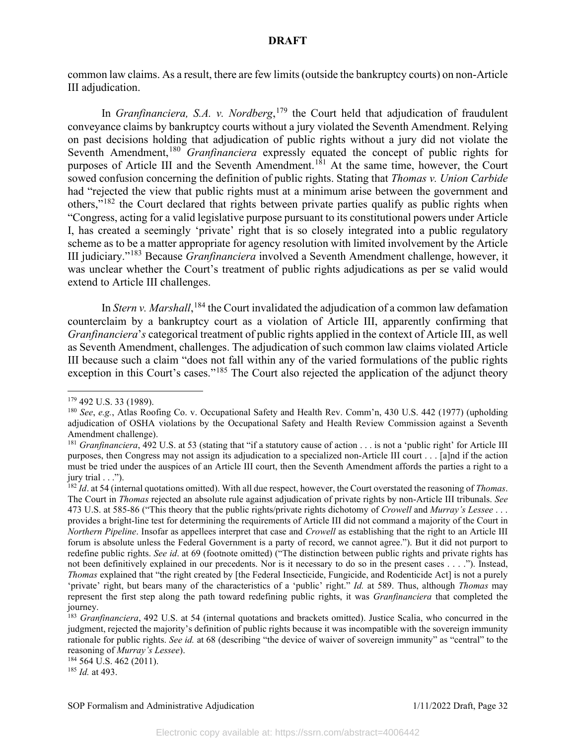common law claims. As a result, there are few limits (outside the bankruptcy courts) on non-Article III adjudication.

In *Granfinanciera, S.A. v. Nordberg*, [179](#page-32-0) the Court held that adjudication of fraudulent conveyance claims by bankruptcy courts without a jury violated the Seventh Amendment. Relying on past decisions holding that adjudication of public rights without a jury did not violate the Seventh Amendment, [180](#page-32-1) *Granfinanciera* expressly equated the concept of public rights for purposes of Article III and the Seventh Amendment.<sup>[181](#page-32-2)</sup> At the same time, however, the Court sowed confusion concerning the definition of public rights. Stating that *Thomas v. Union Carbide*  had "rejected the view that public rights must at a minimum arise between the government and others,"[182](#page-32-3) the Court declared that rights between private parties qualify as public rights when "Congress, acting for a valid legislative purpose pursuant to its constitutional powers under Article I, has created a seemingly 'private' right that is so closely integrated into a public regulatory scheme as to be a matter appropriate for agency resolution with limited involvement by the Article III judiciary."[183](#page-32-4) Because *Granfinanciera* involved a Seventh Amendment challenge, however, it was unclear whether the Court's treatment of public rights adjudications as per se valid would extend to Article III challenges.

In *Stern v. Marshall*, <sup>[184](#page-32-5)</sup> the Court invalidated the adjudication of a common law defamation counterclaim by a bankruptcy court as a violation of Article III, apparently confirming that *Granfinanciera*'*s* categorical treatment of public rights applied in the context of Article III, as well as Seventh Amendment, challenges. The adjudication of such common law claims violated Article III because such a claim "does not fall within any of the varied formulations of the public rights exception in this Court's cases."<sup>[185](#page-32-6)</sup> The Court also rejected the application of the adjunct theory

<span id="page-32-5"></span> $184$  564 U.S. 462 (2011).

<span id="page-32-6"></span><sup>185</sup> *Id.* at 493.

<span id="page-32-0"></span><sup>179</sup> 492 U.S. 33 (1989).

<span id="page-32-1"></span><sup>180</sup> *See*, *e.g.*, Atlas Roofing Co. v. Occupational Safety and Health Rev. Comm'n, 430 U.S. 442 (1977) (upholding adjudication of OSHA violations by the Occupational Safety and Health Review Commission against a Seventh Amendment challenge).

<span id="page-32-2"></span><sup>&</sup>lt;sup>181</sup> *Granfinanciera*, 492 U.S. at 53 (stating that "if a statutory cause of action . . . is not a 'public right' for Article III purposes, then Congress may not assign its adjudication to a specialized non-Article III court . . . [a]nd if the action must be tried under the auspices of an Article III court, then the Seventh Amendment affords the parties a right to a jury trial . . .").

<span id="page-32-3"></span><sup>182</sup> *Id*. at 54 (internal quotations omitted). With all due respect, however, the Court overstated the reasoning of *Thomas*. The Court in *Thomas* rejected an absolute rule against adjudication of private rights by non-Article III tribunals. *See*  473 U.S. at 585-86 ("This theory that the public rights/private rights dichotomy of *Crowell* and *Murray's Lessee* . . . provides a bright-line test for determining the requirements of Article III did not command a majority of the Court in *Northern Pipeline*. Insofar as appellees interpret that case and *Crowell* as establishing that the right to an Article III forum is absolute unless the Federal Government is a party of record, we cannot agree."). But it did not purport to redefine public rights. *See id*. at 69 (footnote omitted) ("The distinction between public rights and private rights has not been definitively explained in our precedents. Nor is it necessary to do so in the present cases . . . ."). Instead, *Thomas* explained that "the right created by [the Federal Insecticide, Fungicide, and Rodenticide Act] is not a purely 'private' right, but bears many of the characteristics of a 'public' right." *Id.* at 589. Thus, although *Thomas* may represent the first step along the path toward redefining public rights, it was *Granfinanciera* that completed the journey.

<span id="page-32-4"></span><sup>183</sup> *Granfinanciera*, 492 U.S. at 54 (internal quotations and brackets omitted). Justice Scalia, who concurred in the judgment, rejected the majority's definition of public rights because it was incompatible with the sovereign immunity rationale for public rights. *See id.* at 68 (describing "the device of waiver of sovereign immunity" as "central" to the reasoning of *Murray's Lessee*).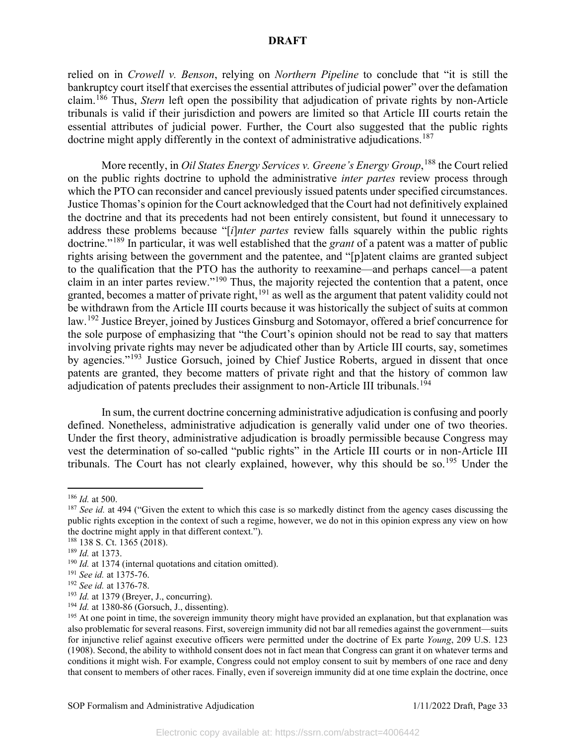relied on in *Crowell v. Benson*, relying on *Northern Pipeline* to conclude that "it is still the bankruptcy court itself that exercises the essential attributes of judicial power" over the defamation claim.[186](#page-33-0) Thus, *Stern* left open the possibility that adjudication of private rights by non-Article tribunals is valid if their jurisdiction and powers are limited so that Article III courts retain the essential attributes of judicial power. Further, the Court also suggested that the public rights doctrine might apply differently in the context of administrative adjudications.<sup>[187](#page-33-1)</sup>

More recently, in *Oil States Energy Services v. Greene's Energy Group*, [188](#page-33-2) the Court relied on the public rights doctrine to uphold the administrative *inter partes* review process through which the PTO can reconsider and cancel previously issued patents under specified circumstances. Justice Thomas's opinion for the Court acknowledged that the Court had not definitively explained the doctrine and that its precedents had not been entirely consistent, but found it unnecessary to address these problems because "[*i*]*nter partes* review falls squarely within the public rights doctrine."[189](#page-33-3) In particular, it was well established that the *grant* of a patent was a matter of public rights arising between the government and the patentee, and "[p]atent claims are granted subject to the qualification that the PTO has the authority to reexamine—and perhaps cancel—a patent claim in an inter partes review."[190](#page-33-4) Thus, the majority rejected the contention that a patent, once granted, becomes a matter of private right, <sup>[191](#page-33-5)</sup> as well as the argument that patent validity could not be withdrawn from the Article III courts because it was historically the subject of suits at common law.<sup>[192](#page-33-6)</sup> Justice Breyer, joined by Justices Ginsburg and Sotomayor, offered a brief concurrence for the sole purpose of emphasizing that "the Court's opinion should not be read to say that matters involving private rights may never be adjudicated other than by Article III courts, say, sometimes by agencies."<sup>[193](#page-33-7)</sup> Justice Gorsuch, joined by Chief Justice Roberts, argued in dissent that once patents are granted, they become matters of private right and that the history of common law adjudication of patents precludes their assignment to non-Article III tribunals.<sup>[194](#page-33-8)</sup>

In sum, the current doctrine concerning administrative adjudication is confusing and poorly defined. Nonetheless, administrative adjudication is generally valid under one of two theories. Under the first theory, administrative adjudication is broadly permissible because Congress may vest the determination of so-called "public rights" in the Article III courts or in non-Article III tribunals. The Court has not clearly explained, however, why this should be so.<sup>[195](#page-33-9)</sup> Under the

<span id="page-33-0"></span><sup>186</sup> *Id.* at 500.

<span id="page-33-1"></span><sup>&</sup>lt;sup>187</sup> *See id.* at 494 ("Given the extent to which this case is so markedly distinct from the agency cases discussing the public rights exception in the context of such a regime, however, we do not in this opinion express any view on how the doctrine might apply in that different context.").

<span id="page-33-3"></span><span id="page-33-2"></span><sup>188</sup> 138 S. Ct. 1365 (2018).

<sup>189</sup> *Id.* at 1373.

<span id="page-33-5"></span><span id="page-33-4"></span><sup>190</sup> *Id.* at 1374 (internal quotations and citation omitted). 191 *See id.* at 1375-76.

<span id="page-33-6"></span><sup>&</sup>lt;sup>192</sup> *See id.* at 1376-78.<br><sup>193</sup> *Id.* at 1379 (Breyer, J., concurring).

<span id="page-33-9"></span><span id="page-33-8"></span><span id="page-33-7"></span><sup>&</sup>lt;sup>194</sup> *Id.* at 1380-86 (Gorsuch, J., dissenting). <sup>195</sup> At one point in time, the sovereign immunity theory might have provided an explanation, but that explanation was also problematic for several reasons. First, sovereign immunity did not bar all remedies against the government—suits for injunctive relief against executive officers were permitted under the doctrine of Ex parte *Young*, 209 U.S. 123 (1908). Second, the ability to withhold consent does not in fact mean that Congress can grant it on whatever terms and conditions it might wish. For example, Congress could not employ consent to suit by members of one race and deny that consent to members of other races. Finally, even if sovereign immunity did at one time explain the doctrine, once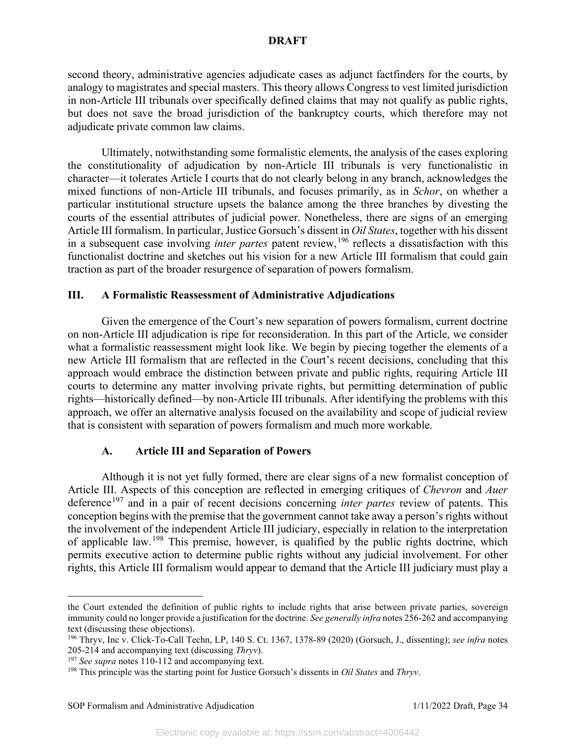second theory, administrative agencies adjudicate cases as adjunct factfinders for the courts, by analogy to magistrates and special masters. This theory allows Congress to vest limited jurisdiction in non-Article III tribunals over specifically defined claims that may not qualify as public rights, but does not save the broad jurisdiction of the bankruptcy courts, which therefore may not adjudicate private common law claims.

Ultimately, notwithstanding some formalistic elements, the analysis of the cases exploring the constitutionality of adjudication by non-Article III tribunals is very functionalistic in character—it tolerates Article I courts that do not clearly belong in any branch, acknowledges the mixed functions of non-Article III tribunals, and focuses primarily, as in *Schor*, on whether a particular institutional structure upsets the balance among the three branches by divesting the courts of the essential attributes of judicial power. Nonetheless, there are signs of an emerging Article III formalism. In particular, Justice Gorsuch's dissent in *Oil States*, together with his dissent in a subsequent case involving *inter partes* patent review,<sup>[196](#page-34-0)</sup> reflects a dissatisfaction with this functionalist doctrine and sketches out his vision for a new Article III formalism that could gain traction as part of the broader resurgence of separation of powers formalism.

#### **III. A Formalistic Reassessment of Administrative Adjudications**

Given the emergence of the Court's new separation of powers formalism, current doctrine on non-Article III adjudication is ripe for reconsideration. In this part of the Article, we consider what a formalistic reassessment might look like. We begin by piecing together the elements of a new Article III formalism that are reflected in the Court's recent decisions, concluding that this approach would embrace the distinction between private and public rights, requiring Article III courts to determine any matter involving private rights, but permitting determination of public rights—historically defined—by non-Article III tribunals. After identifying the problems with this approach, we offer an alternative analysis focused on the availability and scope of judicial review that is consistent with separation of powers formalism and much more workable.

## **A. Article III and Separation of Powers**

Although it is not yet fully formed, there are clear signs of a new formalist conception of Article III. Aspects of this conception are reflected in emerging critiques of *Chevron* and *Auer*  deference<sup>[197](#page-34-1)</sup> and in a pair of recent decisions concerning *inter partes* review of patents. This conception begins with the premise that the government cannot take away a person's rights without the involvement of the independent Article III judiciary, especially in relation to the interpretation of applicable law.<sup>[198](#page-34-2)</sup> This premise, however, is qualified by the public rights doctrine, which permits executive action to determine public rights without any judicial involvement. For other rights, this Article III formalism would appear to demand that the Article III judiciary must play a

the Court extended the definition of public rights to include rights that arise between private parties, sovereign immunity could no longer provide a justification for the doctrine. *See generally infra* notes 256-262 and accompanying text (discussing these objections).

<span id="page-34-0"></span><sup>196</sup> Thryv, Inc v. Click-To-Call Techn, LP, 140 S. Ct. 1367, 1378-89 (2020) (Gorsuch, J., dissenting); *see infra* notes 205-214 and accompanying text (discussing *Thryv*).

<span id="page-34-1"></span><sup>&</sup>lt;sup>197</sup> See supra notes 110-112 and accompanying text.

<span id="page-34-2"></span><sup>198</sup> This principle was the starting point for Justice Gorsuch's dissents in *Oil States* and *Thryv*.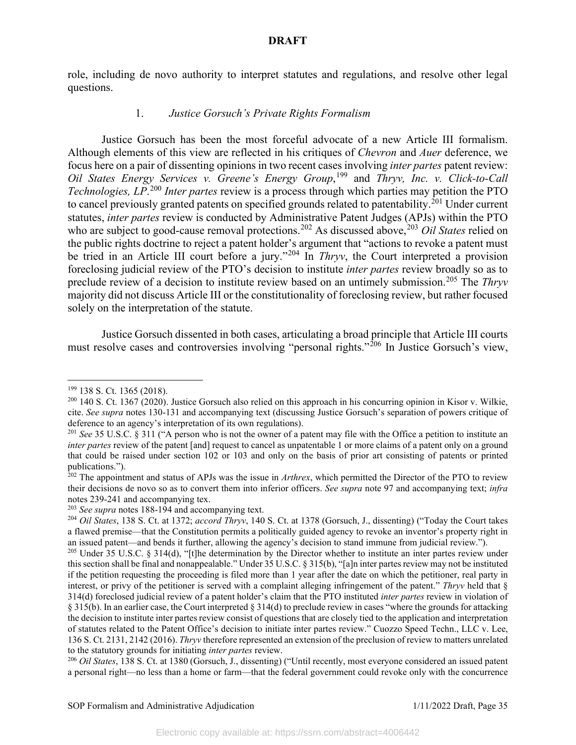role, including de novo authority to interpret statutes and regulations, and resolve other legal questions.

## 1. *Justice Gorsuch's Private Rights Formalism*

Justice Gorsuch has been the most forceful advocate of a new Article III formalism. Although elements of this view are reflected in his critiques of *Chevron* and *Auer* deference, we focus here on a pair of dissenting opinions in two recent cases involving *inter partes* patent review: *Oil States Energy Services v. Greene's Energy Group*, [199](#page-35-0) and *Thryv, Inc. v. Click-to-Call Technologies, LP*. [200](#page-35-1) *Inter partes* review is a process through which parties may petition the PTO to cancel previously granted patents on specified grounds related to patentability.<sup>[201](#page-35-2)</sup> Under current statutes, *inter partes* review is conducted by Administrative Patent Judges (APJs) within the PTO who are subject to good-cause removal protections.<sup>[202](#page-35-3)</sup> As discussed above,<sup>[203](#page-35-4)</sup> *Oil States* relied on the public rights doctrine to reject a patent holder's argument that "actions to revoke a patent must be tried in an Article III court before a jury."<sup>[204](#page-35-5)</sup> In *Thryv*, the Court interpreted a provision foreclosing judicial review of the PTO's decision to institute *inter partes* review broadly so as to preclude review of a decision to institute review based on an untimely submission. [205](#page-35-6) The *Thryv*  majority did not discuss Article III or the constitutionality of foreclosing review, but rather focused solely on the interpretation of the statute.

Justice Gorsuch dissented in both cases, articulating a broad principle that Article III courts must resolve cases and controversies involving "personal rights."<sup>[206](#page-35-7)</sup> In Justice Gorsuch's view,

<span id="page-35-0"></span><sup>199</sup> 138 S. Ct. 1365 (2018).

<span id="page-35-1"></span><sup>&</sup>lt;sup>200</sup> 140 S. Ct. 1367 (2020). Justice Gorsuch also relied on this approach in his concurring opinion in Kisor v. Wilkie, cite. *See supra* notes 130-131 and accompanying text (discussing Justice Gorsuch's separation of powers critique of deference to an agency's interpretation of its own regulations).

<span id="page-35-2"></span><sup>201</sup> *See* 35 U.S.C. § 311 ("A person who is not the owner of a patent may file with the Office a petition to institute an *inter partes* review of the patent [and] request to cancel as unpatentable 1 or more claims of a patent only on a ground that could be raised under section 102 or 103 and only on the basis of prior art consisting of patents or printed publications.").

<span id="page-35-3"></span><sup>202</sup> The appointment and status of APJs was the issue in *Arthrex*, which permitted the Director of the PTO to review their decisions de novo so as to convert them into inferior officers. *See supra* note 97 and accompanying text; *infra*  notes 239-241 and accompanying tex.<br>
<sup>203</sup> See supra notes 188-194 and accompanying text.<br>
<sup>204</sup> Oil States, 138 S. Ct. at 1372; *accord Thryv*, 140 S. Ct. at 1378 (Gorsuch, J., dissenting) ("Today the Court takes

<span id="page-35-4"></span>

<span id="page-35-5"></span>a flawed premise—that the Constitution permits a politically guided agency to revoke an inventor's property right in an issued patent—and bends it further, allowing the agency's decision to stand immune from judicial review.").

<span id="page-35-6"></span><sup>&</sup>lt;sup>205</sup> Under 35 U.S.C. § 314(d), "[t]he determination by the Director whether to institute an inter partes review under this section shall be final and nonappealable." Under 35 U.S.C. § 315(b), "[a]n inter partes review may not be instituted if the petition requesting the proceeding is filed more than 1 year after the date on which the petitioner, real party in interest, or privy of the petitioner is served with a complaint alleging infringement of the patent." *Thryv* held that § 314(d) foreclosed judicial review of a patent holder's claim that the PTO instituted *inter partes* review in violation of § 315(b). In an earlier case, the Court interpreted § 314(d) to preclude review in cases "where the grounds for attacking the decision to institute inter partes review consist of questions that are closely tied to the application and interpretation of statutes related to the Patent Office's decision to initiate inter partes review." Cuozzo Speed Techn., LLC v. Lee, 136 S. Ct. 2131, 2142 (2016). *Thryv* therefore represented an extension of the preclusion of review to matters unrelated to the statutory grounds for initiating *inter partes* review.<br><sup>206</sup> *Oil States*, 138 S. Ct. at 1380 (Gorsuch, J., dissenting) ("Until recently, most everyone considered an issued patent

<span id="page-35-7"></span>a personal right—no less than a home or farm—that the federal government could revoke only with the concurrence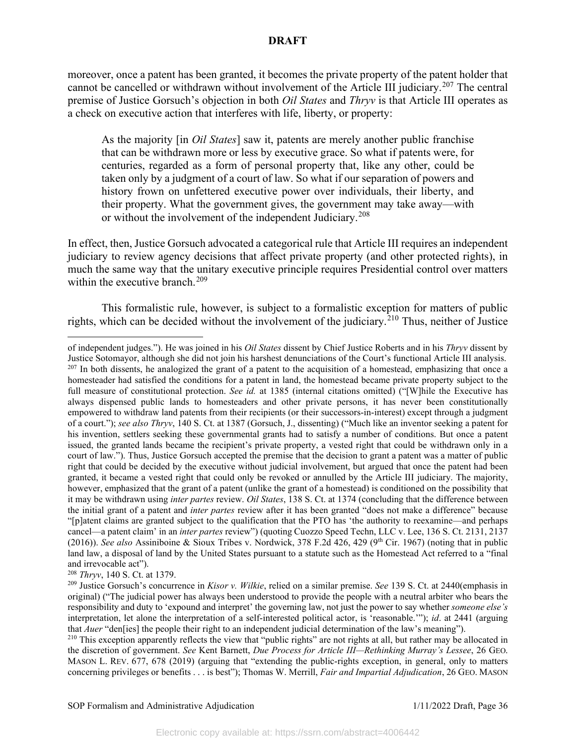moreover, once a patent has been granted, it becomes the private property of the patent holder that cannot be cancelled or withdrawn without involvement of the Article III judiciary.<sup>[207](#page-36-0)</sup> The central premise of Justice Gorsuch's objection in both *Oil States* and *Thryv* is that Article III operates as a check on executive action that interferes with life, liberty, or property:

As the majority [in *Oil States*] saw it, patents are merely another public franchise that can be withdrawn more or less by executive grace. So what if patents were, for centuries, regarded as a form of personal property that, like any other, could be taken only by a judgment of a court of law. So what if our separation of powers and history frown on unfettered executive power over individuals, their liberty, and their property. What the government gives, the government may take away—with or without the involvement of the independent Judiciary.<sup>[208](#page-36-1)</sup>

In effect, then, Justice Gorsuch advocated a categorical rule that Article III requires an independent judiciary to review agency decisions that affect private property (and other protected rights), in much the same way that the unitary executive principle requires Presidential control over matters within the executive branch.<sup>[209](#page-36-2)</sup>

This formalistic rule, however, is subject to a formalistic exception for matters of public rights, which can be decided without the involvement of the judiciary.<sup>[210](#page-36-3)</sup> Thus, neither of Justice

<span id="page-36-0"></span>of independent judges."). He was joined in his *Oil States* dissent by Chief Justice Roberts and in his *Thryv* dissent by Justice Sotomayor, although she did not join his harshest denunciations of the Court's functional Article III analysis.  $^{207}$  In both dissents, he analogized the grant of a patent to the acquisition of a homestead, emphasizing that once a homesteader had satisfied the conditions for a patent in land, the homestead became private property subject to the full measure of constitutional protection. *See id.* at 1385 (internal citations omitted) ("[W]hile the Executive has always dispensed public lands to homesteaders and other private persons, it has never been constitutionally empowered to withdraw land patents from their recipients (or their successors-in-interest) except through a judgment of a court."); *see also Thryv*, 140 S. Ct. at 1387 (Gorsuch, J., dissenting) ("Much like an inventor seeking a patent for his invention, settlers seeking these governmental grants had to satisfy a number of conditions. But once a patent issued, the granted lands became the recipient's private property, a vested right that could be withdrawn only in a court of law."). Thus, Justice Gorsuch accepted the premise that the decision to grant a patent was a matter of public right that could be decided by the executive without judicial involvement, but argued that once the patent had been granted, it became a vested right that could only be revoked or annulled by the Article III judiciary. The majority, however, emphasized that the grant of a patent (unlike the grant of a homestead) is conditioned on the possibility that it may be withdrawn using *inter partes* review. *Oil States*, 138 S. Ct. at 1374 (concluding that the difference between the initial grant of a patent and *inter partes* review after it has been granted "does not make a difference" because "[p]atent claims are granted subject to the qualification that the PTO has 'the authority to reexamine—and perhaps cancel—a patent claim' in an *inter partes* review") (quoting Cuozzo Speed Techn, LLC v. Lee, 136 S. Ct. 2131, 2137 (2016)). *See also* Assiniboine & Sioux Tribes v. Nordwick, 378 F.2d 426, 429 (9<sup>th</sup> Cir. 1967) (noting that in public land law, a disposal of land by the United States pursuant to a statute such as the Homestead Act referred to a "final and irrevocable act").

<span id="page-36-1"></span><sup>208</sup> *Thryv*, 140 S. Ct. at 1379.

<span id="page-36-2"></span><sup>209</sup> Justice Gorsuch's concurrence in *Kisor v. Wilkie*, relied on a similar premise. *See* 139 S. Ct. at 2440(emphasis in original) ("The judicial power has always been understood to provide the people with a neutral arbiter who bears the responsibility and duty to 'expound and interpret' the governing law, not just the power to say whether *someone else's* interpretation, let alone the interpretation of a self-interested political actor, is 'reasonable.'"); *id*. at 2441 (arguing that *Auer* "den[ies] the people their right to an independent judicial determination of the law's meaning").

<span id="page-36-3"></span><sup>&</sup>lt;sup>210</sup> This exception apparently reflects the view that "public rights" are not rights at all, but rather may be allocated in the discretion of government. *See* Kent Barnett, *Due Process for Article III—Rethinking Murray's Lessee*, 26 GEO. MASON L. REV. 677, 678 (2019) (arguing that "extending the public-rights exception, in general, only to matters concerning privileges or benefits . . . is best"); Thomas W. Merrill, *Fair and Impartial Adjudication*, 26 GEO. MASON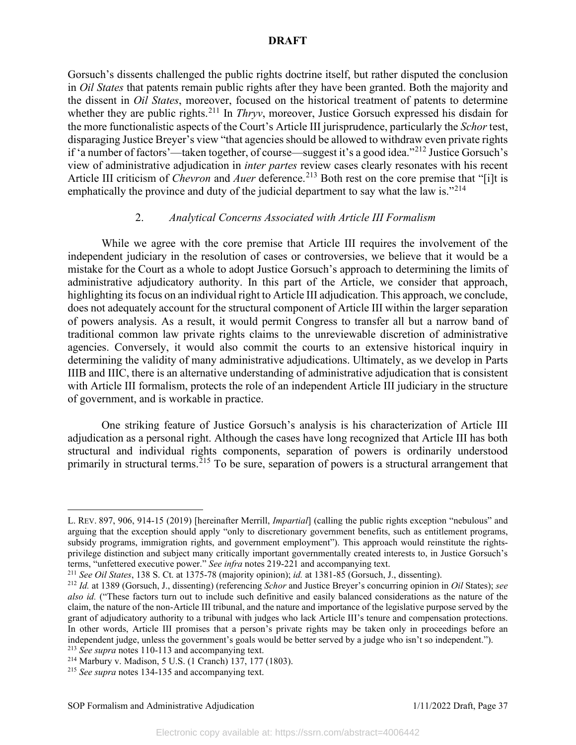Gorsuch's dissents challenged the public rights doctrine itself, but rather disputed the conclusion in *Oil States* that patents remain public rights after they have been granted. Both the majority and the dissent in *Oil States*, moreover, focused on the historical treatment of patents to determine whether they are public rights.<sup>[211](#page-37-0)</sup> In *Thryv*, moreover, Justice Gorsuch expressed his disdain for the more functionalistic aspects of the Court's Article III jurisprudence, particularly the *Schor* test, disparaging Justice Breyer's view "that agencies should be allowed to withdraw even private rights if 'a number of factors'—taken together, of course—suggest it's a good idea."[212](#page-37-1) Justice Gorsuch's view of administrative adjudication in *inter partes* review cases clearly resonates with his recent Article III criticism of *Chevron* and *Auer* deference. [213](#page-37-2) Both rest on the core premise that "[i]t is emphatically the province and duty of the judicial department to say what the law is."<sup>[214](#page-37-3)</sup>

# 2. *Analytical Concerns Associated with Article III Formalism*

While we agree with the core premise that Article III requires the involvement of the independent judiciary in the resolution of cases or controversies, we believe that it would be a mistake for the Court as a whole to adopt Justice Gorsuch's approach to determining the limits of administrative adjudicatory authority. In this part of the Article, we consider that approach, highlighting its focus on an individual right to Article III adjudication. This approach, we conclude, does not adequately account for the structural component of Article III within the larger separation of powers analysis. As a result, it would permit Congress to transfer all but a narrow band of traditional common law private rights claims to the unreviewable discretion of administrative agencies. Conversely, it would also commit the courts to an extensive historical inquiry in determining the validity of many administrative adjudications. Ultimately, as we develop in Parts IIIB and IIIC, there is an alternative understanding of administrative adjudication that is consistent with Article III formalism, protects the role of an independent Article III judiciary in the structure of government, and is workable in practice.

One striking feature of Justice Gorsuch's analysis is his characterization of Article III adjudication as a personal right. Although the cases have long recognized that Article III has both structural and individual rights components, separation of powers is ordinarily understood primarily in structural terms.<sup>[215](#page-37-4)</sup> To be sure, separation of powers is a structural arrangement that

<span id="page-37-2"></span>

L. REV. 897, 906, 914-15 (2019) [hereinafter Merrill, *Impartial*] (calling the public rights exception "nebulous" and arguing that the exception should apply "only to discretionary government benefits, such as entitlement programs, subsidy programs, immigration rights, and government employment"). This approach would reinstitute the rightsprivilege distinction and subject many critically important governmentally created interests to, in Justice Gorsuch's terms, "unfettered executive power." *See infra* notes 219-221 and accompanying text.

<span id="page-37-0"></span><sup>211</sup> *See Oil States*, 138 S. Ct. at 1375-78 (majority opinion); *id.* at 1381-85 (Gorsuch, J., dissenting).

<span id="page-37-1"></span><sup>212</sup> *Id.* at 1389 (Gorsuch, J., dissenting) (referencing *Schor* and Justice Breyer's concurring opinion in *Oil* States); *see also id.* ("These factors turn out to include such definitive and easily balanced considerations as the nature of the claim, the nature of the non-Article III tribunal, and the nature and importance of the legislative purpose served by the grant of adjudicatory authority to a tribunal with judges who lack Article III's tenure and compensation protections. In other words, Article III promises that a person's private rights may be taken only in proceedings before an independent judge, unless the government's goals would be better served by a judge who isn't so independent."). <sup>213</sup> *See supra* notes 110-113 and accompanying text.

<span id="page-37-3"></span><sup>214</sup> Marbury v. Madison, 5 U.S. (1 Cranch) 137, 177 (1803).

<span id="page-37-4"></span><sup>215</sup> *See supra* notes 134-135 and accompanying text.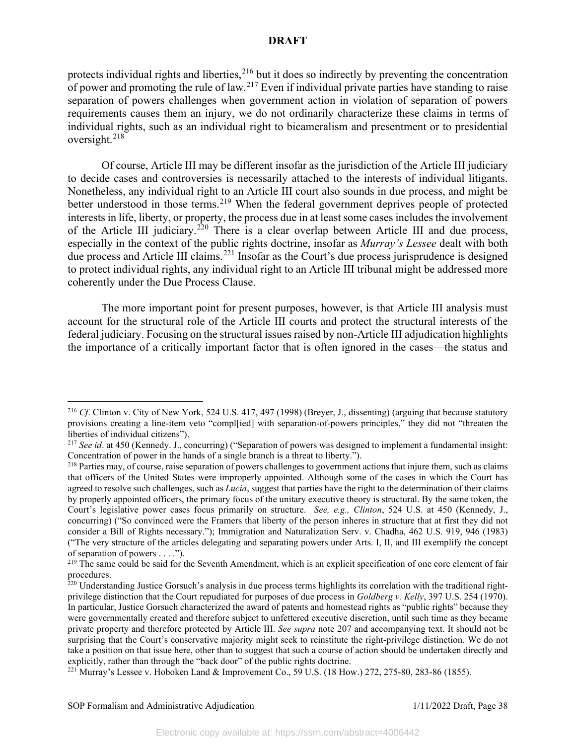protects individual rights and liberties,<sup>[216](#page-38-0)</sup> but it does so indirectly by preventing the concentration of power and promoting the rule of law.<sup>[217](#page-38-1)</sup> Even if individual private parties have standing to raise separation of powers challenges when government action in violation of separation of powers requirements causes them an injury, we do not ordinarily characterize these claims in terms of individual rights, such as an individual right to bicameralism and presentment or to presidential oversight.[218](#page-38-2)

Of course, Article III may be different insofar as the jurisdiction of the Article III judiciary to decide cases and controversies is necessarily attached to the interests of individual litigants. Nonetheless, any individual right to an Article III court also sounds in due process, and might be better understood in those terms.<sup>[219](#page-38-3)</sup> When the federal government deprives people of protected interests in life, liberty, or property, the process due in at least some cases includes the involvement of the Article III judiciary.<sup>[220](#page-38-4)</sup> There is a clear overlap between Article III and due process, especially in the context of the public rights doctrine, insofar as *Murray's Lessee* dealt with both due process and Article III claims.<sup>[221](#page-38-5)</sup> Insofar as the Court's due process jurisprudence is designed to protect individual rights, any individual right to an Article III tribunal might be addressed more coherently under the Due Process Clause.

The more important point for present purposes, however, is that Article III analysis must account for the structural role of the Article III courts and protect the structural interests of the federal judiciary. Focusing on the structural issues raised by non-Article III adjudication highlights the importance of a critically important factor that is often ignored in the cases—the status and

<span id="page-38-0"></span><sup>216</sup> *Cf*. Clinton v. City of New York, 524 U.S. 417, 497 (1998) (Breyer, J., dissenting) (arguing that because statutory provisions creating a line-item veto "compl[ied] with separation-of-powers principles," they did not "threaten the liberties of individual citizens").

<span id="page-38-1"></span><sup>217</sup> *See id*. at 450 (Kennedy. J., concurring) ("Separation of powers was designed to implement a fundamental insight: Concentration of power in the hands of a single branch is a threat to liberty.").

<span id="page-38-2"></span><sup>&</sup>lt;sup>218</sup> Parties may, of course, raise separation of powers challenges to government actions that injure them, such as claims that officers of the United States were improperly appointed. Although some of the cases in which the Court has agreed to resolve such challenges, such as *Lucia*, suggest that parties have the right to the determination of their claims by properly appointed officers, the primary focus of the unitary executive theory is structural. By the same token, the Court's legislative power cases focus primarily on structure. *See, e.g., Clinton*, 524 U.S. at 450 (Kennedy, J., concurring) ("So convinced were the Framers that liberty of the person inheres in structure that at first they did not consider a Bill of Rights necessary."); Immigration and Naturalization Serv. v. Chadha, 462 U.S. 919, 946 (1983) ("The very structure of the articles delegating and separating powers under Arts. I, II, and III exemplify the concept of separation of powers . . . .").

<span id="page-38-3"></span><sup>&</sup>lt;sup>219</sup> The same could be said for the Seventh Amendment, which is an explicit specification of one core element of fair procedures.

<span id="page-38-4"></span> $^{220}$  Understanding Justice Gorsuch's analysis in due process terms highlights its correlation with the traditional rightprivilege distinction that the Court repudiated for purposes of due process in *Goldberg v. Kelly*, 397 U.S. 254 (1970). In particular, Justice Gorsuch characterized the award of patents and homestead rights as "public rights" because they were governmentally created and therefore subject to unfettered executive discretion, until such time as they became private property and therefore protected by Article III. *See supra* note 207 and accompanying text. It should not be surprising that the Court's conservative majority might seek to reinstitute the right-privilege distinction. We do not take a position on that issue here, other than to suggest that such a course of action should be undertaken directly and explicitly, rather than through the "back door" of the public rights doctrine.

<span id="page-38-5"></span><sup>&</sup>lt;sup>221</sup> Murray's Lessee v. Hoboken Land & Improvement Co., 59 U.S. (18 How.) 272, 275-80, 283-86 (1855).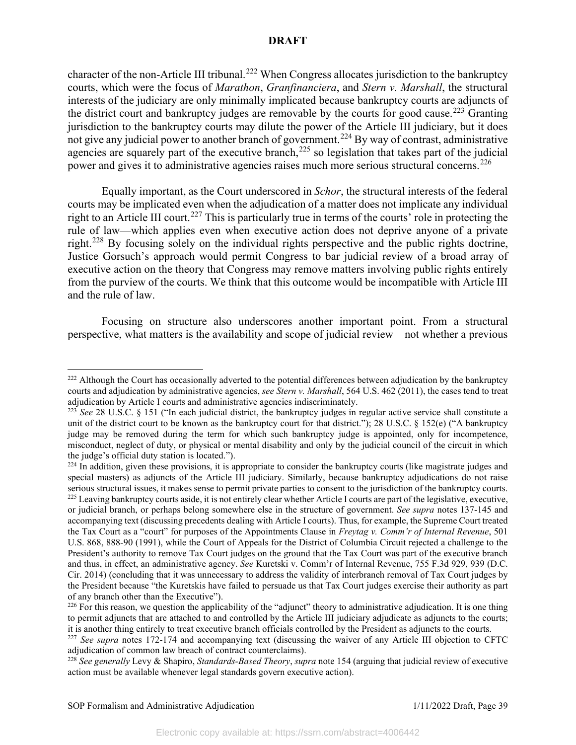character of the non-Article III tribunal.<sup>[222](#page-39-0)</sup> When Congress allocates jurisdiction to the bankruptcy courts, which were the focus of *Marathon*, *Granfinanciera*, and *Stern v. Marshall*, the structural interests of the judiciary are only minimally implicated because bankruptcy courts are adjuncts of the district court and bankruptcy judges are removable by the courts for good cause.<sup>[223](#page-39-1)</sup> Granting jurisdiction to the bankruptcy courts may dilute the power of the Article III judiciary, but it does not give any judicial power to another branch of government.<sup>[224](#page-39-2)</sup> By way of contrast, administrative agencies are squarely part of the executive branch,<sup>[225](#page-39-3)</sup> so legislation that takes part of the judicial power and gives it to administrative agencies raises much more serious structural concerns.<sup>[226](#page-39-4)</sup>

Equally important, as the Court underscored in *Schor*, the structural interests of the federal courts may be implicated even when the adjudication of a matter does not implicate any individual right to an Article III court.<sup>[227](#page-39-5)</sup> This is particularly true in terms of the courts' role in protecting the rule of law—which applies even when executive action does not deprive anyone of a private right.[228](#page-39-6) By focusing solely on the individual rights perspective and the public rights doctrine, Justice Gorsuch's approach would permit Congress to bar judicial review of a broad array of executive action on the theory that Congress may remove matters involving public rights entirely from the purview of the courts. We think that this outcome would be incompatible with Article III and the rule of law.

Focusing on structure also underscores another important point. From a structural perspective, what matters is the availability and scope of judicial review—not whether a previous

<span id="page-39-0"></span><sup>&</sup>lt;sup>222</sup> Although the Court has occasionally adverted to the potential differences between adjudication by the bankruptcy courts and adjudication by administrative agencies, *see Stern v. Marshall*, 564 U.S. 462 (2011), the cases tend to treat adjudication by Article I courts and administrative agencies indiscriminately.<br><sup>223</sup> *See* 28 U.S.C. § 151 ("In each judicial district, the bankruptcy judges in regular active service shall constitute a

<span id="page-39-1"></span>unit of the district court to be known as the bankruptcy court for that district."); 28 U.S.C. § 152(e) ("A bankruptcy judge may be removed during the term for which such bankruptcy judge is appointed, only for incompetence, misconduct, neglect of duty, or physical or mental disability and only by the judicial council of the circuit in which the judge's official duty station is located.").

<span id="page-39-3"></span><span id="page-39-2"></span> $224$  In addition, given these provisions, it is appropriate to consider the bankruptcy courts (like magistrate judges and special masters) as adjuncts of the Article III judiciary. Similarly, because bankruptcy adjudications do not raise serious structural issues, it makes sense to permit private parties to consent to the jurisdiction of the bankruptcy courts. <sup>225</sup> Leaving bankruptcy courts aside, it is not entirely clear whether Article I courts are part of the legislative, executive, or judicial branch, or perhaps belong somewhere else in the structure of government. *See supra* notes 137-145 and accompanying text (discussing precedents dealing with Article I courts). Thus, for example, the Supreme Court treated the Tax Court as a "court" for purposes of the Appointments Clause in *Freytag v. Comm'r of Internal Revenue*, 501 U.S. 868, 888-90 (1991), while the Court of Appeals for the District of Columbia Circuit rejected a challenge to the President's authority to remove Tax Court judges on the ground that the Tax Court was part of the executive branch and thus, in effect, an administrative agency. *See* Kuretski v. Comm'r of Internal Revenue, 755 F.3d 929, 939 (D.C. Cir. 2014) (concluding that it was unnecessary to address the validity of interbranch removal of Tax Court judges by the President because "the Kuretskis have failed to persuade us that Tax Court judges exercise their authority as part of any branch other than the Executive").

<span id="page-39-4"></span> $226$  For this reason, we question the applicability of the "adjunct" theory to administrative adjudication. It is one thing to permit adjuncts that are attached to and controlled by the Article III judiciary adjudicate as adjuncts to the courts; it is another thing entirely to treat executive branch officials controlled by the President as adjuncts to the courts.

<span id="page-39-5"></span><sup>&</sup>lt;sup>227</sup> See supra notes 172-174 and accompanying text (discussing the waiver of any Article III objection to CFTC adjudication of common law breach of contract counterclaims).

<span id="page-39-6"></span><sup>228</sup> *See generally* Levy & Shapiro, *Standards-Based Theory*, *supra* note 154 (arguing that judicial review of executive action must be available whenever legal standards govern executive action).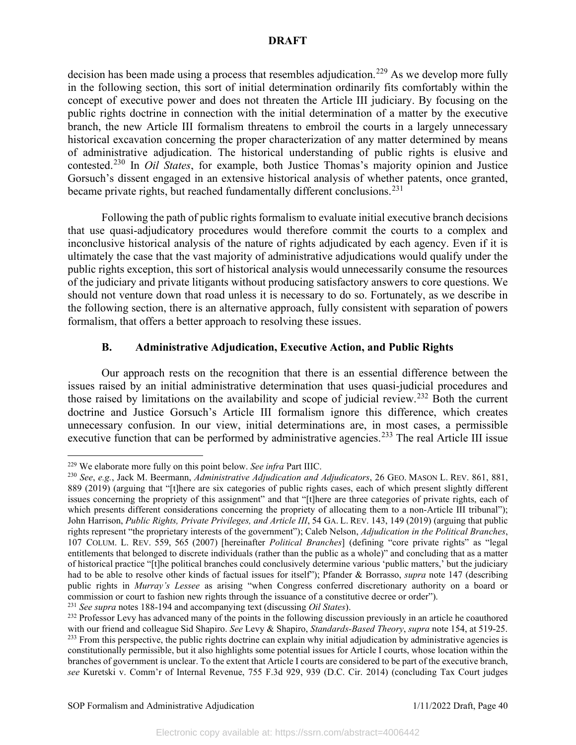decision has been made using a process that resembles adjudication.<sup>[229](#page-40-0)</sup> As we develop more fully in the following section, this sort of initial determination ordinarily fits comfortably within the concept of executive power and does not threaten the Article III judiciary. By focusing on the public rights doctrine in connection with the initial determination of a matter by the executive branch, the new Article III formalism threatens to embroil the courts in a largely unnecessary historical excavation concerning the proper characterization of any matter determined by means of administrative adjudication. The historical understanding of public rights is elusive and contested. [230](#page-40-1) In *Oil States*, for example, both Justice Thomas's majority opinion and Justice Gorsuch's dissent engaged in an extensive historical analysis of whether patents, once granted, became private rights, but reached fundamentally different conclusions.<sup>[231](#page-40-2)</sup>

Following the path of public rights formalism to evaluate initial executive branch decisions that use quasi-adjudicatory procedures would therefore commit the courts to a complex and inconclusive historical analysis of the nature of rights adjudicated by each agency. Even if it is ultimately the case that the vast majority of administrative adjudications would qualify under the public rights exception, this sort of historical analysis would unnecessarily consume the resources of the judiciary and private litigants without producing satisfactory answers to core questions. We should not venture down that road unless it is necessary to do so. Fortunately, as we describe in the following section, there is an alternative approach, fully consistent with separation of powers formalism, that offers a better approach to resolving these issues.

# **B. Administrative Adjudication, Executive Action, and Public Rights**

Our approach rests on the recognition that there is an essential difference between the issues raised by an initial administrative determination that uses quasi-judicial procedures and those raised by limitations on the availability and scope of judicial review.<sup>[232](#page-40-3)</sup> Both the current doctrine and Justice Gorsuch's Article III formalism ignore this difference, which creates unnecessary confusion. In our view, initial determinations are, in most cases, a permissible executive function that can be performed by administrative agencies.<sup>[233](#page-40-4)</sup> The real Article III issue

<span id="page-40-0"></span><sup>229</sup> We elaborate more fully on this point below. *See infra* Part IIIC.

<span id="page-40-1"></span><sup>230</sup> *See*, *e.g.*, Jack M. Beermann, *Administrative Adjudication and Adjudicators*, 26 GEO. MASON L. REV. 861, 881, 889 (2019) (arguing that "[t]here are six categories of public rights cases, each of which present slightly different issues concerning the propriety of this assignment" and that "[t]here are three categories of private rights, each of which presents different considerations concerning the propriety of allocating them to a non-Article III tribunal"); John Harrison, *Public Rights, Private Privileges, and Article III*, 54 GA. L. REV. 143, 149 (2019) (arguing that public rights represent "the proprietary interests of the government"); Caleb Nelson, *Adjudication in the Political Branches*, 107 COLUM. L. REV. 559, 565 (2007) [hereinafter *Political Branches*] (defining "core private rights" as "legal entitlements that belonged to discrete individuals (rather than the public as a whole)" and concluding that as a matter of historical practice "[t]he political branches could conclusively determine various 'public matters,' but the judiciary had to be able to resolve other kinds of factual issues for itself"); Pfander & Borrasso, *supra* note 147 (describing public rights in *Murray's Lessee* as arising "when Congress conferred discretionary authority on a board or commission or court to fashion new rights through the issuance of a constitutive decree or order").

<span id="page-40-2"></span><sup>231</sup> *See supra* notes 188-194 and accompanying text (discussing *Oil States*).

<span id="page-40-4"></span><span id="page-40-3"></span><sup>&</sup>lt;sup>232</sup> Professor Levy has advanced many of the points in the following discussion previously in an article he coauthored with our friend and colleague Sid Shapiro. See Levy & Shapiro, Standards-Based Theory, supra note 154, at 519-25.<br><sup>233</sup> From this perspective, the public rights doctrine can explain why initial adjudication by administrati constitutionally permissible, but it also highlights some potential issues for Article I courts, whose location within the branches of government is unclear. To the extent that Article I courts are considered to be part of the executive branch, *see* Kuretski v. Comm'r of Internal Revenue, 755 F.3d 929, 939 (D.C. Cir. 2014) (concluding Tax Court judges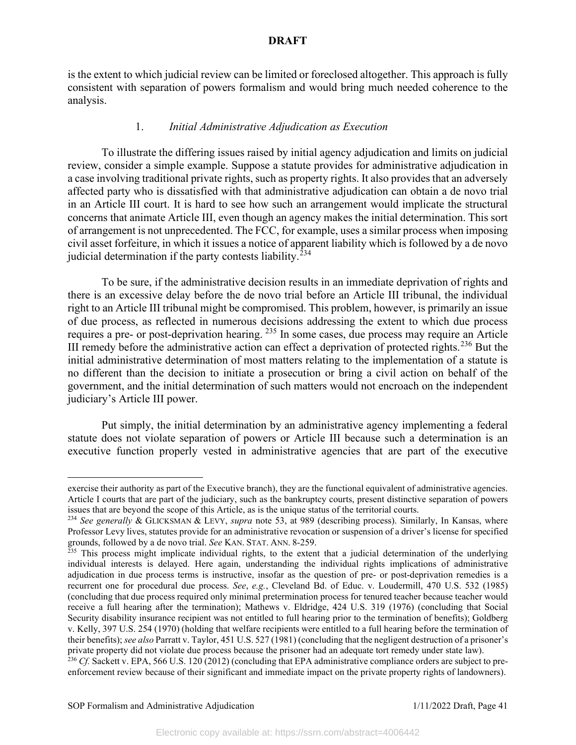is the extent to which judicial review can be limited or foreclosed altogether. This approach is fully consistent with separation of powers formalism and would bring much needed coherence to the analysis.

## 1. *Initial Administrative Adjudication as Execution*

To illustrate the differing issues raised by initial agency adjudication and limits on judicial review, consider a simple example. Suppose a statute provides for administrative adjudication in a case involving traditional private rights, such as property rights. It also provides that an adversely affected party who is dissatisfied with that administrative adjudication can obtain a de novo trial in an Article III court. It is hard to see how such an arrangement would implicate the structural concerns that animate Article III, even though an agency makes the initial determination. This sort of arrangement is not unprecedented. The FCC, for example, uses a similar process when imposing civil asset forfeiture, in which it issues a notice of apparent liability which is followed by a de novo judicial determination if the party contests liability.<sup>[234](#page-41-0)</sup>

To be sure, if the administrative decision results in an immediate deprivation of rights and there is an excessive delay before the de novo trial before an Article III tribunal, the individual right to an Article III tribunal might be compromised. This problem, however, is primarily an issue of due process, as reflected in numerous decisions addressing the extent to which due process requires a pre- or post-deprivation hearing. [235](#page-41-1) In some cases, due process may require an Article III remedy before the administrative action can effect a deprivation of protected rights.<sup>[236](#page-41-2)</sup> But the initial administrative determination of most matters relating to the implementation of a statute is no different than the decision to initiate a prosecution or bring a civil action on behalf of the government, and the initial determination of such matters would not encroach on the independent judiciary's Article III power.

Put simply, the initial determination by an administrative agency implementing a federal statute does not violate separation of powers or Article III because such a determination is an executive function properly vested in administrative agencies that are part of the executive

exercise their authority as part of the Executive branch), they are the functional equivalent of administrative agencies. Article I courts that are part of the judiciary, such as the bankruptcy courts, present distinctive separation of powers issues that are beyond the scope of this Article, as is the unique status of the territorial courts.

<span id="page-41-0"></span><sup>234</sup> *See generally* & GLICKSMAN & LEVY, *supra* note 53, at 989 (describing process). Similarly, In Kansas, where Professor Levy lives, statutes provide for an administrative revocation or suspension of a driver's license for specified grounds, followed by a de novo trial. *See* KAN. STAT. ANN. 8-259.

<span id="page-41-1"></span> $235$  This process might implicate individual rights, to the extent that a judicial determination of the underlying individual interests is delayed. Here again, understanding the individual rights implications of administrative adjudication in due process terms is instructive, insofar as the question of pre- or post-deprivation remedies is a recurrent one for procedural due process. *See*, *e.g.*, Cleveland Bd. of Educ. v. Loudermill, 470 U.S. 532 (1985) (concluding that due process required only minimal pretermination process for tenured teacher because teacher would receive a full hearing after the termination); Mathews v. Eldridge, 424 U.S. 319 (1976) (concluding that Social Security disability insurance recipient was not entitled to full hearing prior to the termination of benefits); Goldberg v. Kelly, 397 U.S. 254 (1970) (holding that welfare recipients were entitled to a full hearing before the termination of their benefits); *see also* Parratt v. Taylor, 451 U.S. 527 (1981) (concluding that the negligent destruction of a prisoner's private property did not violate due process because the prisoner had an adequate tort remedy under state law).

<span id="page-41-2"></span> $^{236}$  Cf. Sackett v. EPA, 566 U.S. 120 (2012) (concluding that EPA administrative compliance orders are subject to preenforcement review because of their significant and immediate impact on the private property rights of landowners).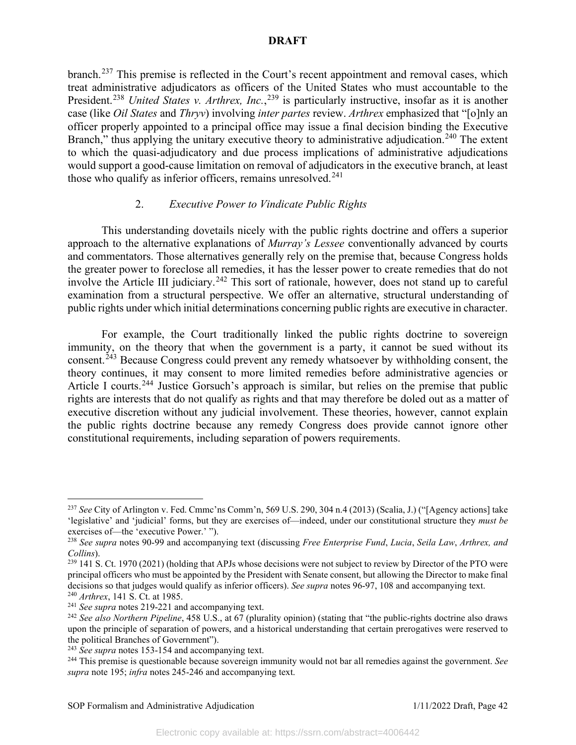branch.<sup>[237](#page-42-0)</sup> This premise is reflected in the Court's recent appointment and removal cases, which treat administrative adjudicators as officers of the United States who must accountable to the President.<sup>[238](#page-42-1)</sup> United States v. Arthrex, Inc.,<sup>[239](#page-42-2)</sup> is particularly instructive, insofar as it is another case (like *Oil States* and *Thryv*) involving *inter partes* review. *Arthrex* emphasized that "[o]nly an officer properly appointed to a principal office may issue a final decision binding the Executive Branch," thus applying the unitary executive theory to administrative adjudication.<sup>[240](#page-42-3)</sup> The extent to which the quasi-adjudicatory and due process implications of administrative adjudications would support a good-cause limitation on removal of adjudicators in the executive branch, at least those who qualify as inferior officers, remains unresolved.<sup>[241](#page-42-4)</sup>

## 2. *Executive Power to Vindicate Public Rights*

This understanding dovetails nicely with the public rights doctrine and offers a superior approach to the alternative explanations of *Murray's Lessee* conventionally advanced by courts and commentators. Those alternatives generally rely on the premise that, because Congress holds the greater power to foreclose all remedies, it has the lesser power to create remedies that do not involve the Article III judiciary.<sup>[242](#page-42-5)</sup> This sort of rationale, however, does not stand up to careful examination from a structural perspective. We offer an alternative, structural understanding of public rights under which initial determinations concerning public rights are executive in character.

For example, the Court traditionally linked the public rights doctrine to sovereign immunity, on the theory that when the government is a party, it cannot be sued without its consent.<sup>[243](#page-42-6)</sup> Because Congress could prevent any remedy whatsoever by withholding consent, the theory continues, it may consent to more limited remedies before administrative agencies or Article I courts.<sup>[244](#page-42-7)</sup> Justice Gorsuch's approach is similar, but relies on the premise that public rights are interests that do not qualify as rights and that may therefore be doled out as a matter of executive discretion without any judicial involvement. These theories, however, cannot explain the public rights doctrine because any remedy Congress does provide cannot ignore other constitutional requirements, including separation of powers requirements.

<span id="page-42-0"></span><sup>237</sup> *See* City of Arlington v. Fed. Cmmc'ns Comm'n, 569 U.S. 290, 304 n.4 (2013) (Scalia, J.) ("[Agency actions] take 'legislative' and 'judicial' forms, but they are exercises of—indeed, under our constitutional structure they *must be*  exercises of—the 'executive Power.' ").

<span id="page-42-1"></span><sup>238</sup> *See supra* notes 90-99 and accompanying text (discussing *Free Enterprise Fund*, *Lucia*, *Seila Law*, *Arthrex, and Collins*).

<span id="page-42-2"></span><sup>&</sup>lt;sup>239</sup> 141 S. Ct. 1970 (2021) (holding that APJs whose decisions were not subject to review by Director of the PTO were principal officers who must be appointed by the President with Senate consent, but allowing the Director to make final decisions so that judges would qualify as inferior officers). *See supra* notes 96-97, 108 and accompanying text. <sup>240</sup> *Arthrex*, 141 S. Ct. at 1985.

<span id="page-42-4"></span><span id="page-42-3"></span><sup>241</sup> *See supra* notes 219-221 and accompanying text.

<span id="page-42-5"></span><sup>242</sup> *See also Northern Pipeline*, 458 U.S., at 67 (plurality opinion) (stating that "the public-rights doctrine also draws upon the principle of separation of powers, and a historical understanding that certain prerogatives were reserved to the political Branches of Government").

<span id="page-42-6"></span><sup>243</sup> *See supra* notes 153-154 and accompanying text.

<span id="page-42-7"></span><sup>244</sup> This premise is questionable because sovereign immunity would not bar all remedies against the government. *See supra* note 195; *infra* notes 245-246 and accompanying text.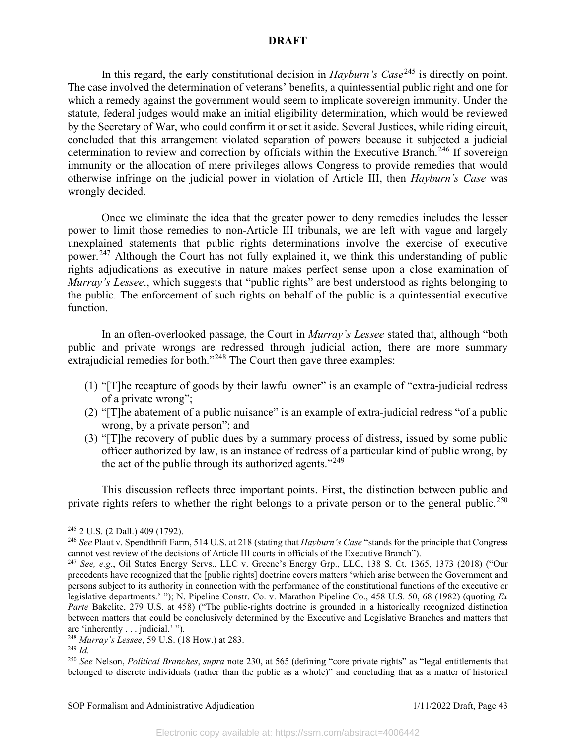In this regard, the early constitutional decision in *Hayburn's Case*<sup>[245](#page-43-0)</sup> is directly on point. The case involved the determination of veterans' benefits, a quintessential public right and one for which a remedy against the government would seem to implicate sovereign immunity. Under the statute, federal judges would make an initial eligibility determination, which would be reviewed by the Secretary of War, who could confirm it or set it aside. Several Justices, while riding circuit, concluded that this arrangement violated separation of powers because it subjected a judicial determination to review and correction by officials within the Executive Branch.<sup>[246](#page-43-1)</sup> If sovereign immunity or the allocation of mere privileges allows Congress to provide remedies that would otherwise infringe on the judicial power in violation of Article III, then *Hayburn's Case* was wrongly decided.

Once we eliminate the idea that the greater power to deny remedies includes the lesser power to limit those remedies to non-Article III tribunals, we are left with vague and largely unexplained statements that public rights determinations involve the exercise of executive power.[247](#page-43-2) Although the Court has not fully explained it, we think this understanding of public rights adjudications as executive in nature makes perfect sense upon a close examination of *Murray's Lessee*., which suggests that "public rights" are best understood as rights belonging to the public. The enforcement of such rights on behalf of the public is a quintessential executive function.

In an often-overlooked passage, the Court in *Murray's Lessee* stated that, although "both public and private wrongs are redressed through judicial action, there are more summary extrajudicial remedies for both."<sup>[248](#page-43-3)</sup> The Court then gave three examples:

- (1) "[T]he recapture of goods by their lawful owner" is an example of "extra-judicial redress of a private wrong";
- (2) "[T]he abatement of a public nuisance" is an example of extra-judicial redress "of a public wrong, by a private person"; and
- (3) "[T]he recovery of public dues by a summary process of distress, issued by some public officer authorized by law, is an instance of redress of a particular kind of public wrong, by the act of the public through its authorized agents."<sup>[249](#page-43-4)</sup>

This discussion reflects three important points. First, the distinction between public and private rights refers to whether the right belongs to a private person or to the general public.<sup>[250](#page-43-5)</sup>

<span id="page-43-0"></span><sup>245</sup> 2 U.S. (2 Dall.) 409 (1792).

<span id="page-43-1"></span><sup>246</sup> *See* Plaut v. Spendthrift Farm, 514 U.S. at 218 (stating that *Hayburn's Case* "stands for the principle that Congress cannot vest review of the decisions of Article III courts in officials of the Executive Branch").

<span id="page-43-2"></span><sup>247</sup> *See, e.g.*, Oil States Energy Servs., LLC v. Greene's Energy Grp., LLC, 138 S. Ct. 1365, 1373 (2018) ("Our precedents have recognized that the [public rights] doctrine covers matters 'which arise between the Government and persons subject to its authority in connection with the performance of the constitutional functions of the executive or legislative departments.' "); N. Pipeline Constr. Co. v. Marathon Pipeline Co., 458 U.S. 50, 68 (1982) (quoting *Ex Parte* Bakelite, 279 U.S. at 458) ("The public-rights doctrine is grounded in a historically recognized distinction between matters that could be conclusively determined by the Executive and Legislative Branches and matters that are 'inherently . . . judicial.' ").

<span id="page-43-3"></span><sup>248</sup> *Murray's Lessee*, 59 U.S. (18 How.) at 283.

<span id="page-43-4"></span><sup>249</sup> *Id.*

<span id="page-43-5"></span><sup>250</sup> *See* Nelson, *Political Branches*, *supra* note 230, at 565 (defining "core private rights" as "legal entitlements that belonged to discrete individuals (rather than the public as a whole)" and concluding that as a matter of historical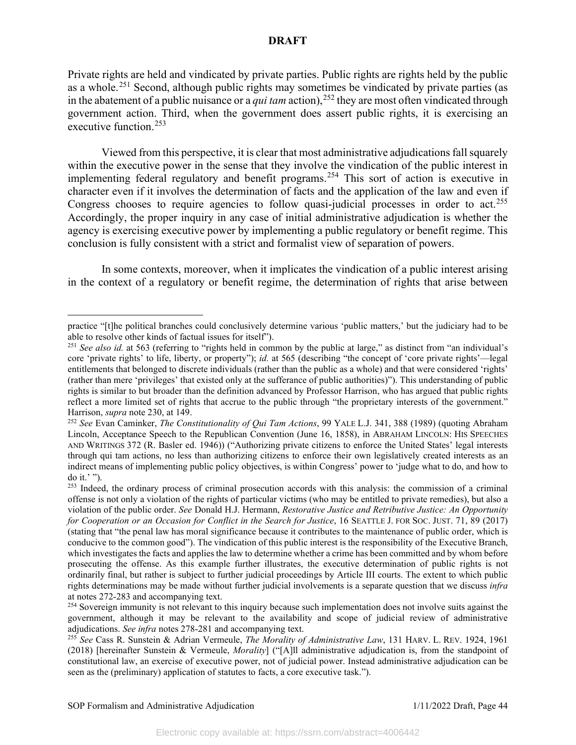Private rights are held and vindicated by private parties. Public rights are rights held by the public as a whole.<sup>[251](#page-44-0)</sup> Second, although public rights may sometimes be vindicated by private parties (as in the abatement of a public nuisance or a *qui tam* action), <sup>[252](#page-44-1)</sup> they are most often vindicated through government action. Third, when the government does assert public rights, it is exercising an executive function.<sup>[253](#page-44-2)</sup>

Viewed from this perspective, it is clear that most administrative adjudications fall squarely within the executive power in the sense that they involve the vindication of the public interest in implementing federal regulatory and benefit programs.[254](#page-44-3) This sort of action is executive in character even if it involves the determination of facts and the application of the law and even if Congress chooses to require agencies to follow quasi-judicial processes in order to act.<sup>[255](#page-44-4)</sup> Accordingly, the proper inquiry in any case of initial administrative adjudication is whether the agency is exercising executive power by implementing a public regulatory or benefit regime. This conclusion is fully consistent with a strict and formalist view of separation of powers.

In some contexts, moreover, when it implicates the vindication of a public interest arising in the context of a regulatory or benefit regime, the determination of rights that arise between

practice "[t]he political branches could conclusively determine various 'public matters,' but the judiciary had to be able to resolve other kinds of factual issues for itself").

<span id="page-44-0"></span><sup>&</sup>lt;sup>251</sup> *See also id.* at 563 (referring to "rights held in common by the public at large," as distinct from "an individual's core 'private rights' to life, liberty, or property"); *id.* at 565 (describing "the concept of 'core private rights'—legal entitlements that belonged to discrete individuals (rather than the public as a whole) and that were considered 'rights' (rather than mere 'privileges' that existed only at the sufferance of public authorities)"). This understanding of public rights is similar to but broader than the definition advanced by Professor Harrison, who has argued that public rights reflect a more limited set of rights that accrue to the public through "the proprietary interests of the government." Harrison, *supra* note 230, at 149.

<span id="page-44-1"></span><sup>252</sup> *See* Evan Caminker, *The Constitutionality of Qui Tam Actions*, 99 YALE L.J. 341, 388 (1989) (quoting Abraham Lincoln, Acceptance Speech to the Republican Convention (June 16, 1858), in ABRAHAM LINCOLN: HIS SPEECHES AND WRITINGS 372 (R. Basler ed. 1946)) ("Authorizing private citizens to enforce the United States' legal interests through qui tam actions, no less than authorizing citizens to enforce their own legislatively created interests as an indirect means of implementing public policy objectives, is within Congress' power to 'judge what to do, and how to do it.' ").

<span id="page-44-2"></span><sup>&</sup>lt;sup>253</sup> Indeed, the ordinary process of criminal prosecution accords with this analysis: the commission of a criminal offense is not only a violation of the rights of particular victims (who may be entitled to private remedies), but also a violation of the public order. *See* Donald H.J. Hermann, *Restorative Justice and Retributive Justice: An Opportunity for Cooperation or an Occasion for Conflict in the Search for Justice*, 16 SEATTLE J. FOR SOC. JUST. 71, 89 (2017) (stating that "the penal law has moral significance because it contributes to the maintenance of public order, which is conducive to the common good"). The vindication of this public interest is the responsibility of the Executive Branch, which investigates the facts and applies the law to determine whether a crime has been committed and by whom before prosecuting the offense. As this example further illustrates, the executive determination of public rights is not ordinarily final, but rather is subject to further judicial proceedings by Article III courts. The extent to which public rights determinations may be made without further judicial involvements is a separate question that we discuss *infra* at notes 272-283 and accompanying text.

<span id="page-44-3"></span><sup>&</sup>lt;sup>254</sup> Sovereign immunity is not relevant to this inquiry because such implementation does not involve suits against the government, although it may be relevant to the availability and scope of judicial review of administrative adjudications. *See infra* notes 278-281 and accompanying text.

<span id="page-44-4"></span><sup>255</sup> *See* Cass R. Sunstein & Adrian Vermeule, *The Morality of Administrative Law*, 131 HARV. L. REV. 1924, 1961 (2018) [hereinafter Sunstein & Vermeule, *Morality*] ("[A]ll administrative adjudication is, from the standpoint of constitutional law, an exercise of executive power, not of judicial power. Instead administrative adjudication can be seen as the (preliminary) application of statutes to facts, a core executive task.").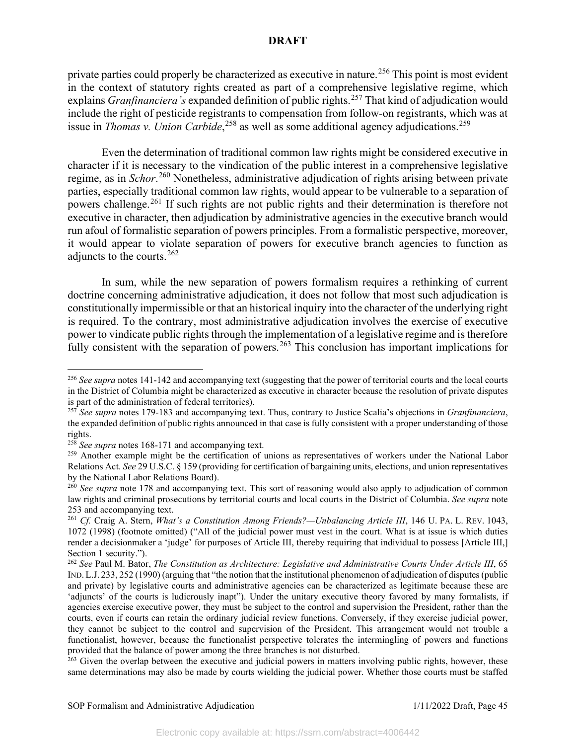private parties could properly be characterized as executive in nature.<sup>[256](#page-45-0)</sup> This point is most evident in the context of statutory rights created as part of a comprehensive legislative regime, which explains *Granfinanciera's* expanded definition of public rights. [257](#page-45-1) That kind of adjudication would include the right of pesticide registrants to compensation from follow-on registrants, which was at issue in *Thomas v. Union Carbide*,<sup>[258](#page-45-2)</sup> as well as some additional agency adjudications.<sup>[259](#page-45-3)</sup>

Even the determination of traditional common law rights might be considered executive in character if it is necessary to the vindication of the public interest in a comprehensive legislative regime, as in *Schor*. [260](#page-45-4) Nonetheless, administrative adjudication of rights arising between private parties, especially traditional common law rights, would appear to be vulnerable to a separation of powers challenge.[261](#page-45-5) If such rights are not public rights and their determination is therefore not executive in character, then adjudication by administrative agencies in the executive branch would run afoul of formalistic separation of powers principles. From a formalistic perspective, moreover, it would appear to violate separation of powers for executive branch agencies to function as adjuncts to the courts. [262](#page-45-6)

In sum, while the new separation of powers formalism requires a rethinking of current doctrine concerning administrative adjudication, it does not follow that most such adjudication is constitutionally impermissible or that an historical inquiry into the character of the underlying right is required. To the contrary, most administrative adjudication involves the exercise of executive power to vindicate public rights through the implementation of a legislative regime and is therefore fully consistent with the separation of powers.<sup>[263](#page-45-7)</sup> This conclusion has important implications for

<span id="page-45-0"></span><sup>&</sup>lt;sup>256</sup> See supra notes 141-142 and accompanying text (suggesting that the power of territorial courts and the local courts in the District of Columbia might be characterized as executive in character because the resolution of private disputes is part of the administration of federal territories).

<span id="page-45-1"></span><sup>257</sup> *See supra* notes 179-183 and accompanying text. Thus, contrary to Justice Scalia's objections in *Granfinanciera*, the expanded definition of public rights announced in that case is fully consistent with a proper understanding of those rights.<br><sup>258</sup> See supra notes 168-171 and accompanying text.

<span id="page-45-2"></span>

<span id="page-45-3"></span><sup>&</sup>lt;sup>259</sup> Another example might be the certification of unions as representatives of workers under the National Labor Relations Act. *See* 29 U.S.C. § 159 (providing for certification of bargaining units, elections, and union representatives by the National Labor Relations Board).

<span id="page-45-4"></span><sup>&</sup>lt;sup>260</sup> See supra note 178 and accompanying text. This sort of reasoning would also apply to adjudication of common law rights and criminal prosecutions by territorial courts and local courts in the District of Columbia. *See supra* note 253 and accompanying text.

<span id="page-45-5"></span><sup>261</sup> *Cf.* Craig A. Stern, *What's a Constitution Among Friends?—Unbalancing Article III*, 146 U. PA. L. REV. 1043, 1072 (1998) (footnote omitted) ("All of the judicial power must vest in the court. What is at issue is which duties render a decisionmaker a 'judge' for purposes of Article III, thereby requiring that individual to possess [Article III,] Section 1 security.").

<span id="page-45-6"></span><sup>262</sup> *See* Paul M. Bator, *The Constitution as Architecture: Legislative and Administrative Courts Under Article III*, 65 IND. L.J. 233, 252 (1990) (arguing that "the notion that the institutional phenomenon of adjudication of disputes (public and private) by legislative courts and administrative agencies can be characterized as legitimate because these are 'adjuncts' of the courts is ludicrously inapt"). Under the unitary executive theory favored by many formalists, if agencies exercise executive power, they must be subject to the control and supervision the President, rather than the courts, even if courts can retain the ordinary judicial review functions. Conversely, if they exercise judicial power, they cannot be subject to the control and supervision of the President. This arrangement would not trouble a functionalist, however, because the functionalist perspective tolerates the intermingling of powers and functions provided that the balance of power among the three branches is not disturbed.

<span id="page-45-7"></span><sup>&</sup>lt;sup>263</sup> Given the overlap between the executive and judicial powers in matters involving public rights, however, these same determinations may also be made by courts wielding the judicial power. Whether those courts must be staffed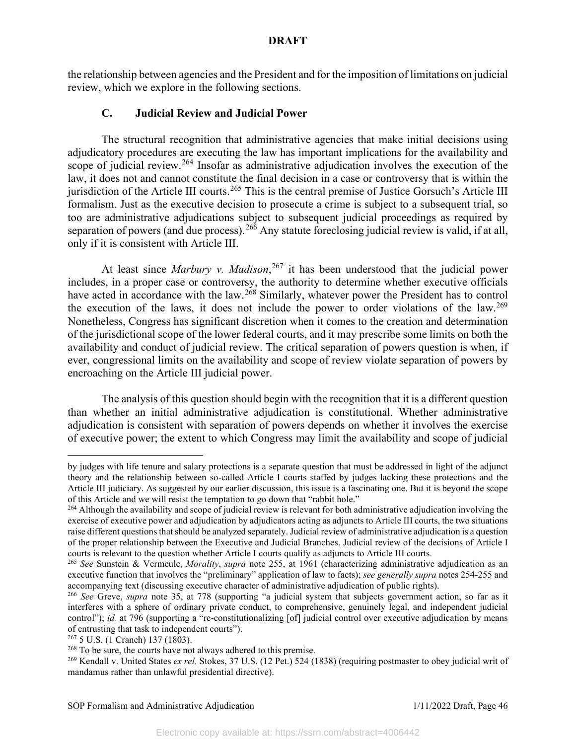the relationship between agencies and the President and for the imposition of limitations on judicial review, which we explore in the following sections.

# **C. Judicial Review and Judicial Power**

The structural recognition that administrative agencies that make initial decisions using adjudicatory procedures are executing the law has important implications for the availability and scope of judicial review.<sup>[264](#page-46-0)</sup> Insofar as administrative adjudication involves the execution of the law, it does not and cannot constitute the final decision in a case or controversy that is within the jurisdiction of the Article III courts.<sup>[265](#page-46-1)</sup> This is the central premise of Justice Gorsuch's Article III formalism. Just as the executive decision to prosecute a crime is subject to a subsequent trial, so too are administrative adjudications subject to subsequent judicial proceedings as required by separation of powers (and due process).<sup>[266](#page-46-2)</sup> Any statute foreclosing judicial review is valid, if at all, only if it is consistent with Article III.

At least since *Marbury v. Madison*, [267](#page-46-3) it has been understood that the judicial power includes, in a proper case or controversy, the authority to determine whether executive officials have acted in accordance with the law.<sup>[268](#page-46-4)</sup> Similarly, whatever power the President has to control the execution of the laws, it does not include the power to order violations of the law.<sup>[269](#page-46-5)</sup> Nonetheless, Congress has significant discretion when it comes to the creation and determination of the jurisdictional scope of the lower federal courts, and it may prescribe some limits on both the availability and conduct of judicial review. The critical separation of powers question is when, if ever, congressional limits on the availability and scope of review violate separation of powers by encroaching on the Article III judicial power.

The analysis of this question should begin with the recognition that it is a different question than whether an initial administrative adjudication is constitutional. Whether administrative adjudication is consistent with separation of powers depends on whether it involves the exercise of executive power; the extent to which Congress may limit the availability and scope of judicial

by judges with life tenure and salary protections is a separate question that must be addressed in light of the adjunct theory and the relationship between so-called Article I courts staffed by judges lacking these protections and the Article III judiciary. As suggested by our earlier discussion, this issue is a fascinating one. But it is beyond the scope of this Article and we will resist the temptation to go down that "rabbit hole."<br><sup>264</sup> Although the availability and scope of judicial review is relevant for both administrative adjudication involving the

<span id="page-46-0"></span>exercise of executive power and adjudication by adjudicators acting as adjuncts to Article III courts, the two situations raise different questions that should be analyzed separately. Judicial review of administrative adjudication is a question of the proper relationship between the Executive and Judicial Branches. Judicial review of the decisions of Article I courts is relevant to the question whether Article I courts qualify as adjuncts to Article III courts.

<span id="page-46-1"></span><sup>265</sup> *See* Sunstein & Vermeule, *Morality*, *supra* note 255, at 1961 (characterizing administrative adjudication as an executive function that involves the "preliminary" application of law to facts); *see generally supra* notes 254-255 and accompanying text (discussing executive character of administrative adjudication of public rights).

<span id="page-46-2"></span><sup>266</sup> *See* Greve, *supra* note 35, at 778 (supporting "a judicial system that subjects government action, so far as it interferes with a sphere of ordinary private conduct, to comprehensive, genuinely legal, and independent judicial control"); *id.* at 796 (supporting a "re-constitutionalizing [of] judicial control over executive adjudication by means of entrusting that task to independent courts").

<span id="page-46-4"></span><span id="page-46-3"></span> $^{267}$  5 U.S. (1 Cranch) 137 (1803).<br><sup>268</sup> To be sure, the courts have not always adhered to this premise.

<span id="page-46-5"></span><sup>&</sup>lt;sup>269</sup> Kendall v. United States ex rel. Stokes, 37 U.S. (12 Pet.) 524 (1838) (requiring postmaster to obey judicial writ of mandamus rather than unlawful presidential directive).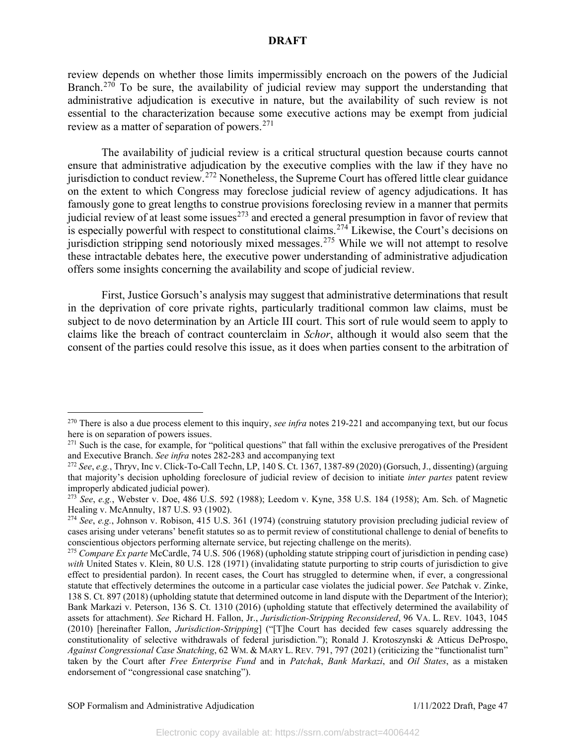review depends on whether those limits impermissibly encroach on the powers of the Judicial Branch.<sup>[270](#page-47-0)</sup> To be sure, the availability of judicial review may support the understanding that administrative adjudication is executive in nature, but the availability of such review is not essential to the characterization because some executive actions may be exempt from judicial review as a matter of separation of powers. $271$ 

The availability of judicial review is a critical structural question because courts cannot ensure that administrative adjudication by the executive complies with the law if they have no jurisdiction to conduct review.<sup>[272](#page-47-2)</sup> Nonetheless, the Supreme Court has offered little clear guidance on the extent to which Congress may foreclose judicial review of agency adjudications. It has famously gone to great lengths to construe provisions foreclosing review in a manner that permits judicial review of at least some issues<sup>[273](#page-47-3)</sup> and erected a general presumption in favor of review that is especially powerful with respect to constitutional claims.<sup>[274](#page-47-4)</sup> Likewise, the Court's decisions on jurisdiction stripping send notoriously mixed messages.<sup>[275](#page-47-5)</sup> While we will not attempt to resolve these intractable debates here, the executive power understanding of administrative adjudication offers some insights concerning the availability and scope of judicial review.

First, Justice Gorsuch's analysis may suggest that administrative determinations that result in the deprivation of core private rights, particularly traditional common law claims, must be subject to de novo determination by an Article III court. This sort of rule would seem to apply to claims like the breach of contract counterclaim in *Schor*, although it would also seem that the consent of the parties could resolve this issue, as it does when parties consent to the arbitration of

<span id="page-47-0"></span><sup>270</sup> There is also a due process element to this inquiry, *see infra* notes 219-221 and accompanying text, but our focus here is on separation of powers issues.

<span id="page-47-1"></span> $271$  Such is the case, for example, for "political questions" that fall within the exclusive prerogatives of the President and Executive Branch. *See infra* notes 282-283 and accompanying text

<span id="page-47-2"></span><sup>272</sup> *See*, *e.g.*, Thryv, Inc v. Click-To-Call Techn, LP, 140 S. Ct. 1367, 1387-89 (2020) (Gorsuch, J., dissenting) (arguing that majority's decision upholding foreclosure of judicial review of decision to initiate *inter partes* patent review improperly abdicated judicial power).

<span id="page-47-3"></span><sup>273</sup> *See*, *e.g.*, Webster v. Doe, 486 U.S. 592 (1988); Leedom v. Kyne, 358 U.S. 184 (1958); Am. Sch. of Magnetic Healing v. McAnnulty, 187 U.S. 93 (1902).

<span id="page-47-4"></span><sup>274</sup> *See*, *e.g.*, Johnson v. Robison, 415 U.S. 361 (1974) (construing statutory provision precluding judicial review of cases arising under veterans' benefit statutes so as to permit review of constitutional challenge to denial of benefits to conscientious objectors performing alternate service, but rejecting challenge on the merits).

<span id="page-47-5"></span><sup>275</sup> *Compare Ex parte* McCardle, 74 U.S. 506 (1968) (upholding statute stripping court of jurisdiction in pending case) *with* United States v. Klein, 80 U.S. 128 (1971) (invalidating statute purporting to strip courts of jurisdiction to give effect to presidential pardon). In recent cases, the Court has struggled to determine when, if ever, a congressional statute that effectively determines the outcome in a particular case violates the judicial power. *See* Patchak v. Zinke, 138 S. Ct. 897 (2018) (upholding statute that determined outcome in land dispute with the Department of the Interior); Bank Markazi v. Peterson, 136 S. Ct. 1310 (2016) (upholding statute that effectively determined the availability of assets for attachment). *See* Richard H. Fallon, Jr., *Jurisdiction-Stripping Reconsidered*, 96 VA. L. REV. 1043, 1045 (2010) [hereinafter Fallon, *Jurisdiction-Stripping*] ("[T]he Court has decided few cases squarely addressing the constitutionality of selective withdrawals of federal jurisdiction."); Ronald J. Krotoszynski & Atticus DeProspo, *Against Congressional Case Snatching*, 62 WM. & MARY L. REV. 791, 797 (2021) (criticizing the "functionalist turn" taken by the Court after *Free Enterprise Fund* and in *Patchak*, *Bank Markazi*, and *Oil States*, as a mistaken endorsement of "congressional case snatching").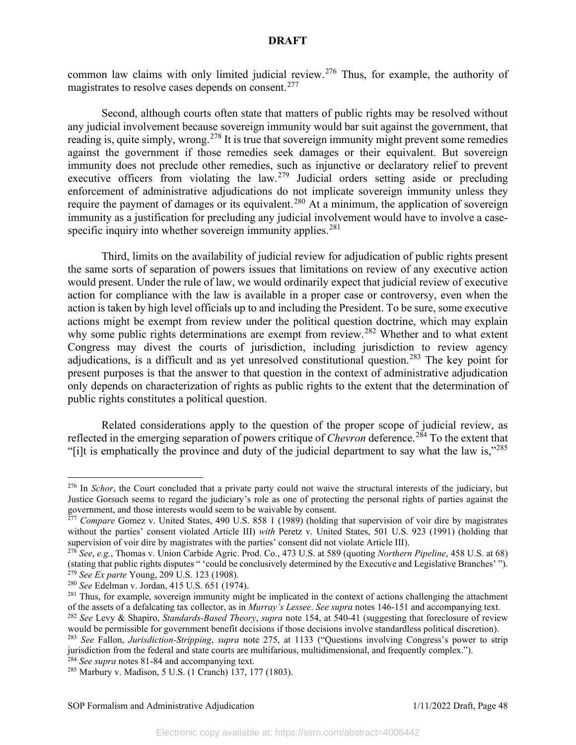common law claims with only limited judicial review.<sup>[276](#page-48-0)</sup> Thus, for example, the authority of magistrates to resolve cases depends on consent.<sup>[277](#page-48-1)</sup>

Second, although courts often state that matters of public rights may be resolved without any judicial involvement because sovereign immunity would bar suit against the government, that reading is, quite simply, wrong.<sup>[278](#page-48-2)</sup> It is true that sovereign immunity might prevent some remedies against the government if those remedies seek damages or their equivalent. But sovereign immunity does not preclude other remedies, such as injunctive or declaratory relief to prevent executive officers from violating the law.<sup>[279](#page-48-3)</sup> Judicial orders setting aside or precluding enforcement of administrative adjudications do not implicate sovereign immunity unless they require the payment of damages or its equivalent.<sup>[280](#page-48-4)</sup> At a minimum, the application of sovereign immunity as a justification for precluding any judicial involvement would have to involve a casespecific inquiry into whether sovereign immunity applies. $281$ 

Third, limits on the availability of judicial review for adjudication of public rights present the same sorts of separation of powers issues that limitations on review of any executive action would present. Under the rule of law, we would ordinarily expect that judicial review of executive action for compliance with the law is available in a proper case or controversy, even when the action is taken by high level officials up to and including the President. To be sure, some executive actions might be exempt from review under the political question doctrine, which may explain why some public rights determinations are exempt from review.<sup>[282](#page-48-6)</sup> Whether and to what extent Congress may divest the courts of jurisdiction, including jurisdiction to review agency adjudications, is a difficult and as yet unresolved constitutional question.<sup>[283](#page-48-7)</sup> The key point for present purposes is that the answer to that question in the context of administrative adjudication only depends on characterization of rights as public rights to the extent that the determination of public rights constitutes a political question.

Related considerations apply to the question of the proper scope of judicial review, as reflected in the emerging separation of powers critique of *Chevron* deference.<sup>[284](#page-48-8)</sup> To the extent that "[i]t is emphatically the province and duty of the judicial department to say what the law is,"[285](#page-48-9)

<span id="page-48-0"></span><sup>&</sup>lt;sup>276</sup> In *Schor*, the Court concluded that a private party could not waive the structural interests of the judiciary, but Justice Gorsuch seems to regard the judiciary's role as one of protecting the personal rights of parties against the government, and those interests would seem to be waivable by consent.

<span id="page-48-1"></span><sup>&</sup>lt;sup>277</sup> *Compare* Gomez v. United States, 490 U.S. 858 1 (1989) (holding that supervision of voir dire by magistrates without the parties' consent violated Article III) *with* Peretz v. United States, 501 U.S. 923 (1991) (holding that supervision of voir dire by magistrates with the parties' consent did not violate Article III).

<span id="page-48-2"></span><sup>278</sup> *See*, *e.g.*, Thomas v. Union Carbide Agric. Prod. Co., 473 U.S. at 589 (quoting *Northern Pipeline*, 458 U.S. at 68) (stating that public rights disputes " 'could be conclusively determined by the Executive and Legislative Branches' "). 279 *See Ex parte* Young, 209 U.S. 123 (1908).

<span id="page-48-4"></span><span id="page-48-3"></span><sup>280</sup> *See* Edelman v. Jordan, 415 U.S. 651 (1974).

<span id="page-48-5"></span><sup>&</sup>lt;sup>281</sup> Thus, for example, sovereign immunity might be implicated in the context of actions challenging the attachment of the assets of a defalcating tax collector, as in *Murray's Lessee. See supra* notes 146-151 and accom

<span id="page-48-6"></span><sup>&</sup>lt;sup>282</sup> See Levy & Shapiro, Standards-Based Theory, supra note 154, at 540-41 (suggesting that foreclosure of review would be permissible for government benefit decisions if those decisions involve standardless political discretion).

<span id="page-48-7"></span><sup>283</sup> *See* Fallon, *Jurisdiction-Stripping*, *supra* note 275, at 1133 ("Questions involving Congress's power to strip jurisdiction from the federal and state courts are multifarious, multidimensional, and frequently complex.").

<span id="page-48-8"></span><sup>284</sup> *See supra* notes 81-84 and accompanying text.

<span id="page-48-9"></span><sup>285</sup> Marbury v. Madison, 5 U.S. (1 Cranch) 137, 177 (1803).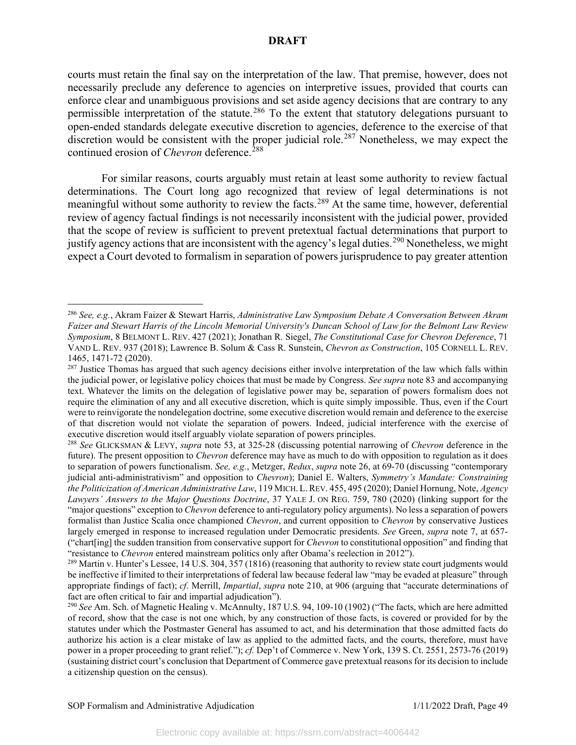courts must retain the final say on the interpretation of the law. That premise, however, does not necessarily preclude any deference to agencies on interpretive issues, provided that courts can enforce clear and unambiguous provisions and set aside agency decisions that are contrary to any permissible interpretation of the statute.<sup>[286](#page-49-0)</sup> To the extent that statutory delegations pursuant to open-ended standards delegate executive discretion to agencies, deference to the exercise of that discretion would be consistent with the proper judicial role.<sup>[287](#page-49-1)</sup> Nonetheless, we may expect the continued erosion of *Chevron* deference. [288](#page-49-2)

For similar reasons, courts arguably must retain at least some authority to review factual determinations. The Court long ago recognized that review of legal determinations is not meaningful without some authority to review the facts.<sup>[289](#page-49-3)</sup> At the same time, however, deferential review of agency factual findings is not necessarily inconsistent with the judicial power, provided that the scope of review is sufficient to prevent pretextual factual determinations that purport to justify agency actions that are inconsistent with the agency's legal duties.<sup>[290](#page-49-4)</sup> Nonetheless, we might expect a Court devoted to formalism in separation of powers jurisprudence to pay greater attention

<span id="page-49-0"></span><sup>286</sup> *See, e.g.*, Akram Faizer & Stewart Harris, *Administrative Law Symposium Debate A Conversation Between Akram Faizer and Stewart Harris of the Lincoln Memorial University's Duncan School of Law for the Belmont Law Review Symposium*, 8 BELMONT L. REV. 427 (2021); Jonathan R. Siegel, *The Constitutional Case for Chevron Deference*, 71 VAND L. REV. 937 (2018); Lawrence B. Solum & Cass R. Sunstein, *Chevron as Construction*, 105 CORNELL L. REV. 1465, 1471-72 (2020).

<span id="page-49-1"></span><sup>&</sup>lt;sup>287</sup> Justice Thomas has argued that such agency decisions either involve interpretation of the law which falls within the judicial power, or legislative policy choices that must be made by Congress. *See supra* note 83 and accompanying text. Whatever the limits on the delegation of legislative power may be, separation of powers formalism does not require the elimination of any and all executive discretion, which is quite simply impossible. Thus, even if the Court were to reinvigorate the nondelegation doctrine, some executive discretion would remain and deference to the exercise of that discretion would not violate the separation of powers. Indeed, judicial interference with the exercise of

<span id="page-49-2"></span><sup>288</sup> *See* GLICKSMAN & LEVY, *supra* note 53, at 325-28 (discussing potential narrowing of *Chevron* deference in the future). The present opposition to *Chevron* deference may have as much to do with opposition to regulation as it does to separation of powers functionalism. *See, e.g.*, Metzger, *Redux*, *supra* note 26, at 69-70 (discussing "contemporary judicial anti-administrativism" and opposition to *Chevron*); Daniel E. Walters, *Symmetry's Mandate: Constraining the Politicization of American Administrative Law*, 119 MICH. L.REV. 455, 495 (2020); Daniel Hornung, Note, *Agency Lawyers' Answers to the Major Questions Doctrine*, 37 YALE J. ON REG. 759, 780 (2020) (linking support for the "major questions" exception to *Chevron* deference to anti-regulatory policy arguments). No less a separation of powers formalist than Justice Scalia once championed *Chevron*, and current opposition to *Chevron* by conservative Justices largely emerged in response to increased regulation under Democratic presidents. *See* Green, *supra* note 7, at 657- ("chart[ing] the sudden transition from conservative support for *Chevron* to constitutional opposition" and finding that "resistance to *Chevron* entered mainstream politics only after Obama's reelection in 2012").

<span id="page-49-3"></span><sup>&</sup>lt;sup>289</sup> Martin v. Hunter's Lessee, 14 U.S. 304, 357 (1816) (reasoning that authority to review state court judgments would be ineffective if limited to their interpretations of federal law because federal law "may be evaded at pleasure" through appropriate findings of fact); *cf*. Merrill, *Impartial*, *supra* note 210, at 906 (arguing that "accurate determinations of fact are often critical to fair and impartial adjudication").

<span id="page-49-4"></span><sup>290</sup> *See* Am. Sch. of Magnetic Healing v. McAnnulty, 187 U.S. 94, 109-10 (1902) ("The facts, which are here admitted of record, show that the case is not one which, by any construction of those facts, is covered or provided for by the statutes under which the Postmaster General has assumed to act, and his determination that those admitted facts do authorize his action is a clear mistake of law as applied to the admitted facts, and the courts, therefore, must have power in a proper proceeding to grant relief."); *cf.* Dep't of Commerce v. New York, 139 S. Ct. 2551, 2573-76 (2019) (sustaining district court's conclusion that Department of Commerce gave pretextual reasons for its decision to include a citizenship question on the census).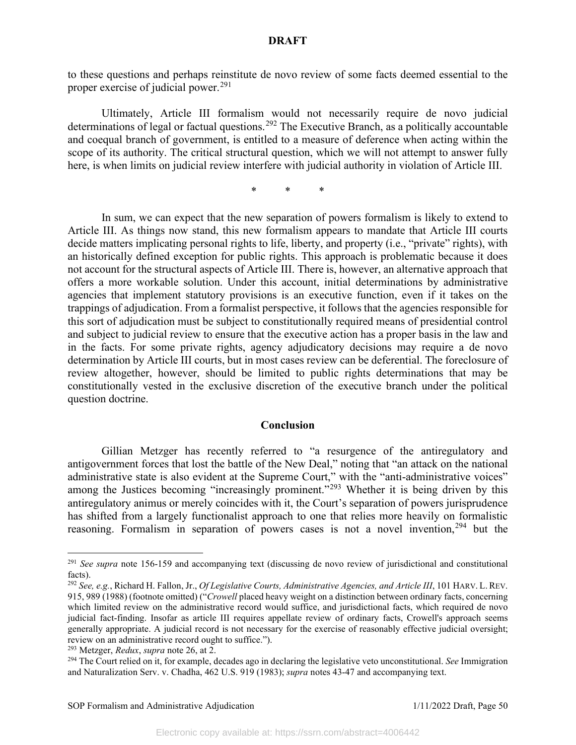to these questions and perhaps reinstitute de novo review of some facts deemed essential to the proper exercise of judicial power.<sup>[291](#page-50-0)</sup>

Ultimately, Article III formalism would not necessarily require de novo judicial determinations of legal or factual questions.<sup>[292](#page-50-1)</sup> The Executive Branch, as a politically accountable and coequal branch of government, is entitled to a measure of deference when acting within the scope of its authority. The critical structural question, which we will not attempt to answer fully here, is when limits on judicial review interfere with judicial authority in violation of Article III.

\* \* \*

In sum, we can expect that the new separation of powers formalism is likely to extend to Article III. As things now stand, this new formalism appears to mandate that Article III courts decide matters implicating personal rights to life, liberty, and property (i.e., "private" rights), with an historically defined exception for public rights. This approach is problematic because it does not account for the structural aspects of Article III. There is, however, an alternative approach that offers a more workable solution. Under this account, initial determinations by administrative agencies that implement statutory provisions is an executive function, even if it takes on the trappings of adjudication. From a formalist perspective, it follows that the agencies responsible for this sort of adjudication must be subject to constitutionally required means of presidential control and subject to judicial review to ensure that the executive action has a proper basis in the law and in the facts. For some private rights, agency adjudicatory decisions may require a de novo determination by Article III courts, but in most cases review can be deferential. The foreclosure of review altogether, however, should be limited to public rights determinations that may be constitutionally vested in the exclusive discretion of the executive branch under the political question doctrine.

### **Conclusion**

Gillian Metzger has recently referred to "a resurgence of the antiregulatory and antigovernment forces that lost the battle of the New Deal," noting that "an attack on the national administrative state is also evident at the Supreme Court," with the "anti-administrative voices" among the Justices becoming "increasingly prominent."<sup>[293](#page-50-2)</sup> Whether it is being driven by this antiregulatory animus or merely coincides with it, the Court's separation of powers jurisprudence has shifted from a largely functionalist approach to one that relies more heavily on formalistic reasoning. Formalism in separation of powers cases is not a novel invention,<sup>[294](#page-50-3)</sup> but the

<span id="page-50-0"></span><sup>291</sup> *See supra* note 156-159 and accompanying text (discussing de novo review of jurisdictional and constitutional facts).

<span id="page-50-1"></span><sup>292</sup> *See, e.g.*, Richard H. Fallon, Jr., *Of Legislative Courts, Administrative Agencies, and Article III*, 101 HARV. L. REV. 915, 989 (1988) (footnote omitted) ("*Crowell* placed heavy weight on a distinction between ordinary facts, concerning which limited review on the administrative record would suffice, and jurisdictional facts, which required de novo judicial fact-finding. Insofar as article III requires appellate review of ordinary facts, Crowell's approach seems generally appropriate. A judicial record is not necessary for the exercise of reasonably effective judicial oversight; review on an administrative record ought to suffice.").

<span id="page-50-2"></span><sup>293</sup> Metzger, *Redux*, *supra* note 26, at 2.

<span id="page-50-3"></span><sup>294</sup> The Court relied on it, for example, decades ago in declaring the legislative veto unconstitutional. *See* Immigration and Naturalization Serv. v. Chadha, 462 U.S. 919 (1983); *supra* notes 43-47 and accompanying text.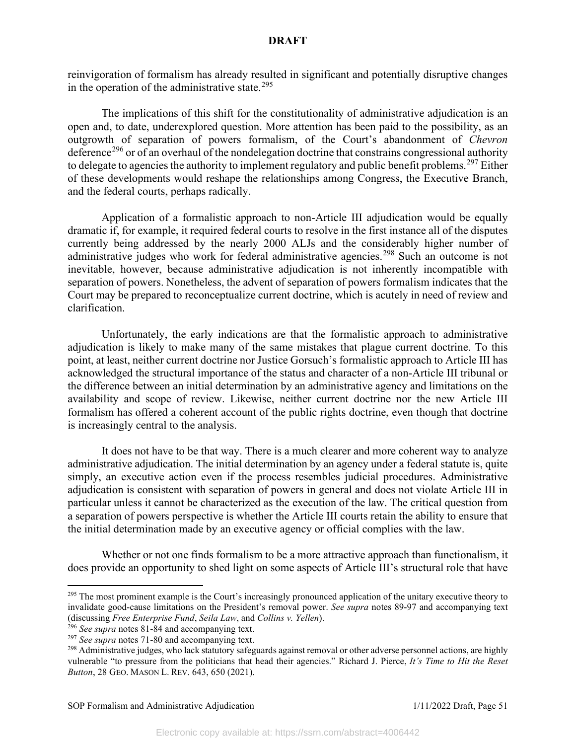reinvigoration of formalism has already resulted in significant and potentially disruptive changes in the operation of the administrative state.<sup>[295](#page-51-0)</sup>

The implications of this shift for the constitutionality of administrative adjudication is an open and, to date, underexplored question. More attention has been paid to the possibility, as an outgrowth of separation of powers formalism, of the Court's abandonment of *Chevron* deference<sup>[296](#page-51-1)</sup> or of an overhaul of the nondelegation doctrine that constrains congressional authority to delegate to agencies the authority to implement regulatory and public benefit problems.<sup>[297](#page-51-2)</sup> Either of these developments would reshape the relationships among Congress, the Executive Branch, and the federal courts, perhaps radically.

Application of a formalistic approach to non-Article III adjudication would be equally dramatic if, for example, it required federal courts to resolve in the first instance all of the disputes currently being addressed by the nearly 2000 ALJs and the considerably higher number of administrative judges who work for federal administrative agencies.<sup>[298](#page-51-3)</sup> Such an outcome is not inevitable, however, because administrative adjudication is not inherently incompatible with separation of powers. Nonetheless, the advent of separation of powers formalism indicates that the Court may be prepared to reconceptualize current doctrine, which is acutely in need of review and clarification.

Unfortunately, the early indications are that the formalistic approach to administrative adjudication is likely to make many of the same mistakes that plague current doctrine. To this point, at least, neither current doctrine nor Justice Gorsuch's formalistic approach to Article III has acknowledged the structural importance of the status and character of a non-Article III tribunal or the difference between an initial determination by an administrative agency and limitations on the availability and scope of review. Likewise, neither current doctrine nor the new Article III formalism has offered a coherent account of the public rights doctrine, even though that doctrine is increasingly central to the analysis.

It does not have to be that way. There is a much clearer and more coherent way to analyze administrative adjudication. The initial determination by an agency under a federal statute is, quite simply, an executive action even if the process resembles judicial procedures. Administrative adjudication is consistent with separation of powers in general and does not violate Article III in particular unless it cannot be characterized as the execution of the law. The critical question from a separation of powers perspective is whether the Article III courts retain the ability to ensure that the initial determination made by an executive agency or official complies with the law.

Whether or not one finds formalism to be a more attractive approach than functionalism, it does provide an opportunity to shed light on some aspects of Article III's structural role that have

<span id="page-51-0"></span><sup>&</sup>lt;sup>295</sup> The most prominent example is the Court's increasingly pronounced application of the unitary executive theory to invalidate good-cause limitations on the President's removal power. *See supra* notes 89-97 and accompanying text (discussing *Free Enterprise Fund*, *Seila Law*, and *Collins v. Yellen*).

<span id="page-51-1"></span><sup>296</sup> *See supra* notes 81-84 and accompanying text.

<span id="page-51-2"></span><sup>297</sup> *See supra* notes 71-80 and accompanying text.

<span id="page-51-3"></span><sup>&</sup>lt;sup>298</sup> Administrative judges, who lack statutory safeguards against removal or other adverse personnel actions, are highly vulnerable "to pressure from the politicians that head their agencies." Richard J. Pierce, *It's Time to Hit the Reset Button*, 28 GEO. MASON L. REV. 643, 650 (2021).